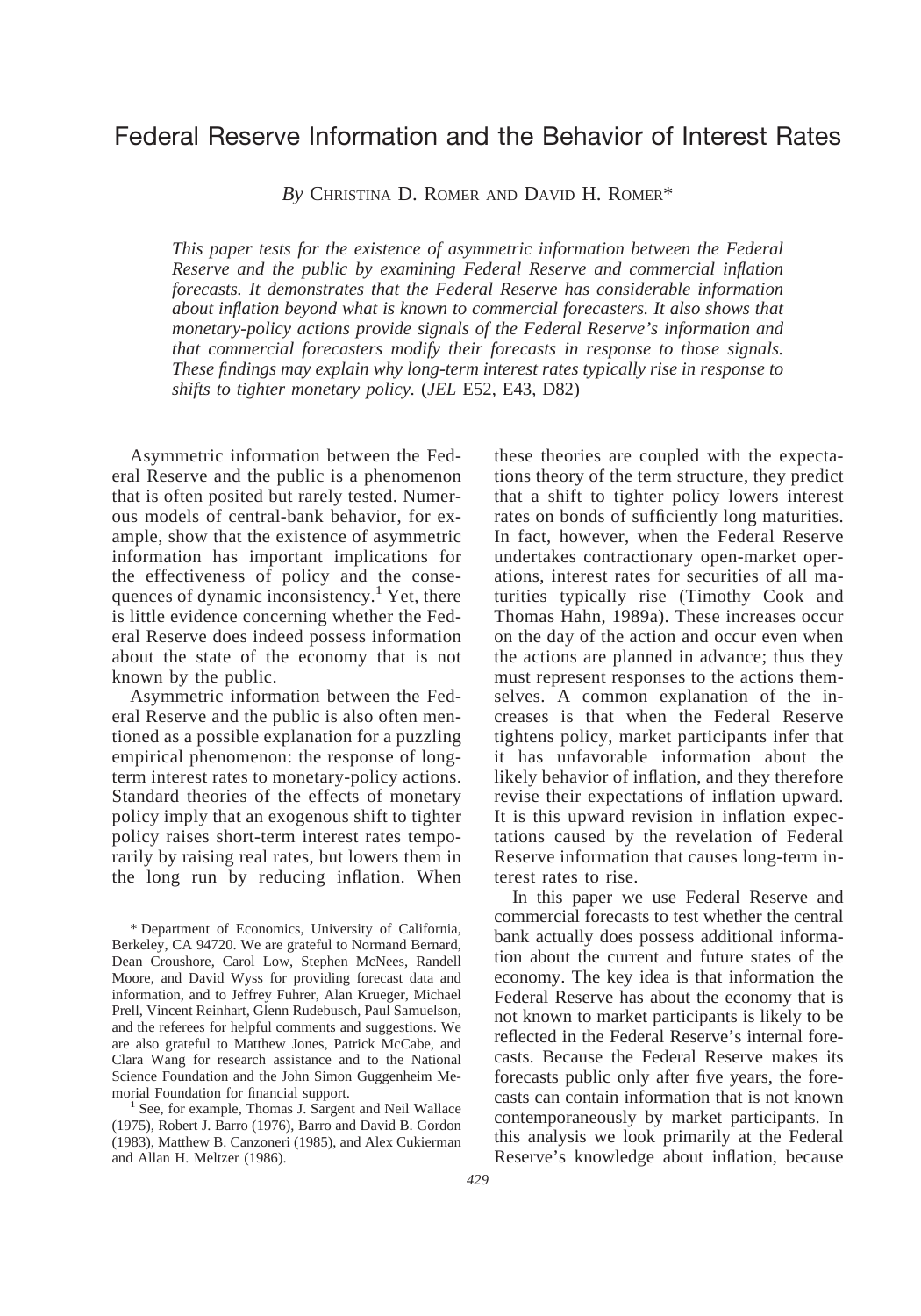# Federal Reserve Information and the Behavior of Interest Rates

*By* CHRISTINA D. ROMER AND DAVID H. ROMER\*

*This paper tests for the existence of asymmetric information between the Federal Reserve and the public by examining Federal Reserve and commercial inflation forecasts. It demonstrates that the Federal Reserve has considerable information about inflation beyond what is known to commercial forecasters. It also shows that monetary-policy actions provide signals of the Federal Reserve's information and that commercial forecasters modify their forecasts in response to those signals. These findings may explain why long-term interest rates typically rise in response to shifts to tighter monetary policy.* (*JEL* E52, E43, D82)

Asymmetric information between the Federal Reserve and the public is a phenomenon that is often posited but rarely tested. Numerous models of central-bank behavior, for example, show that the existence of asymmetric information has important implications for the effectiveness of policy and the consequences of dynamic inconsistency.<sup>1</sup> Yet, there is little evidence concerning whether the Federal Reserve does indeed possess information about the state of the economy that is not known by the public.

Asymmetric information between the Federal Reserve and the public is also often mentioned as a possible explanation for a puzzling empirical phenomenon: the response of longterm interest rates to monetary-policy actions. Standard theories of the effects of monetary policy imply that an exogenous shift to tighter policy raises short-term interest rates temporarily by raising real rates, but lowers them in the long run by reducing inflation. When

\* Department of Economics, University of California, Berkeley, CA 94720. We are grateful to Normand Bernard, Dean Croushore, Carol Low, Stephen McNees, Randell Moore, and David Wyss for providing forecast data and information, and to Jeffrey Fuhrer, Alan Krueger, Michael Prell, Vincent Reinhart, Glenn Rudebusch, Paul Samuelson, and the referees for helpful comments and suggestions. We are also grateful to Matthew Jones, Patrick McCabe, and Clara Wang for research assistance and to the National Science Foundation and the John Simon Guggenheim Memorial Foundation for financial support.<br><sup>1</sup> See, for example, Thomas J. Sargent and Neil Wallace

(1975), Robert J. Barro (1976), Barro and David B. Gordon (1983), Matthew B. Canzoneri (1985), and Alex Cukierman and Allan H. Meltzer (1986).

these theories are coupled with the expectations theory of the term structure, they predict that a shift to tighter policy lowers interest rates on bonds of sufficiently long maturities. In fact, however, when the Federal Reserve undertakes contractionary open-market operations, interest rates for securities of all maturities typically rise (Timothy Cook and Thomas Hahn, 1989a). These increases occur on the day of the action and occur even when the actions are planned in advance; thus they must represent responses to the actions themselves. A common explanation of the increases is that when the Federal Reserve tightens policy, market participants infer that it has unfavorable information about the likely behavior of inflation, and they therefore revise their expectations of inflation upward. It is this upward revision in inflation expectations caused by the revelation of Federal Reserve information that causes long-term interest rates to rise.

In this paper we use Federal Reserve and commercial forecasts to test whether the central bank actually does possess additional information about the current and future states of the economy. The key idea is that information the Federal Reserve has about the economy that is not known to market participants is likely to be reflected in the Federal Reserve's internal forecasts. Because the Federal Reserve makes its forecasts public only after five years, the forecasts can contain information that is not known contemporaneously by market participants. In this analysis we look primarily at the Federal Reserve's knowledge about inflation, because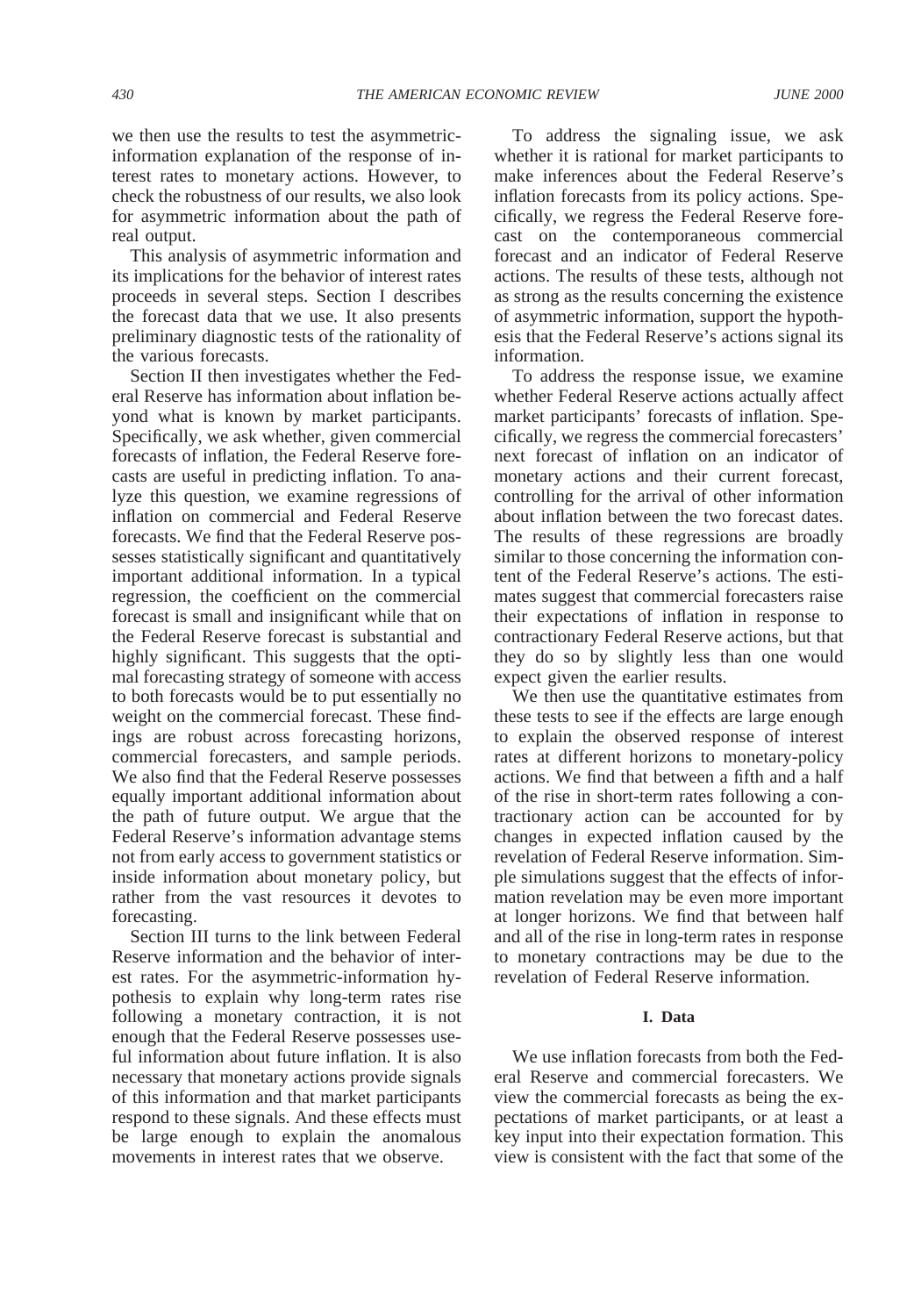we then use the results to test the asymmetricinformation explanation of the response of interest rates to monetary actions. However, to check the robustness of our results, we also look for asymmetric information about the path of real output.

This analysis of asymmetric information and its implications for the behavior of interest rates proceeds in several steps. Section I describes the forecast data that we use. It also presents preliminary diagnostic tests of the rationality of the various forecasts.

Section II then investigates whether the Federal Reserve has information about inflation beyond what is known by market participants. Specifically, we ask whether, given commercial forecasts of inflation, the Federal Reserve forecasts are useful in predicting inflation. To analyze this question, we examine regressions of inflation on commercial and Federal Reserve forecasts. We find that the Federal Reserve possesses statistically significant and quantitatively important additional information. In a typical regression, the coefficient on the commercial forecast is small and insignificant while that on the Federal Reserve forecast is substantial and highly significant. This suggests that the optimal forecasting strategy of someone with access to both forecasts would be to put essentially no weight on the commercial forecast. These findings are robust across forecasting horizons, commercial forecasters, and sample periods. We also find that the Federal Reserve possesses equally important additional information about the path of future output. We argue that the Federal Reserve's information advantage stems not from early access to government statistics or inside information about monetary policy, but rather from the vast resources it devotes to forecasting.

Section III turns to the link between Federal Reserve information and the behavior of interest rates. For the asymmetric-information hypothesis to explain why long-term rates rise following a monetary contraction, it is not enough that the Federal Reserve possesses useful information about future inflation. It is also necessary that monetary actions provide signals of this information and that market participants respond to these signals. And these effects must be large enough to explain the anomalous movements in interest rates that we observe.

To address the signaling issue, we ask whether it is rational for market participants to make inferences about the Federal Reserve's inflation forecasts from its policy actions. Specifically, we regress the Federal Reserve forecast on the contemporaneous commercial forecast and an indicator of Federal Reserve actions. The results of these tests, although not as strong as the results concerning the existence of asymmetric information, support the hypothesis that the Federal Reserve's actions signal its information.

To address the response issue, we examine whether Federal Reserve actions actually affect market participants' forecasts of inflation. Specifically, we regress the commercial forecasters' next forecast of inflation on an indicator of monetary actions and their current forecast, controlling for the arrival of other information about inflation between the two forecast dates. The results of these regressions are broadly similar to those concerning the information content of the Federal Reserve's actions. The estimates suggest that commercial forecasters raise their expectations of inflation in response to contractionary Federal Reserve actions, but that they do so by slightly less than one would expect given the earlier results.

We then use the quantitative estimates from these tests to see if the effects are large enough to explain the observed response of interest rates at different horizons to monetary-policy actions. We find that between a fifth and a half of the rise in short-term rates following a contractionary action can be accounted for by changes in expected inflation caused by the revelation of Federal Reserve information. Simple simulations suggest that the effects of information revelation may be even more important at longer horizons. We find that between half and all of the rise in long-term rates in response to monetary contractions may be due to the revelation of Federal Reserve information.

# **I. Data**

We use inflation forecasts from both the Federal Reserve and commercial forecasters. We view the commercial forecasts as being the expectations of market participants, or at least a key input into their expectation formation. This view is consistent with the fact that some of the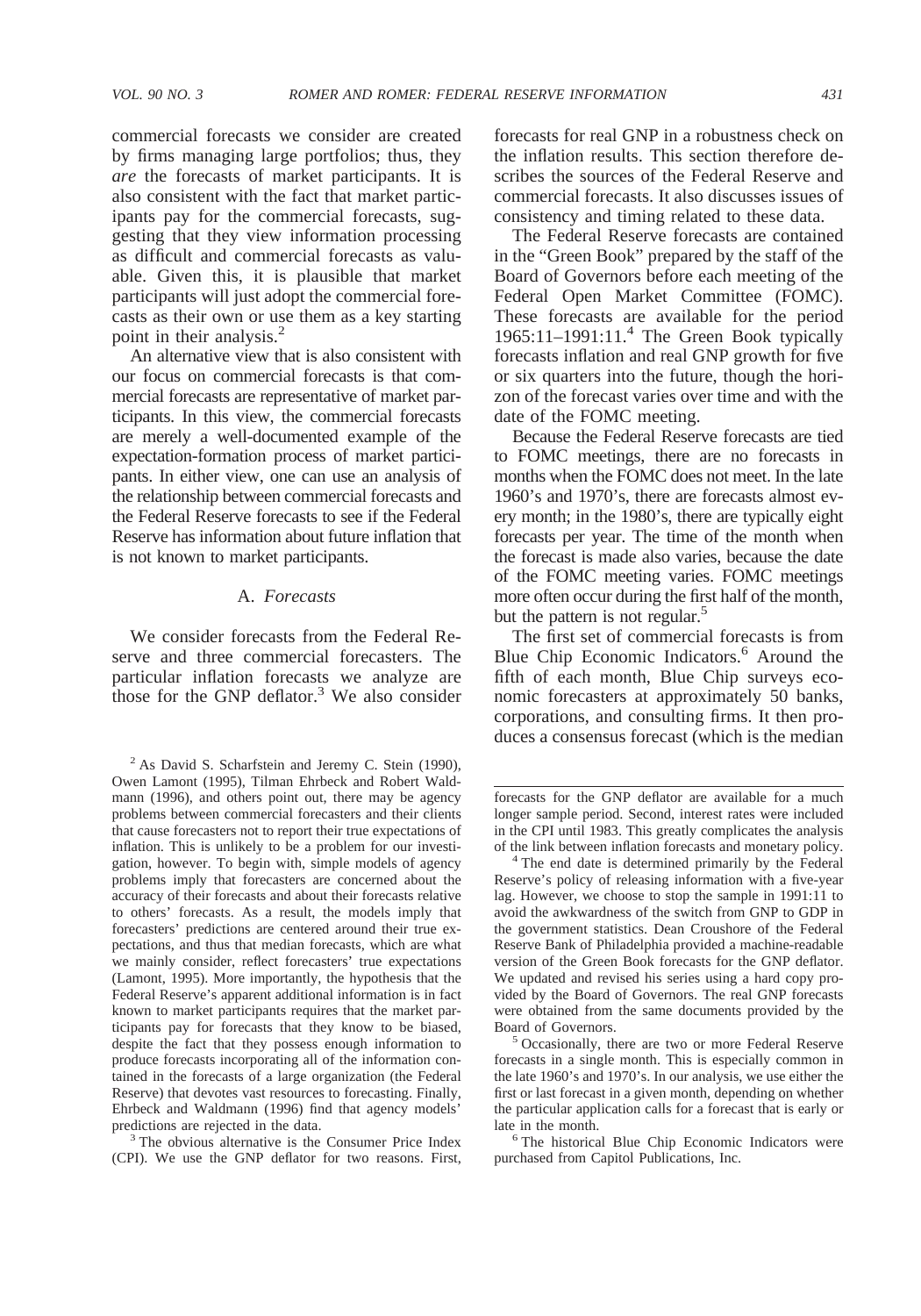commercial forecasts we consider are created by firms managing large portfolios; thus, they *are* the forecasts of market participants. It is also consistent with the fact that market participants pay for the commercial forecasts, suggesting that they view information processing as difficult and commercial forecasts as valuable. Given this, it is plausible that market participants will just adopt the commercial forecasts as their own or use them as a key starting point in their analysis.<sup>2</sup>

An alternative view that is also consistent with our focus on commercial forecasts is that commercial forecasts are representative of market participants. In this view, the commercial forecasts are merely a well-documented example of the expectation-formation process of market participants. In either view, one can use an analysis of the relationship between commercial forecasts and the Federal Reserve forecasts to see if the Federal Reserve has information about future inflation that is not known to market participants.

### A. *Forecasts*

We consider forecasts from the Federal Reserve and three commercial forecasters. The particular inflation forecasts we analyze are those for the GNP deflator.<sup>3</sup> We also consider

(CPI). We use the GNP deflator for two reasons. First,

forecasts for real GNP in a robustness check on the inflation results. This section therefore describes the sources of the Federal Reserve and commercial forecasts. It also discusses issues of consistency and timing related to these data.

The Federal Reserve forecasts are contained in the "Green Book" prepared by the staff of the Board of Governors before each meeting of the Federal Open Market Committee (FOMC). These forecasts are available for the period 1965:11–1991:11.4 The Green Book typically forecasts inflation and real GNP growth for five or six quarters into the future, though the horizon of the forecast varies over time and with the date of the FOMC meeting.

Because the Federal Reserve forecasts are tied to FOMC meetings, there are no forecasts in months when the FOMC does not meet. In the late 1960's and 1970's, there are forecasts almost every month; in the 1980's, there are typically eight forecasts per year. The time of the month when the forecast is made also varies, because the date of the FOMC meeting varies. FOMC meetings more often occur during the first half of the month, but the pattern is not regular.<sup>5</sup>

The first set of commercial forecasts is from Blue Chip Economic Indicators.<sup>6</sup> Around the fifth of each month, Blue Chip surveys economic forecasters at approximately 50 banks, corporations, and consulting firms. It then produces a consensus forecast (which is the median

of the link between inflation forecasts and monetary policy. <sup>4</sup> The end date is determined primarily by the Federal Reserve's policy of releasing information with a five-year lag. However, we choose to stop the sample in 1991:11 to avoid the awkwardness of the switch from GNP to GDP in the government statistics. Dean Croushore of the Federal Reserve Bank of Philadelphia provided a machine-readable version of the Green Book forecasts for the GNP deflator. We updated and revised his series using a hard copy provided by the Board of Governors. The real GNP forecasts were obtained from the same documents provided by the

Board of Governors. <sup>5</sup> Occasionally, there are two or more Federal Reserve forecasts in a single month. This is especially common in the late 1960's and 1970's. In our analysis, we use either the first or last forecast in a given month, depending on whether the particular application calls for a forecast that is early or late in the month.<br><sup>6</sup> The historical Blue Chip Economic Indicators were

purchased from Capitol Publications, Inc.

 $2$  As David S. Scharfstein and Jeremy C. Stein (1990), Owen Lamont (1995), Tilman Ehrbeck and Robert Waldmann (1996), and others point out, there may be agency problems between commercial forecasters and their clients that cause forecasters not to report their true expectations of inflation. This is unlikely to be a problem for our investigation, however. To begin with, simple models of agency problems imply that forecasters are concerned about the accuracy of their forecasts and about their forecasts relative to others' forecasts. As a result, the models imply that forecasters' predictions are centered around their true expectations, and thus that median forecasts, which are what we mainly consider, reflect forecasters' true expectations (Lamont, 1995). More importantly, the hypothesis that the Federal Reserve's apparent additional information is in fact known to market participants requires that the market participants pay for forecasts that they know to be biased, despite the fact that they possess enough information to produce forecasts incorporating all of the information contained in the forecasts of a large organization (the Federal Reserve) that devotes vast resources to forecasting. Finally, Ehrbeck and Waldmann (1996) find that agency models' predictions are rejected in the data.<br><sup>3</sup> The obvious alternative is the Consumer Price Index

forecasts for the GNP deflator are available for a much longer sample period. Second, interest rates were included in the CPI until 1983. This greatly complicates the analysis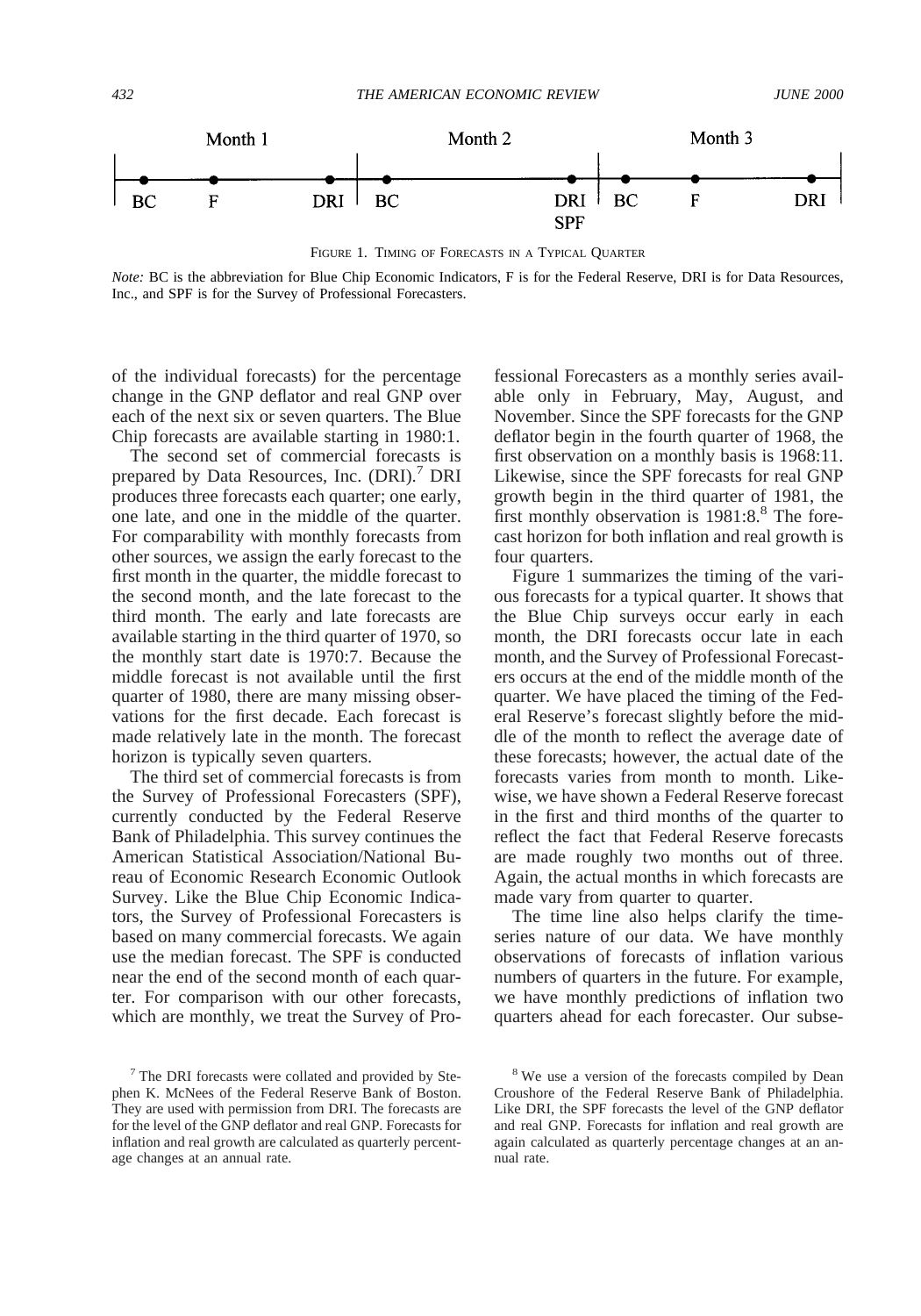

FIGURE 1. TIMING OF FORECASTS IN A TYPICAL QUARTER

*Note:* BC is the abbreviation for Blue Chip Economic Indicators, F is for the Federal Reserve, DRI is for Data Resources, Inc., and SPF is for the Survey of Professional Forecasters.

of the individual forecasts) for the percentage change in the GNP deflator and real GNP over each of the next six or seven quarters. The Blue Chip forecasts are available starting in 1980:1.

The second set of commercial forecasts is prepared by Data Resources, Inc. (DRI).<sup>7</sup> DRI produces three forecasts each quarter; one early, one late, and one in the middle of the quarter. For comparability with monthly forecasts from other sources, we assign the early forecast to the first month in the quarter, the middle forecast to the second month, and the late forecast to the third month. The early and late forecasts are available starting in the third quarter of 1970, so the monthly start date is 1970:7. Because the middle forecast is not available until the first quarter of 1980, there are many missing observations for the first decade. Each forecast is made relatively late in the month. The forecast horizon is typically seven quarters.

The third set of commercial forecasts is from the Survey of Professional Forecasters (SPF), currently conducted by the Federal Reserve Bank of Philadelphia. This survey continues the American Statistical Association/National Bureau of Economic Research Economic Outlook Survey. Like the Blue Chip Economic Indicators, the Survey of Professional Forecasters is based on many commercial forecasts. We again use the median forecast. The SPF is conducted near the end of the second month of each quarter. For comparison with our other forecasts, which are monthly, we treat the Survey of Pro-

<sup>7</sup> The DRI forecasts were collated and provided by Stephen K. McNees of the Federal Reserve Bank of Boston. They are used with permission from DRI. The forecasts are for the level of the GNP deflator and real GNP. Forecasts for inflation and real growth are calculated as quarterly percentage changes at an annual rate.

fessional Forecasters as a monthly series available only in February, May, August, and November. Since the SPF forecasts for the GNP deflator begin in the fourth quarter of 1968, the first observation on a monthly basis is 1968:11. Likewise, since the SPF forecasts for real GNP growth begin in the third quarter of 1981, the first monthly observation is  $1981:8.^8$  The forecast horizon for both inflation and real growth is four quarters.

Figure 1 summarizes the timing of the various forecasts for a typical quarter. It shows that the Blue Chip surveys occur early in each month, the DRI forecasts occur late in each month, and the Survey of Professional Forecasters occurs at the end of the middle month of the quarter. We have placed the timing of the Federal Reserve's forecast slightly before the middle of the month to reflect the average date of these forecasts; however, the actual date of the forecasts varies from month to month. Likewise, we have shown a Federal Reserve forecast in the first and third months of the quarter to reflect the fact that Federal Reserve forecasts are made roughly two months out of three. Again, the actual months in which forecasts are made vary from quarter to quarter.

The time line also helps clarify the timeseries nature of our data. We have monthly observations of forecasts of inflation various numbers of quarters in the future. For example, we have monthly predictions of inflation two quarters ahead for each forecaster. Our subse-

<sup>&</sup>lt;sup>8</sup> We use a version of the forecasts compiled by Dean Croushore of the Federal Reserve Bank of Philadelphia. Like DRI, the SPF forecasts the level of the GNP deflator and real GNP. Forecasts for inflation and real growth are again calculated as quarterly percentage changes at an annual rate.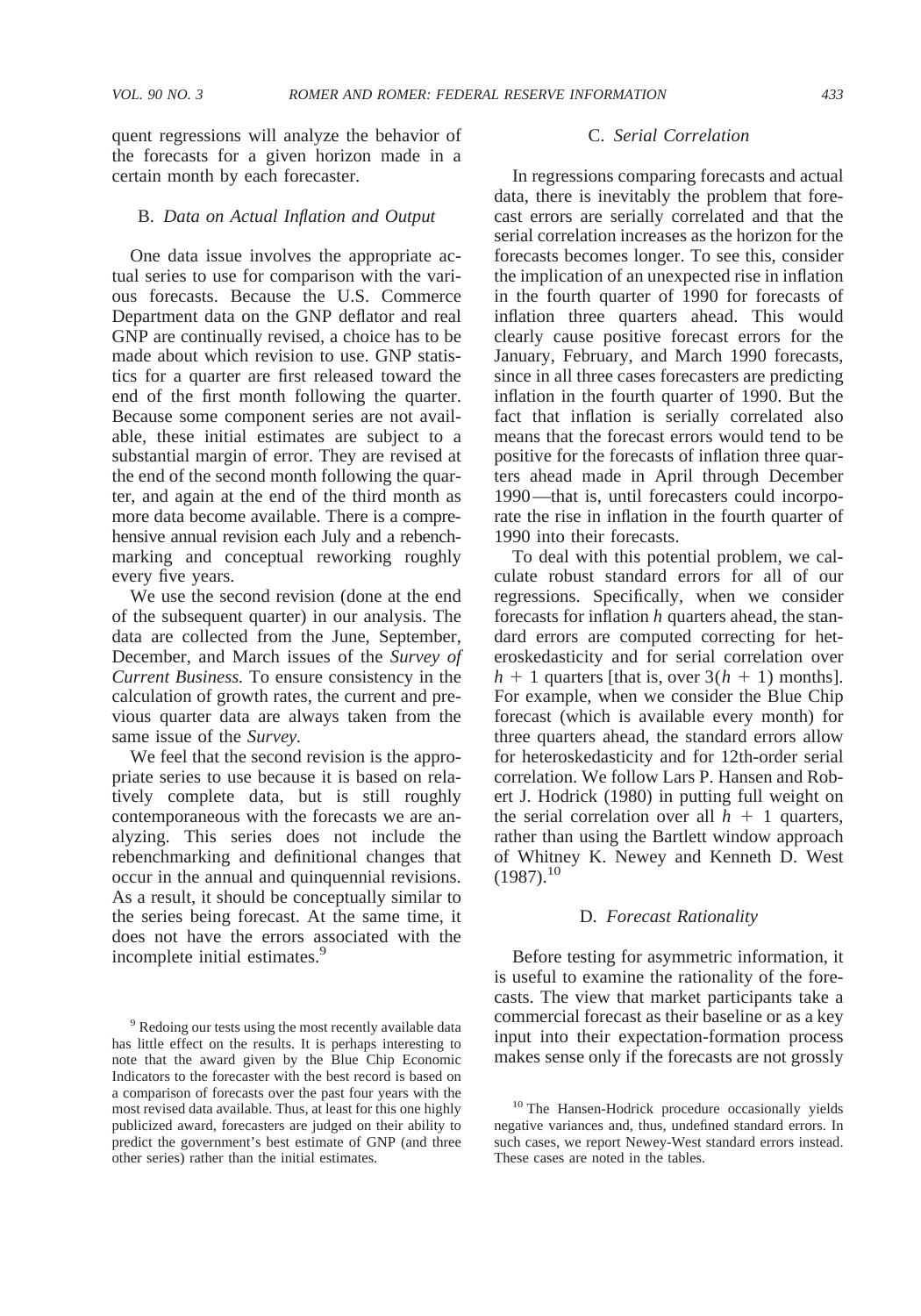quent regressions will analyze the behavior of the forecasts for a given horizon made in a certain month by each forecaster.

### B. *Data on Actual Inflation and Output*

One data issue involves the appropriate actual series to use for comparison with the various forecasts. Because the U.S. Commerce Department data on the GNP deflator and real GNP are continually revised, a choice has to be made about which revision to use. GNP statistics for a quarter are first released toward the end of the first month following the quarter. Because some component series are not available, these initial estimates are subject to a substantial margin of error. They are revised at the end of the second month following the quarter, and again at the end of the third month as more data become available. There is a comprehensive annual revision each July and a rebenchmarking and conceptual reworking roughly every five years.

We use the second revision (done at the end of the subsequent quarter) in our analysis. The data are collected from the June, September, December, and March issues of the *Survey of Current Business.* To ensure consistency in the calculation of growth rates, the current and previous quarter data are always taken from the same issue of the *Survey.*

We feel that the second revision is the appropriate series to use because it is based on relatively complete data, but is still roughly contemporaneous with the forecasts we are analyzing. This series does not include the rebenchmarking and definitional changes that occur in the annual and quinquennial revisions. As a result, it should be conceptually similar to the series being forecast. At the same time, it does not have the errors associated with the incomplete initial estimates.<sup>9</sup>

#### C. *Serial Correlation*

In regressions comparing forecasts and actual data, there is inevitably the problem that forecast errors are serially correlated and that the serial correlation increases as the horizon for the forecasts becomes longer. To see this, consider the implication of an unexpected rise in inflation in the fourth quarter of 1990 for forecasts of inflation three quarters ahead. This would clearly cause positive forecast errors for the January, February, and March 1990 forecasts, since in all three cases forecasters are predicting inflation in the fourth quarter of 1990. But the fact that inflation is serially correlated also means that the forecast errors would tend to be positive for the forecasts of inflation three quarters ahead made in April through December 1990—that is, until forecasters could incorporate the rise in inflation in the fourth quarter of 1990 into their forecasts.

To deal with this potential problem, we calculate robust standard errors for all of our regressions. Specifically, when we consider forecasts for inflation *h* quarters ahead, the standard errors are computed correcting for heteroskedasticity and for serial correlation over  $h + 1$  quarters [that is, over  $3(h + 1)$  months]. For example, when we consider the Blue Chip forecast (which is available every month) for three quarters ahead, the standard errors allow for heteroskedasticity and for 12th-order serial correlation. We follow Lars P. Hansen and Robert J. Hodrick (1980) in putting full weight on the serial correlation over all  $h + 1$  quarters, rather than using the Bartlett window approach of Whitney K. Newey and Kenneth D. West  $(1987).^{10}$ 

#### D. *Forecast Rationality*

Before testing for asymmetric information, it is useful to examine the rationality of the forecasts. The view that market participants take a commercial forecast as their baseline or as a key input into their expectation-formation process makes sense only if the forecasts are not grossly

<sup>9</sup> Redoing our tests using the most recently available data has little effect on the results. It is perhaps interesting to note that the award given by the Blue Chip Economic Indicators to the forecaster with the best record is based on a comparison of forecasts over the past four years with the most revised data available. Thus, at least for this one highly publicized award, forecasters are judged on their ability to predict the government's best estimate of GNP (and three other series) rather than the initial estimates.

<sup>&</sup>lt;sup>10</sup> The Hansen-Hodrick procedure occasionally yields negative variances and, thus, undefined standard errors. In such cases, we report Newey-West standard errors instead. These cases are noted in the tables.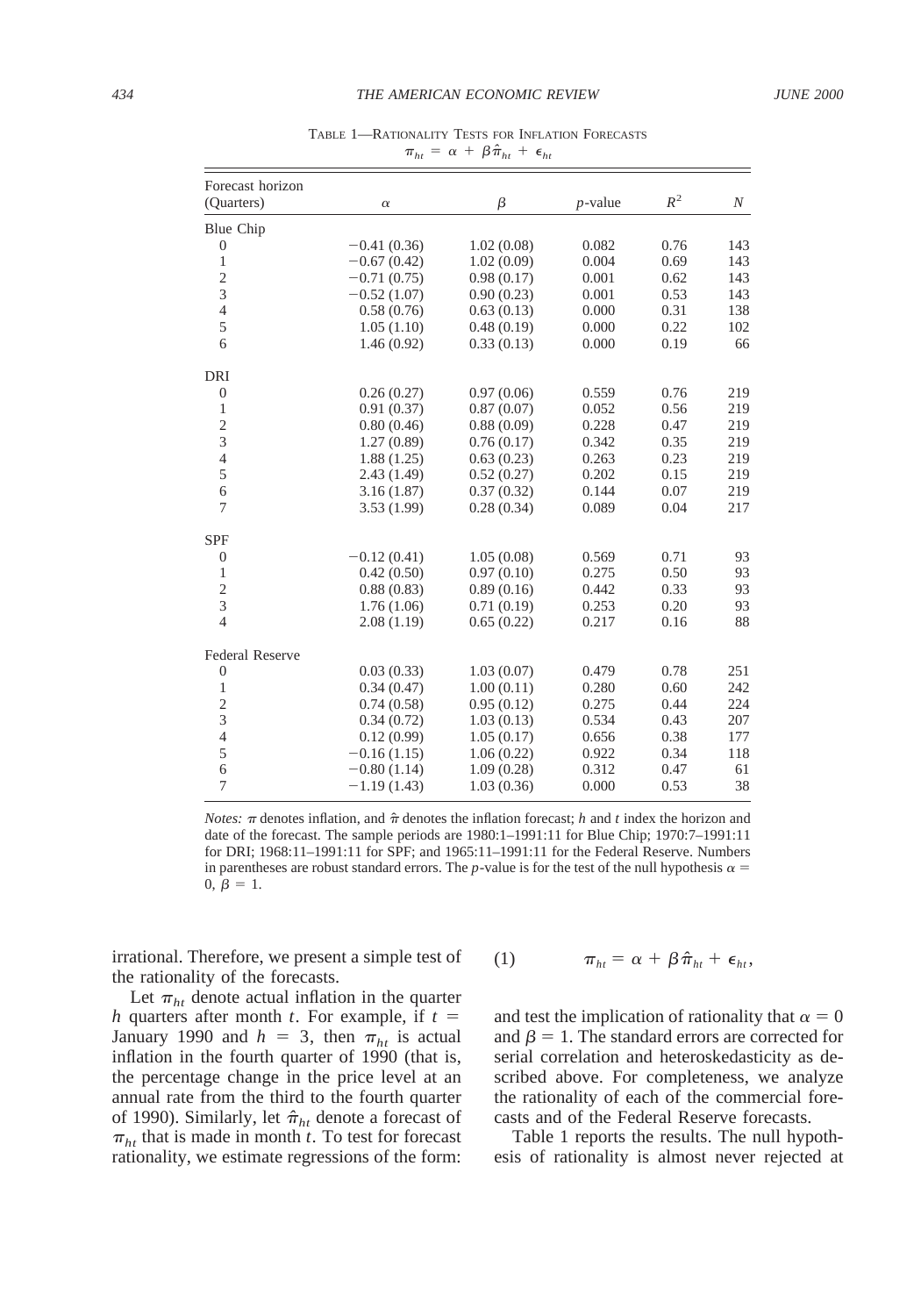| Forecast horizon<br>(Quarters) | $\alpha$      | β          | $p$ -value | $R^2$ | N   |
|--------------------------------|---------------|------------|------------|-------|-----|
| <b>Blue Chip</b>               |               |            |            |       |     |
| $\boldsymbol{0}$               | $-0.41(0.36)$ | 1.02(0.08) | 0.082      | 0.76  | 143 |
| $\mathbf{1}$                   | $-0.67(0.42)$ | 1.02(0.09) | 0.004      | 0.69  | 143 |
| $\overline{c}$                 | $-0.71(0.75)$ | 0.98(0.17) | 0.001      | 0.62  | 143 |
| 3                              | $-0.52(1.07)$ | 0.90(0.23) | 0.001      | 0.53  | 143 |
| $\overline{4}$                 | 0.58(0.76)    | 0.63(0.13) | 0.000      | 0.31  | 138 |
| 5                              | 1.05(1.10)    | 0.48(0.19) | 0.000      | 0.22  | 102 |
| 6                              | 1.46(0.92)    | 0.33(0.13) | 0.000      | 0.19  | 66  |
| <b>DRI</b>                     |               |            |            |       |     |
| $\boldsymbol{0}$               | 0.26(0.27)    | 0.97(0.06) | 0.559      | 0.76  | 219 |
| $\mathbf{1}$                   | 0.91(0.37)    | 0.87(0.07) | 0.052      | 0.56  | 219 |
| $\frac{2}{3}$                  | 0.80(0.46)    | 0.88(0.09) | 0.228      | 0.47  | 219 |
|                                | 1.27(0.89)    | 0.76(0.17) | 0.342      | 0.35  | 219 |
| $\overline{4}$                 | 1.88(1.25)    | 0.63(0.23) | 0.263      | 0.23  | 219 |
| 5                              | 2.43(1.49)    | 0.52(0.27) | 0.202      | 0.15  | 219 |
| 6                              | 3.16(1.87)    | 0.37(0.32) | 0.144      | 0.07  | 219 |
| $\overline{7}$                 | 3.53(1.99)    | 0.28(0.34) | 0.089      | 0.04  | 217 |
| <b>SPF</b>                     |               |            |            |       |     |
| $\boldsymbol{0}$               | $-0.12(0.41)$ | 1.05(0.08) | 0.569      | 0.71  | 93  |
| $\mathbf{1}$                   | 0.42(0.50)    | 0.97(0.10) | 0.275      | 0.50  | 93  |
| $\overline{c}$                 | 0.88(0.83)    | 0.89(0.16) | 0.442      | 0.33  | 93  |
| 3                              | 1.76(1.06)    | 0.71(0.19) | 0.253      | 0.20  | 93  |
| $\overline{4}$                 | 2.08(1.19)    | 0.65(0.22) | 0.217      | 0.16  | 88  |
| <b>Federal Reserve</b>         |               |            |            |       |     |
| $\boldsymbol{0}$               | 0.03(0.33)    | 1.03(0.07) | 0.479      | 0.78  | 251 |
| $\mathbf{1}$                   | 0.34(0.47)    | 1.00(0.11) | 0.280      | 0.60  | 242 |
| $\overline{c}$                 | 0.74(0.58)    | 0.95(0.12) | 0.275      | 0.44  | 224 |
| 3                              | 0.34(0.72)    | 1.03(0.13) | 0.534      | 0.43  | 207 |
| $\overline{4}$                 | 0.12(0.99)    | 1.05(0.17) | 0.656      | 0.38  | 177 |
| 5                              | $-0.16(1.15)$ | 1.06(0.22) | 0.922      | 0.34  | 118 |
| 6                              | $-0.80(1.14)$ | 1.09(0.28) | 0.312      | 0.47  | 61  |
| $\overline{7}$                 | $-1.19(1.43)$ | 1.03(0.36) | 0.000      | 0.53  | 38  |

TABLE 1—RATIONALITY TESTS FOR INFLATION FORECASTS  $\pi_{ht} = \alpha + \beta \hat{\pi}_{ht} + \epsilon_{ht}$ 

*Notes:*  $\pi$  denotes inflation, and  $\hat{\pi}$  denotes the inflation forecast; *h* and *t* index the horizon and date of the forecast. The sample periods are 1980:1–1991:11 for Blue Chip; 1970:7–1991:11 for DRI; 1968:11–1991:11 for SPF; and 1965:11–1991:11 for the Federal Reserve. Numbers in parentheses are robust standard errors. The *p*-value is for the test of the null hypothesis  $\alpha =$  $0, \hat{\beta} = 1.$ 

irrational. Therefore, we present a simple test of the rationality of the forecasts.

Let  $\pi_{ht}$  denote actual inflation in the quarter *h* quarters after month *t*. For example, if  $t =$ January 1990 and  $h = 3$ , then  $\pi_{ht}$  is actual inflation in the fourth quarter of 1990 (that is, the percentage change in the price level at an annual rate from the third to the fourth quarter of 1990). Similarly, let  $\hat{\pi}_{ht}$  denote a forecast of  $\pi_{ht}$  that is made in month *t*. To test for forecast rationality, we estimate regressions of the form:

$$
(1) \t\t \pi_{ht} = \alpha + \beta \hat{\pi}_{ht} + \epsilon_{ht},
$$

and test the implication of rationality that  $\alpha = 0$ and  $\beta = 1$ . The standard errors are corrected for serial correlation and heteroskedasticity as described above. For completeness, we analyze the rationality of each of the commercial forecasts and of the Federal Reserve forecasts.

Table 1 reports the results. The null hypothesis of rationality is almost never rejected at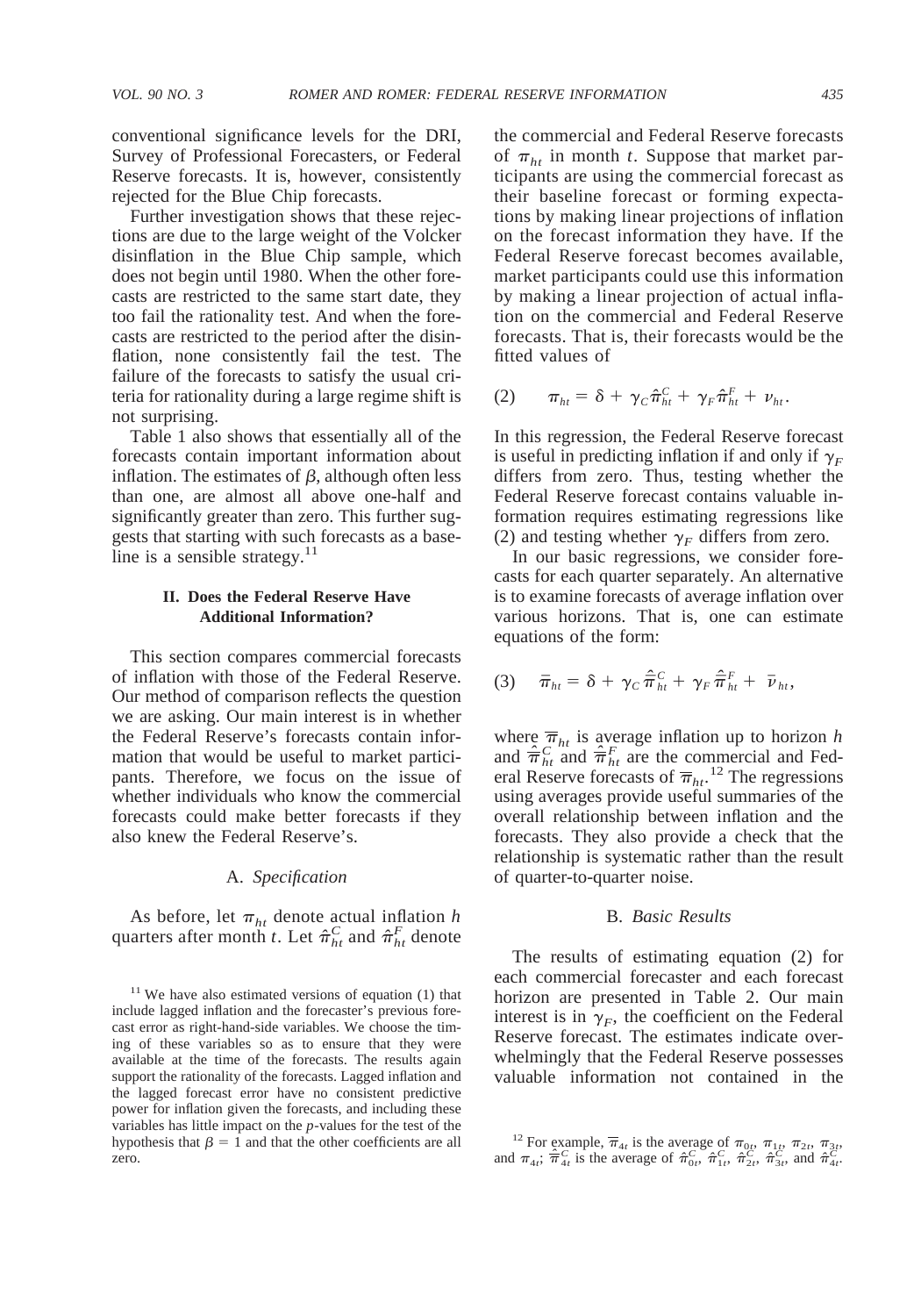conventional significance levels for the DRI, Survey of Professional Forecasters, or Federal Reserve forecasts. It is, however, consistently rejected for the Blue Chip forecasts.

Further investigation shows that these rejections are due to the large weight of the Volcker disinflation in the Blue Chip sample, which does not begin until 1980. When the other forecasts are restricted to the same start date, they too fail the rationality test. And when the forecasts are restricted to the period after the disinflation, none consistently fail the test. The failure of the forecasts to satisfy the usual criteria for rationality during a large regime shift is not surprising.

Table 1 also shows that essentially all of the forecasts contain important information about inflation. The estimates of  $\beta$ , although often less than one, are almost all above one-half and significantly greater than zero. This further suggests that starting with such forecasts as a baseline is a sensible strategy. $11$ 

# **II. Does the Federal Reserve Have Additional Information?**

This section compares commercial forecasts of inflation with those of the Federal Reserve. Our method of comparison reflects the question we are asking. Our main interest is in whether the Federal Reserve's forecasts contain information that would be useful to market participants. Therefore, we focus on the issue of whether individuals who know the commercial forecasts could make better forecasts if they also knew the Federal Reserve's.

### A. *Specification*

As before, let  $\pi_{ht}$  denote actual inflation *h* quarters after month *t*. Let  $\hat{\pi}_{ht}^C$  and  $\hat{\pi}_{ht}^F$  denote

the commercial and Federal Reserve forecasts of  $\pi_{ht}$  in month *t*. Suppose that market participants are using the commercial forecast as their baseline forecast or forming expectations by making linear projections of inflation on the forecast information they have. If the Federal Reserve forecast becomes available, market participants could use this information by making a linear projection of actual inflation on the commercial and Federal Reserve forecasts. That is, their forecasts would be the fitted values of

$$
(2) \qquad \pi_{ht} = \delta + \gamma_C \hat{\pi}_{ht}^C + \gamma_F \hat{\pi}_{ht}^F + \nu_{ht}.
$$

In this regression, the Federal Reserve forecast is useful in predicting inflation if and only if  $\gamma_F$ differs from zero. Thus, testing whether the Federal Reserve forecast contains valuable information requires estimating regressions like (2) and testing whether  $\gamma_F$  differs from zero.

In our basic regressions, we consider forecasts for each quarter separately. An alternative is to examine forecasts of average inflation over various horizons. That is, one can estimate equations of the form:

$$
(3) \quad \bar{\pi}_{ht} = \delta + \gamma_C \hat{\bar{\pi}}_{ht}^C + \gamma_F \hat{\bar{\pi}}_{ht}^F + \bar{\nu}_{ht},
$$

where  $\overline{\pi}_{ht}$  is average inflation up to horizon *h* and  $\hat{\overline{\pi}}_{ht}^C$  and  $\hat{\overline{\pi}}_{ht}^F$  are the commercial and Federal Reserve forecasts of  $\overline{\pi}_{h}$ <sup>12</sup> The regressions using averages provide useful summaries of the overall relationship between inflation and the forecasts. They also provide a check that the relationship is systematic rather than the result of quarter-to-quarter noise.

### B. *Basic Results*

The results of estimating equation (2) for each commercial forecaster and each forecast horizon are presented in Table 2. Our main interest is in  $\gamma_F$ , the coefficient on the Federal Reserve forecast. The estimates indicate overwhelmingly that the Federal Reserve possesses valuable information not contained in the

 $11$  We have also estimated versions of equation (1) that include lagged inflation and the forecaster's previous forecast error as right-hand-side variables. We choose the timing of these variables so as to ensure that they were available at the time of the forecasts. The results again support the rationality of the forecasts. Lagged inflation and the lagged forecast error have no consistent predictive power for inflation given the forecasts, and including these variables has little impact on the *p*-values for the test of the hypothesis that  $\beta = 1$  and that the other coefficients are all zero.

<sup>&</sup>lt;sup>12</sup> For example,  $\overline{\pi}_{4t}$  is the average of  $\pi_{0t}$ ,  $\pi_{1t}$ ,  $\pi_{2t}$ ,  $\pi_{3t}$ , and  $\pi_{4t}$ ;  $\hat{\pi}_{4t}^C$  is the average of  $\hat{\pi}_{0t}^C$ ,  $\hat{\pi}_{1t}^C$ ,  $\hat{\pi}_{2t}^C$ ,  $\hat{\pi}_{3t}^C$ , and  $\hat{\pi}_{4t}^C$ .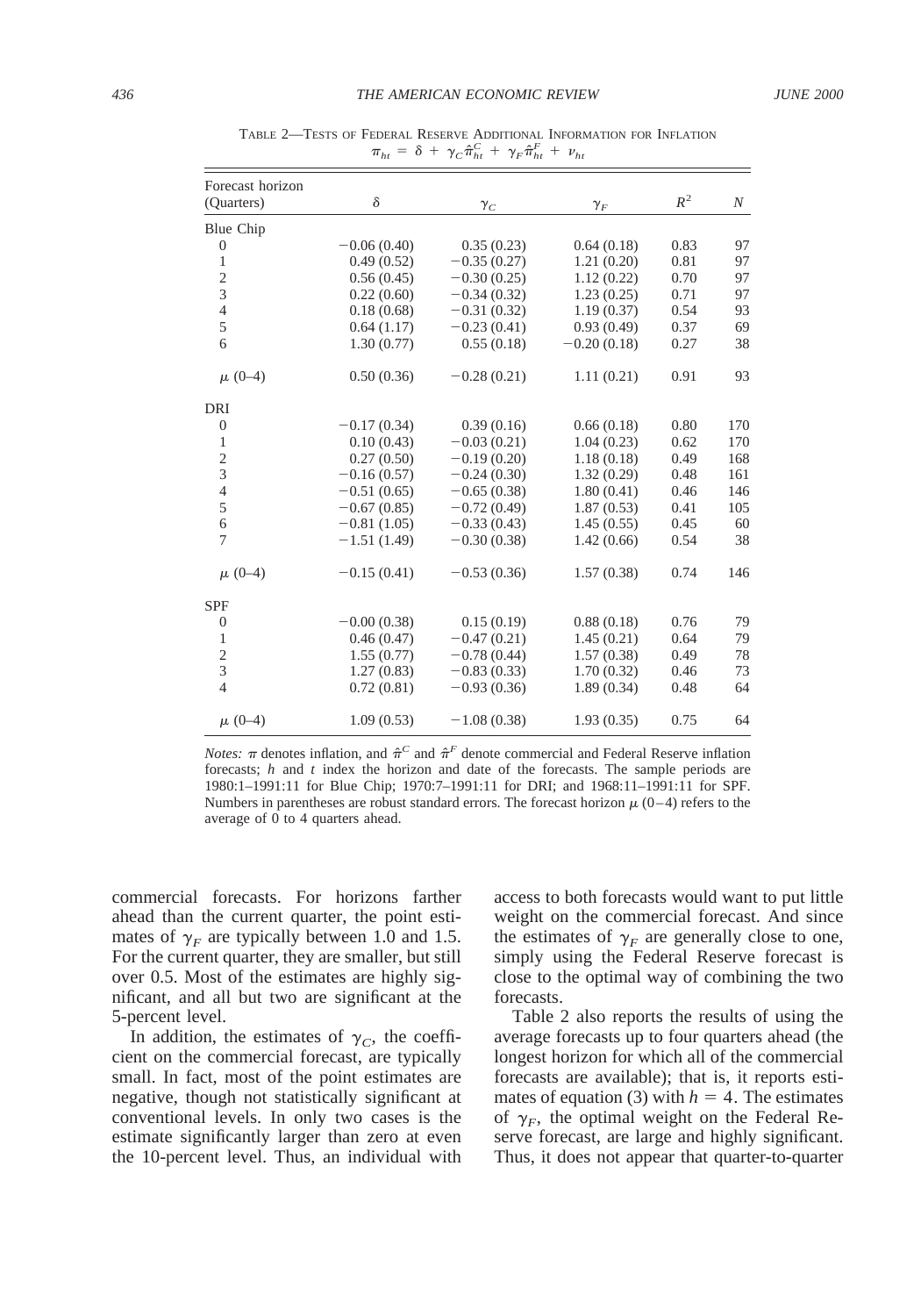| Forecast horizon<br>(Quarters) | $\delta$      | $\gamma_C$    | $\gamma_F$    | $R^2$ | N   |
|--------------------------------|---------------|---------------|---------------|-------|-----|
|                                |               |               |               |       |     |
| Blue Chip                      |               |               |               |       |     |
| $\mathbf{0}$                   | $-0.06(0.40)$ | 0.35(0.23)    | 0.64(0.18)    | 0.83  | 97  |
| $\mathbf{1}$                   | 0.49(0.52)    | $-0.35(0.27)$ | 1.21(0.20)    | 0.81  | 97  |
| $\frac{2}{3}$                  | 0.56(0.45)    | $-0.30(0.25)$ | 1.12(0.22)    | 0.70  | 97  |
|                                | 0.22(0.60)    | $-0.34(0.32)$ | 1.23(0.25)    | 0.71  | 97  |
| $\overline{4}$                 | 0.18(0.68)    | $-0.31(0.32)$ | 1.19(0.37)    | 0.54  | 93  |
| $\mathfrak s$                  | 0.64(1.17)    | $-0.23(0.41)$ | 0.93(0.49)    | 0.37  | 69  |
| 6                              | 1.30(0.77)    | 0.55(0.18)    | $-0.20(0.18)$ | 0.27  | 38  |
| $\mu$ (0-4)                    | 0.50(0.36)    | $-0.28(0.21)$ | 1.11(0.21)    | 0.91  | 93  |
| DRI                            |               |               |               |       |     |
| $\boldsymbol{0}$               | $-0.17(0.34)$ | 0.39(0.16)    | 0.66(0.18)    | 0.80  | 170 |
| $\mathbf{1}$                   | 0.10(0.43)    | $-0.03(0.21)$ | 1.04(0.23)    | 0.62  | 170 |
|                                | 0.27(0.50)    | $-0.19(0.20)$ | 1.18(0.18)    | 0.49  | 168 |
| $\frac{2}{3}$                  | $-0.16(0.57)$ | $-0.24(0.30)$ | 1.32(0.29)    | 0.48  | 161 |
| $\overline{4}$                 | $-0.51(0.65)$ | $-0.65(0.38)$ | 1.80(0.41)    | 0.46  | 146 |
| 5                              | $-0.67(0.85)$ | $-0.72(0.49)$ | 1.87(0.53)    | 0.41  | 105 |
| 6                              | $-0.81(1.05)$ | $-0.33(0.43)$ | 1.45(0.55)    | 0.45  | 60  |
| $\overline{7}$                 | $-1.51(1.49)$ | $-0.30(0.38)$ | 1.42(0.66)    | 0.54  | 38  |
| $\mu$ (0-4)                    | $-0.15(0.41)$ | $-0.53(0.36)$ | 1.57(0.38)    | 0.74  | 146 |
| <b>SPF</b>                     |               |               |               |       |     |
| $\boldsymbol{0}$               | $-0.00(0.38)$ | 0.15(0.19)    | 0.88(0.18)    | 0.76  | 79  |
| $\mathbf{1}$                   | 0.46(0.47)    | $-0.47(0.21)$ | 1.45(0.21)    | 0.64  | 79  |
|                                | 1.55(0.77)    | $-0.78(0.44)$ | 1.57(0.38)    | 0.49  | 78  |
| $\frac{2}{3}$                  | 1.27(0.83)    | $-0.83(0.33)$ | 1.70(0.32)    | 0.46  | 73  |
| $\overline{4}$                 | 0.72(0.81)    | $-0.93(0.36)$ | 1.89(0.34)    | 0.48  | 64  |
| $\mu$ (0-4)                    | 1.09(0.53)    | $-1.08(0.38)$ | 1.93(0.35)    | 0.75  | 64  |

TABLE 2—TESTS OF FEDERAL RESERVE ADDITIONAL INFORMATION FOR INFLATION  $\pi_{ht} = \delta + \gamma_C \hat{\pi}_{ht}^C + \gamma_F \hat{\pi}_{ht}^F + \nu_{ht}$ 

*Notes:*  $\pi$  denotes inflation, and  $\hat{\pi}^C$  and  $\hat{\pi}^F$  denote commercial and Federal Reserve inflation forecasts; *h* and *t* index the horizon and date of the forecasts. The sample periods are 1980:1–1991:11 for Blue Chip; 1970:7–1991:11 for DRI; and 1968:11–1991:11 for SPF. Numbers in parentheses are robust standard errors. The forecast horizon  $\mu$  (0–4) refers to the average of  $\vec{0}$  to 4 quarters ahead.

commercial forecasts. For horizons farther ahead than the current quarter, the point estimates of  $\gamma_F$  are typically between 1.0 and 1.5. For the current quarter, they are smaller, but still over 0.5. Most of the estimates are highly significant, and all but two are significant at the 5-percent level.

In addition, the estimates of  $\gamma_c$ , the coefficient on the commercial forecast, are typically small. In fact, most of the point estimates are negative, though not statistically significant at conventional levels. In only two cases is the estimate significantly larger than zero at even the 10-percent level. Thus, an individual with access to both forecasts would want to put little weight on the commercial forecast. And since the estimates of  $\gamma_F$  are generally close to one, simply using the Federal Reserve forecast is close to the optimal way of combining the two forecasts.

Table 2 also reports the results of using the average forecasts up to four quarters ahead (the longest horizon for which all of the commercial forecasts are available); that is, it reports estimates of equation (3) with  $h = 4$ . The estimates of  $\gamma_F$ , the optimal weight on the Federal Reserve forecast, are large and highly significant. Thus, it does not appear that quarter-to-quarter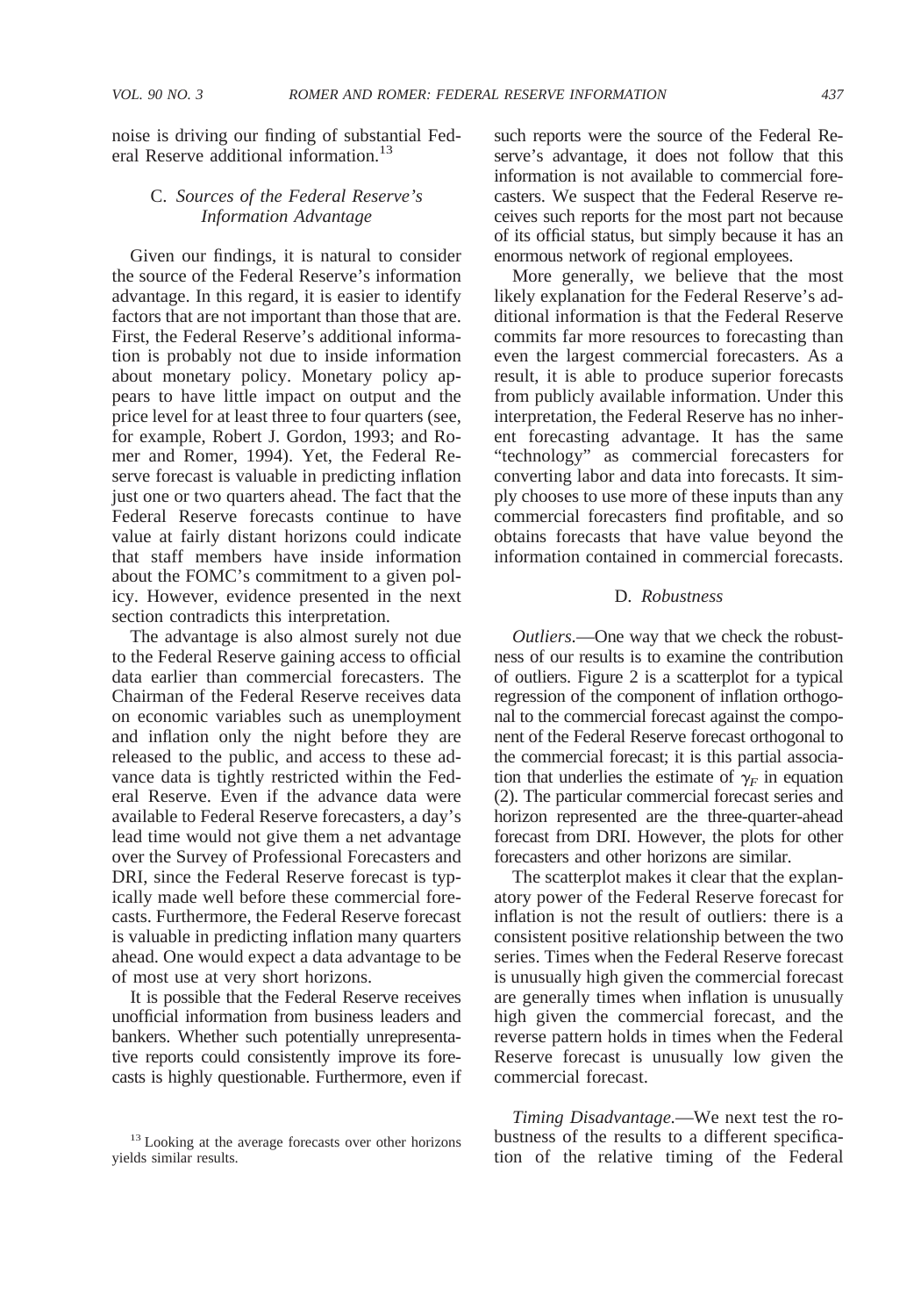noise is driving our finding of substantial Federal Reserve additional information.<sup>13</sup>

# C. *Sources of the Federal Reserve's Information Advantage*

Given our findings, it is natural to consider the source of the Federal Reserve's information advantage. In this regard, it is easier to identify factors that are not important than those that are. First, the Federal Reserve's additional information is probably not due to inside information about monetary policy. Monetary policy appears to have little impact on output and the price level for at least three to four quarters (see, for example, Robert J. Gordon, 1993; and Romer and Romer, 1994). Yet, the Federal Reserve forecast is valuable in predicting inflation just one or two quarters ahead. The fact that the Federal Reserve forecasts continue to have value at fairly distant horizons could indicate that staff members have inside information about the FOMC's commitment to a given policy. However, evidence presented in the next section contradicts this interpretation.

The advantage is also almost surely not due to the Federal Reserve gaining access to official data earlier than commercial forecasters. The Chairman of the Federal Reserve receives data on economic variables such as unemployment and inflation only the night before they are released to the public, and access to these advance data is tightly restricted within the Federal Reserve. Even if the advance data were available to Federal Reserve forecasters, a day's lead time would not give them a net advantage over the Survey of Professional Forecasters and DRI, since the Federal Reserve forecast is typically made well before these commercial forecasts. Furthermore, the Federal Reserve forecast is valuable in predicting inflation many quarters ahead. One would expect a data advantage to be of most use at very short horizons.

It is possible that the Federal Reserve receives unofficial information from business leaders and bankers. Whether such potentially unrepresentative reports could consistently improve its forecasts is highly questionable. Furthermore, even if such reports were the source of the Federal Reserve's advantage, it does not follow that this information is not available to commercial forecasters. We suspect that the Federal Reserve receives such reports for the most part not because of its official status, but simply because it has an enormous network of regional employees.

More generally, we believe that the most likely explanation for the Federal Reserve's additional information is that the Federal Reserve commits far more resources to forecasting than even the largest commercial forecasters. As a result, it is able to produce superior forecasts from publicly available information. Under this interpretation, the Federal Reserve has no inherent forecasting advantage. It has the same "technology" as commercial forecasters for converting labor and data into forecasts. It simply chooses to use more of these inputs than any commercial forecasters find profitable, and so obtains forecasts that have value beyond the information contained in commercial forecasts.

## D. *Robustness*

*Outliers.*—One way that we check the robustness of our results is to examine the contribution of outliers. Figure 2 is a scatterplot for a typical regression of the component of inflation orthogonal to the commercial forecast against the component of the Federal Reserve forecast orthogonal to the commercial forecast; it is this partial association that underlies the estimate of  $\gamma_F$  in equation (2). The particular commercial forecast series and horizon represented are the three-quarter-ahead forecast from DRI. However, the plots for other forecasters and other horizons are similar.

The scatterplot makes it clear that the explanatory power of the Federal Reserve forecast for inflation is not the result of outliers: there is a consistent positive relationship between the two series. Times when the Federal Reserve forecast is unusually high given the commercial forecast are generally times when inflation is unusually high given the commercial forecast, and the reverse pattern holds in times when the Federal Reserve forecast is unusually low given the commercial forecast.

*Timing Disadvantage.*—We next test the robustness of the results to a different specification of the relative timing of the Federal

<sup>&</sup>lt;sup>13</sup> Looking at the average forecasts over other horizons yields similar results.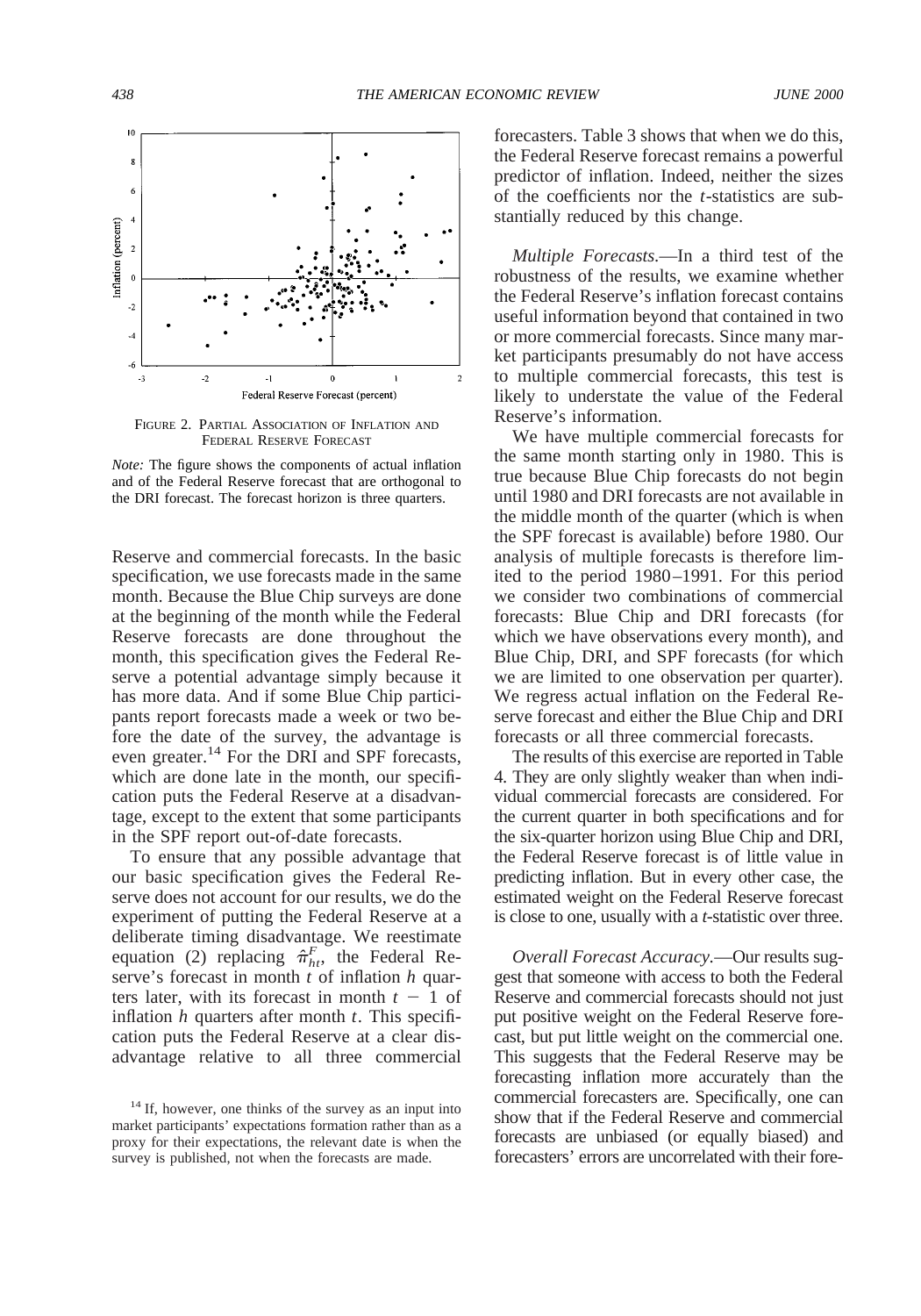

FIGURE 2. PARTIAL ASSOCIATION OF INFLATION AND FEDERAL RESERVE FORECAST



Reserve and commercial forecasts. In the basic specification, we use forecasts made in the same month. Because the Blue Chip surveys are done at the beginning of the month while the Federal Reserve forecasts are done throughout the month, this specification gives the Federal Reserve a potential advantage simply because it has more data. And if some Blue Chip participants report forecasts made a week or two before the date of the survey, the advantage is even greater.<sup>14</sup> For the DRI and SPF forecasts, which are done late in the month, our specification puts the Federal Reserve at a disadvantage, except to the extent that some participants in the SPF report out-of-date forecasts.

To ensure that any possible advantage that our basic specification gives the Federal Reserve does not account for our results, we do the experiment of putting the Federal Reserve at a deliberate timing disadvantage. We reestimate equation (2) replacing  $\hat{\pi}_{h}^F$ , the Federal Reserve's forecast in month *t* of inflation *h* quarters later, with its forecast in month  $t - 1$  of inflation *h* quarters after month *t*. This specification puts the Federal Reserve at a clear disadvantage relative to all three commercial

forecasters. Table 3 shows that when we do this, the Federal Reserve forecast remains a powerful predictor of inflation. Indeed, neither the sizes of the coefficients nor the *t*-statistics are substantially reduced by this change.

*Multiple Forecasts.*—In a third test of the robustness of the results, we examine whether the Federal Reserve's inflation forecast contains useful information beyond that contained in two or more commercial forecasts. Since many market participants presumably do not have access to multiple commercial forecasts, this test is likely to understate the value of the Federal Reserve's information.

We have multiple commercial forecasts for the same month starting only in 1980. This is true because Blue Chip forecasts do not begin until 1980 and DRI forecasts are not available in the middle month of the quarter (which is when the SPF forecast is available) before 1980. Our analysis of multiple forecasts is therefore limited to the period 1980–1991. For this period we consider two combinations of commercial forecasts: Blue Chip and DRI forecasts (for which we have observations every month), and Blue Chip, DRI, and SPF forecasts (for which we are limited to one observation per quarter). We regress actual inflation on the Federal Reserve forecast and either the Blue Chip and DRI forecasts or all three commercial forecasts.

The results of this exercise are reported in Table 4. They are only slightly weaker than when individual commercial forecasts are considered. For the current quarter in both specifications and for the six-quarter horizon using Blue Chip and DRI, the Federal Reserve forecast is of little value in predicting inflation. But in every other case, the estimated weight on the Federal Reserve forecast is close to one, usually with a *t*-statistic over three.

*Overall Forecast Accuracy.*—Our results suggest that someone with access to both the Federal Reserve and commercial forecasts should not just put positive weight on the Federal Reserve forecast, but put little weight on the commercial one. This suggests that the Federal Reserve may be forecasting inflation more accurately than the commercial forecasters are. Specifically, one can show that if the Federal Reserve and commercial forecasts are unbiased (or equally biased) and forecasters' errors are uncorrelated with their fore-

<sup>&</sup>lt;sup>14</sup> If, however, one thinks of the survey as an input into market participants' expectations formation rather than as a proxy for their expectations, the relevant date is when the survey is published, not when the forecasts are made.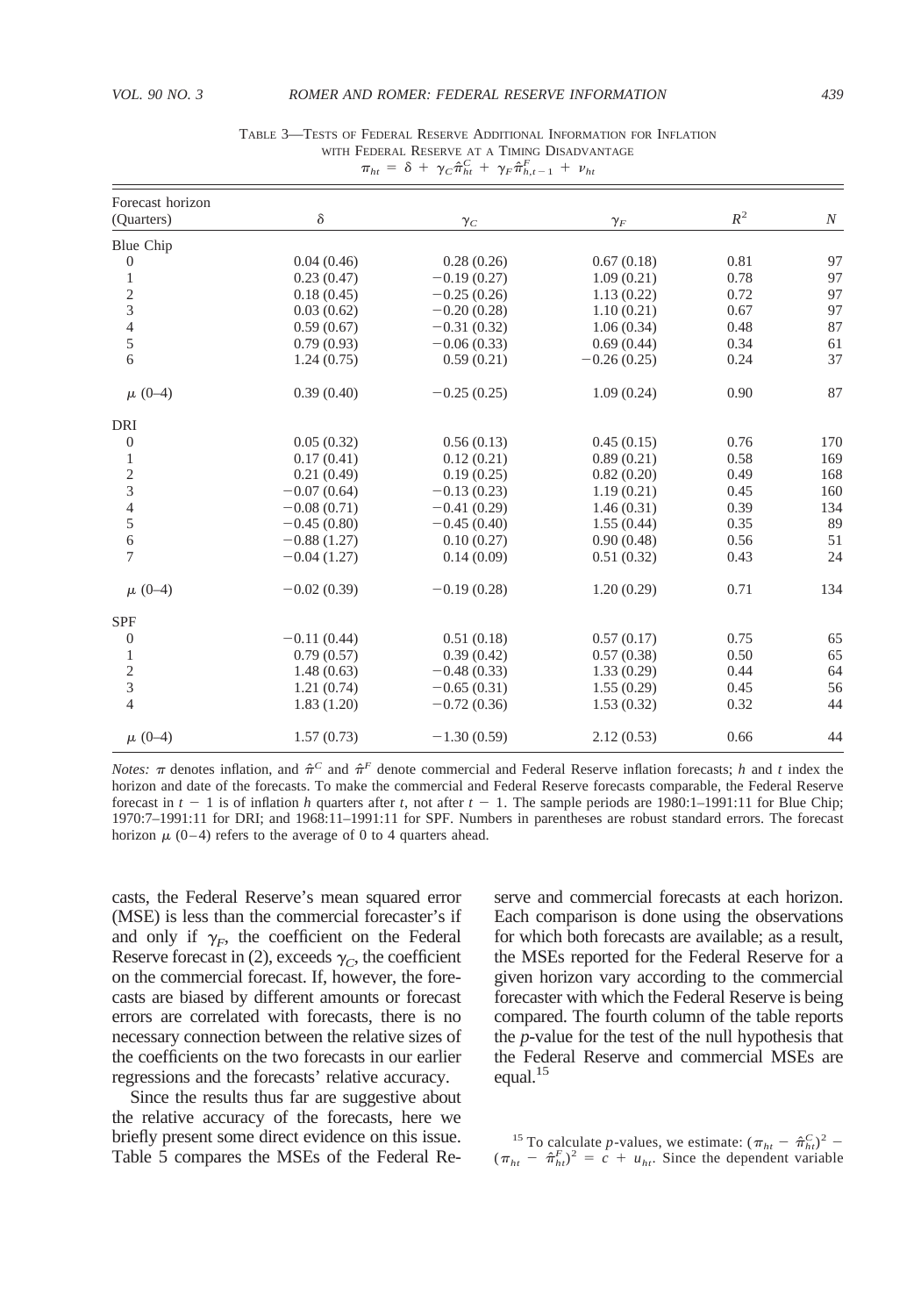| Forecast horizon |               |               |               |       |     |
|------------------|---------------|---------------|---------------|-------|-----|
| (Quarters)       | δ             | $\gamma_C$    | $\gamma_F$    | $R^2$ | N   |
| Blue Chip        |               |               |               |       |     |
| $\boldsymbol{0}$ | 0.04(0.46)    | 0.28(0.26)    | 0.67(0.18)    | 0.81  | 97  |
| $\mathbf{1}$     | 0.23(0.47)    | $-0.19(0.27)$ | 1.09(0.21)    | 0.78  | 97  |
|                  | 0.18(0.45)    | $-0.25(0.26)$ | 1.13(0.22)    | 0.72  | 97  |
| $\frac{2}{3}$    | 0.03(0.62)    | $-0.20(0.28)$ | 1.10(0.21)    | 0.67  | 97  |
| 4                | 0.59(0.67)    | $-0.31(0.32)$ | 1.06(0.34)    | 0.48  | 87  |
| 5                | 0.79(0.93)    | $-0.06(0.33)$ | 0.69(0.44)    | 0.34  | 61  |
| 6                | 1.24(0.75)    | 0.59(0.21)    | $-0.26(0.25)$ | 0.24  | 37  |
| $\mu$ (0-4)      | 0.39(0.40)    | $-0.25(0.25)$ | 1.09(0.24)    | 0.90  | 87  |
| DRI              |               |               |               |       |     |
| $\mathbf{0}$     | 0.05(0.32)    | 0.56(0.13)    | 0.45(0.15)    | 0.76  | 170 |
| 1                | 0.17(0.41)    | 0.12(0.21)    | 0.89(0.21)    | 0.58  | 169 |
| $\overline{c}$   | 0.21(0.49)    | 0.19(0.25)    | 0.82(0.20)    | 0.49  | 168 |
| 3                | $-0.07(0.64)$ | $-0.13(0.23)$ | 1.19(0.21)    | 0.45  | 160 |
| 4                | $-0.08(0.71)$ | $-0.41(0.29)$ | 1.46(0.31)    | 0.39  | 134 |
| 5                | $-0.45(0.80)$ | $-0.45(0.40)$ | 1.55(0.44)    | 0.35  | 89  |
| 6                | $-0.88(1.27)$ | 0.10(0.27)    | 0.90(0.48)    | 0.56  | 51  |
| $\overline{7}$   | $-0.04(1.27)$ | 0.14(0.09)    | 0.51(0.32)    | 0.43  | 24  |
| $\mu$ (0-4)      | $-0.02(0.39)$ | $-0.19(0.28)$ | 1.20(0.29)    | 0.71  | 134 |
| <b>SPF</b>       |               |               |               |       |     |
| $\boldsymbol{0}$ | $-0.11(0.44)$ | 0.51(0.18)    | 0.57(0.17)    | 0.75  | 65  |
| $\mathbf{1}$     | 0.79(0.57)    | 0.39(0.42)    | 0.57(0.38)    | 0.50  | 65  |
|                  | 1.48(0.63)    | $-0.48(0.33)$ | 1.33(0.29)    | 0.44  | 64  |
| $\frac{2}{3}$    | 1.21(0.74)    | $-0.65(0.31)$ | 1.55(0.29)    | 0.45  | 56  |
| $\overline{4}$   | 1.83(1.20)    | $-0.72(0.36)$ | 1.53(0.32)    | 0.32  | 44  |
| $\mu$ (0-4)      | 1.57(0.73)    | $-1.30(0.59)$ | 2.12(0.53)    | 0.66  | 44  |

TABLE 3—TESTS OF FEDERAL RESERVE ADDITIONAL INFORMATION FOR INFLATION WITH FEDERAL RESERVE AT A TIMING DISADVANTAGE  $\pi_{ht} = \delta + \gamma_C \hat{\pi}_{ht}^C + \gamma_F \hat{\pi}_{h,t-1}^F + \nu_{ht}$ 

*Notes:*  $\pi$  denotes inflation, and  $\hat{\pi}^C$  and  $\hat{\pi}^F$  denote commercial and Federal Reserve inflation forecasts; *h* and *t* index the horizon and date of the forecasts. To make the commercial and Federal Reserve forecasts comparable, the Federal Reserve forecast in  $t - 1$  is of inflation *h* quarters after *t*, not after  $t - 1$ . The sample periods are 1980:1–1991:11 for Blue Chip; 1970:7–1991:11 for DRI; and 1968:11–1991:11 for SPF. Numbers in parentheses are robust standard errors. The forecast horizon  $\mu$  (0–4) refers to the average of 0 to 4 quarters ahead.

casts, the Federal Reserve's mean squared error (MSE) is less than the commercial forecaster's if and only if  $\gamma_F$ , the coefficient on the Federal Reserve forecast in (2), exceeds  $\gamma_C$ , the coefficient on the commercial forecast. If, however, the forecasts are biased by different amounts or forecast errors are correlated with forecasts, there is no necessary connection between the relative sizes of the coefficients on the two forecasts in our earlier regressions and the forecasts' relative accuracy.

Since the results thus far are suggestive about the relative accuracy of the forecasts, here we briefly present some direct evidence on this issue. Table 5 compares the MSEs of the Federal Re-

serve and commercial forecasts at each horizon. Each comparison is done using the observations for which both forecasts are available; as a result, the MSEs reported for the Federal Reserve for a given horizon vary according to the commercial forecaster with which the Federal Reserve is being compared. The fourth column of the table reports the *p*-value for the test of the null hypothesis that the Federal Reserve and commercial MSEs are equal.<sup>15</sup>

<sup>15</sup> To calculate *p*-values, we estimate:  $(\pi_{ht} - \hat{\pi}_{ht}^C)^2$  –  $(\pi_{ht} - \hat{\pi}_{ht}^F)^2 = c + u_{ht}$ . Since the dependent variable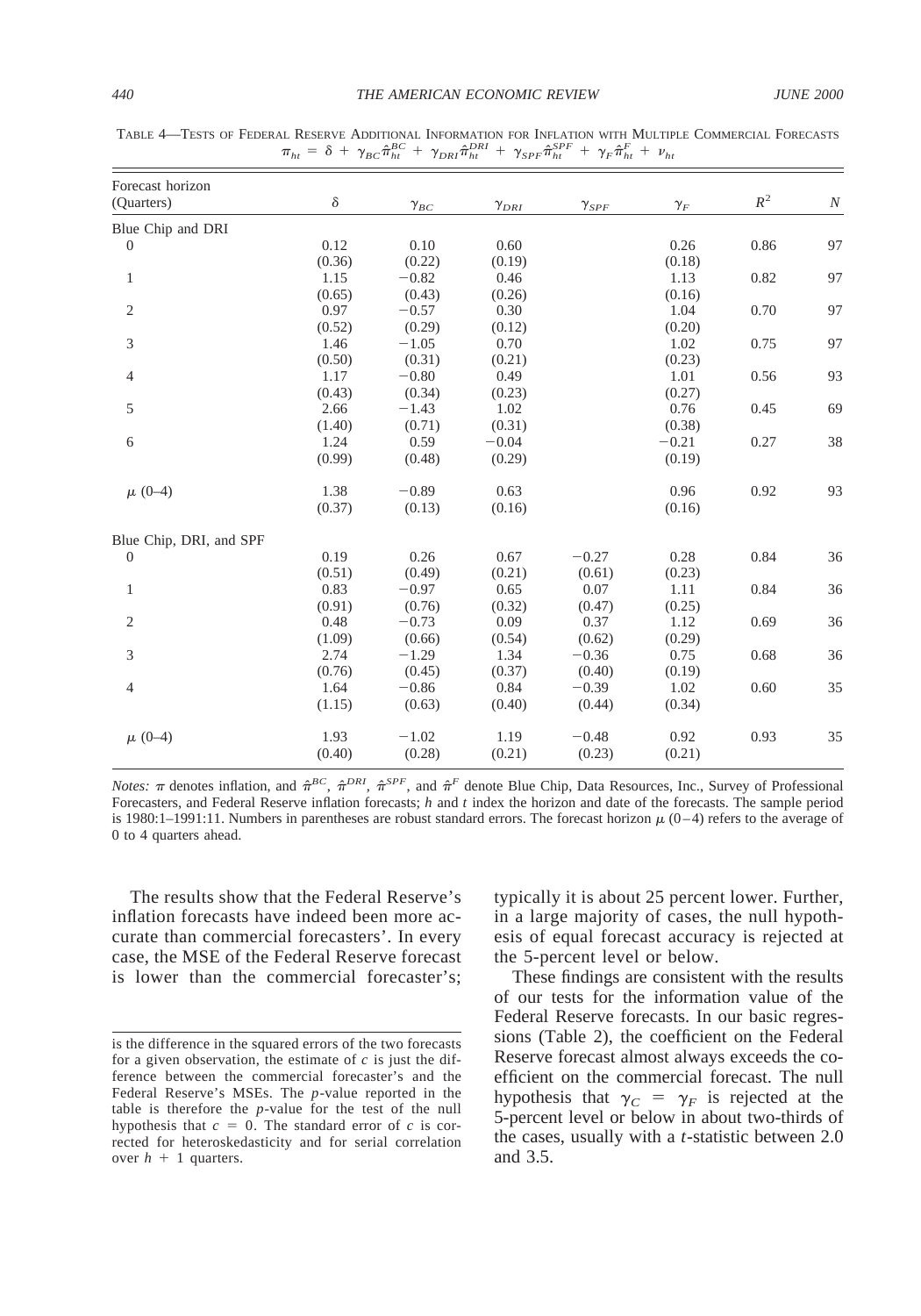| Forecast horizon        |          |                                  |                |                |            |       |                  |
|-------------------------|----------|----------------------------------|----------------|----------------|------------|-------|------------------|
| (Quarters)              | $\delta$ | $\gamma_{\scriptscriptstyle BC}$ | $\gamma_{DRI}$ | $\gamma_{SPF}$ | $\gamma_F$ | $R^2$ | $\boldsymbol{N}$ |
| Blue Chip and DRI       |          |                                  |                |                |            |       |                  |
| $\boldsymbol{0}$        | 0.12     | 0.10                             | 0.60           |                | 0.26       | 0.86  | 97               |
|                         | (0.36)   | (0.22)                           | (0.19)         |                | (0.18)     |       |                  |
| $\mathbf{1}$            | 1.15     | $-0.82$                          | 0.46           |                | 1.13       | 0.82  | 97               |
|                         | (0.65)   | (0.43)                           | (0.26)         |                | (0.16)     |       |                  |
| $\overline{2}$          | 0.97     | $-0.57$                          | 0.30           |                | 1.04       | 0.70  | 97               |
|                         | (0.52)   | (0.29)                           | (0.12)         |                | (0.20)     |       |                  |
| 3                       | 1.46     | $-1.05$                          | 0.70           |                | 1.02       | 0.75  | 97               |
|                         | (0.50)   | (0.31)                           | (0.21)         |                | (0.23)     |       |                  |
| $\overline{4}$          | 1.17     | $-0.80$                          | 0.49           |                | 1.01       | 0.56  | 93               |
|                         | (0.43)   | (0.34)                           | (0.23)         |                | (0.27)     |       |                  |
| 5                       | 2.66     | $-1.43$                          | 1.02           |                | 0.76       | 0.45  | 69               |
|                         | (1.40)   | (0.71)                           | (0.31)         |                | (0.38)     |       |                  |
| 6                       | 1.24     | 0.59                             | $-0.04$        |                | $-0.21$    | 0.27  | 38               |
|                         | (0.99)   | (0.48)                           | (0.29)         |                | (0.19)     |       |                  |
| $\mu$ (0-4)             | 1.38     | $-0.89$                          | 0.63           |                | 0.96       | 0.92  | 93               |
|                         | (0.37)   | (0.13)                           | (0.16)         |                | (0.16)     |       |                  |
| Blue Chip, DRI, and SPF |          |                                  |                |                |            |       |                  |
| $\mathbf{0}$            | 0.19     | 0.26                             | 0.67           | $-0.27$        | 0.28       | 0.84  | 36               |
|                         | (0.51)   | (0.49)                           | (0.21)         | (0.61)         | (0.23)     |       |                  |
| $\mathbf{1}$            | 0.83     | $-0.97$                          | 0.65           | 0.07           | 1.11       | 0.84  | 36               |
|                         | (0.91)   | (0.76)                           | (0.32)         | (0.47)         | (0.25)     |       |                  |
| $\overline{c}$          | 0.48     | $-0.73$                          | 0.09           | 0.37           | 1.12       | 0.69  | 36               |
|                         | (1.09)   | (0.66)                           | (0.54)         | (0.62)         | (0.29)     |       |                  |
| 3                       | 2.74     | $-1.29$                          | 1.34           | $-0.36$        | 0.75       | 0.68  | 36               |
|                         | (0.76)   | (0.45)                           | (0.37)         | (0.40)         | (0.19)     |       |                  |
| $\overline{4}$          | 1.64     | $-0.86$                          | 0.84           | $-0.39$        | 1.02       | 0.60  | 35               |
|                         | (1.15)   | (0.63)                           | (0.40)         | (0.44)         | (0.34)     |       |                  |
| $\mu$ (0-4)             | 1.93     | $-1.02$                          | 1.19           | $-0.48$        | 0.92       | 0.93  | 35               |
|                         | (0.40)   | (0.28)                           | (0.21)         | (0.23)         | (0.21)     |       |                  |

TABLE 4—TESTS OF FEDERAL RESERVE ADDITIONAL INFORMATION FOR INFLATION WITH MULTIPLE COMMERCIAL FORECASTS  $\pi_{ht} = \delta + \gamma_{BC} \hat{\pi}_{ht}^{BC} + \gamma_{DRI} \hat{\pi}_{ht}^{DRI} + \gamma_{SPF} \hat{\pi}_{ht}^{SPF} + \gamma_F \hat{\pi}_{ht}^F + \nu_{ht}$ 

*Notes:*  $\pi$  denotes inflation, and  $\hat{\pi}^{BC}$ ,  $\hat{\pi}^{DRI}$ ,  $\hat{\pi}^{SPF}$ , and  $\hat{\pi}^F$  denote Blue Chip, Data Resources, Inc., Survey of Professional Forecasters, and Federal Reserve inflation forecasts; *h* and *t* index the horizon and date of the forecasts. The sample period is 1980:1–1991:11. Numbers in parentheses are robust standard errors. The forecast horizon  $\mu$  (0–4) refers to the average of 0 to 4 quarters ahead.

The results show that the Federal Reserve's inflation forecasts have indeed been more accurate than commercial forecasters'. In every case, the MSE of the Federal Reserve forecast is lower than the commercial forecaster's;

typically it is about 25 percent lower. Further, in a large majority of cases, the null hypothesis of equal forecast accuracy is rejected at the 5-percent level or below.

These findings are consistent with the results of our tests for the information value of the Federal Reserve forecasts. In our basic regressions (Table 2), the coefficient on the Federal Reserve forecast almost always exceeds the coefficient on the commercial forecast. The null hypothesis that  $\gamma_C = \gamma_F$  is rejected at the 5-percent level or below in about two-thirds of the cases, usually with a *t*-statistic between 2.0 and 3.5.

is the difference in the squared errors of the two forecasts for a given observation, the estimate of *c* is just the difference between the commercial forecaster's and the Federal Reserve's MSEs. The *p*-value reported in the table is therefore the *p*-value for the test of the null hypothesis that  $c = 0$ . The standard error of  $c$  is corrected for heteroskedasticity and for serial correlation over  $h + 1$  quarters.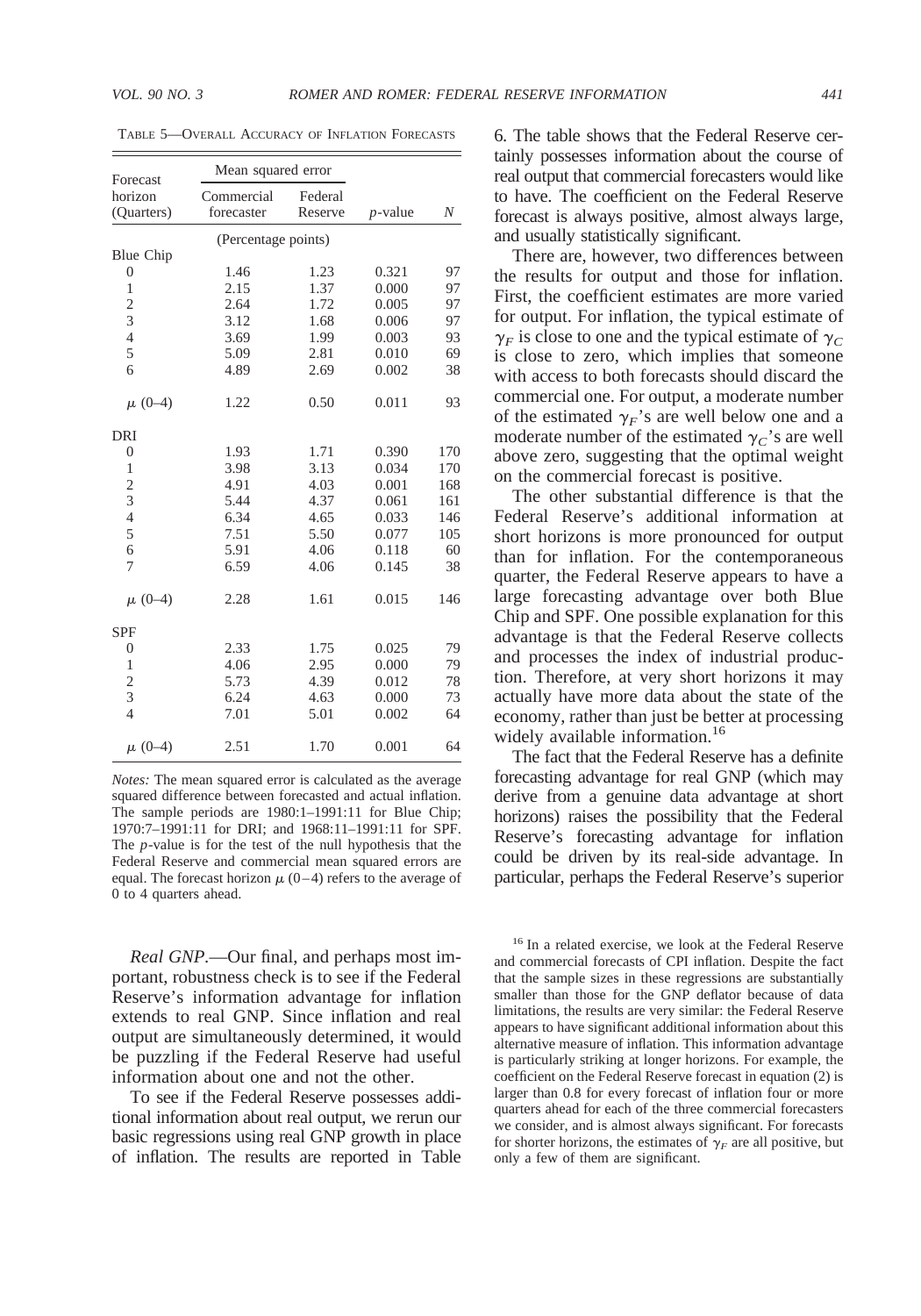| Forecast              | Mean squared error       |                    |            |     |
|-----------------------|--------------------------|--------------------|------------|-----|
| horizon<br>(Quarters) | Commercial<br>forecaster | Federal<br>Reserve | $p$ -value | N   |
|                       | (Percentage points)      |                    |            |     |
| <b>Blue Chip</b>      |                          |                    |            |     |
| $\overline{0}$        | 1.46                     | 1.23               | 0.321      | 97  |
| $\mathbf{1}$          | 2.15                     | 1.37               | 0.000      | 97  |
| $\overline{c}$        | 2.64                     | 1.72               | 0.005      | 97  |
| 3                     | 3.12                     | 1.68               | 0.006      | 97  |
| $\overline{4}$        | 3.69                     | 1.99               | 0.003      | 93  |
| 5                     | 5.09                     | 2.81               | 0.010      | 69  |
| 6                     | 4.89                     | 2.69               | 0.002      | 38  |
| $\mu$ (0-4)           | 1.22                     | 0.50               | 0.011      | 93  |
| DRI                   |                          |                    |            |     |
| $\boldsymbol{0}$      | 1.93                     | 1.71               | 0.390      | 170 |
| $\mathbf{1}$          | 3.98                     | 3.13               | 0.034      | 170 |
| $\overline{c}$        | 4.91                     | 4.03               | 0.001      | 168 |
| 3                     | 5.44                     | 4.37               | 0.061      | 161 |
| $\overline{4}$        | 6.34                     | 4.65               | 0.033      | 146 |
| 5                     | 7.51                     | 5.50               | 0.077      | 105 |
| 6                     | 5.91                     | 4.06               | 0.118      | 60  |
| 7                     | 6.59                     | 4.06               | 0.145      | 38  |
| $\mu$ (0-4)           | 2.28                     | 1.61               | 0.015      | 146 |
| <b>SPF</b>            |                          |                    |            |     |
| $\mathbf{0}$          | 2.33                     | 1.75               | 0.025      | 79  |
| $\mathbf{1}$          | 4.06                     | 2.95               | 0.000      | 79  |
| $\overline{c}$        | 5.73                     | 4.39               | 0.012      | 78  |
| 3                     | 6.24                     | 4.63               | 0.000      | 73  |
| $\overline{4}$        | 7.01                     | 5.01               | 0.002      | 64  |
| $\mu$ (0-4)           | 2.51                     | 1.70               | 0.001      | 64  |

TABLE 5—OVERALL ACCURACY OF INFLATION FORECASTS

*Notes:* The mean squared error is calculated as the average squared difference between forecasted and actual inflation. The sample periods are 1980:1–1991:11 for Blue Chip; 1970:7–1991:11 for DRI; and 1968:11–1991:11 for SPF. The *p*-value is for the test of the null hypothesis that the Federal Reserve and commercial mean squared errors are equal. The forecast horizon  $\mu$  (0–4) refers to the average of 0 to 4 quarters ahead.

*Real GNP.*—Our final, and perhaps most important, robustness check is to see if the Federal Reserve's information advantage for inflation extends to real GNP. Since inflation and real output are simultaneously determined, it would be puzzling if the Federal Reserve had useful information about one and not the other.

To see if the Federal Reserve possesses additional information about real output, we rerun our basic regressions using real GNP growth in place of inflation. The results are reported in Table 6. The table shows that the Federal Reserve certainly possesses information about the course of real output that commercial forecasters would like to have. The coefficient on the Federal Reserve forecast is always positive, almost always large, and usually statistically significant.

There are, however, two differences between the results for output and those for inflation. First, the coefficient estimates are more varied for output. For inflation, the typical estimate of  $\gamma_F$  is close to one and the typical estimate of  $\gamma_C$ is close to zero, which implies that someone with access to both forecasts should discard the commercial one. For output, a moderate number of the estimated  $\gamma_F$ 's are well below one and a moderate number of the estimated  $\gamma_c$ 's are well above zero, suggesting that the optimal weight on the commercial forecast is positive.

The other substantial difference is that the Federal Reserve's additional information at short horizons is more pronounced for output than for inflation. For the contemporaneous quarter, the Federal Reserve appears to have a large forecasting advantage over both Blue Chip and SPF. One possible explanation for this advantage is that the Federal Reserve collects and processes the index of industrial production. Therefore, at very short horizons it may actually have more data about the state of the economy, rather than just be better at processing widely available information.<sup>16</sup>

The fact that the Federal Reserve has a definite forecasting advantage for real GNP (which may derive from a genuine data advantage at short horizons) raises the possibility that the Federal Reserve's forecasting advantage for inflation could be driven by its real-side advantage. In particular, perhaps the Federal Reserve's superior

<sup>16</sup> In a related exercise, we look at the Federal Reserve and commercial forecasts of CPI inflation. Despite the fact that the sample sizes in these regressions are substantially smaller than those for the GNP deflator because of data limitations, the results are very similar: the Federal Reserve appears to have significant additional information about this alternative measure of inflation. This information advantage is particularly striking at longer horizons. For example, the coefficient on the Federal Reserve forecast in equation (2) is larger than 0.8 for every forecast of inflation four or more quarters ahead for each of the three commercial forecasters we consider, and is almost always significant. For forecasts for shorter horizons, the estimates of  $\gamma_F$  are all positive, but only a few of them are significant.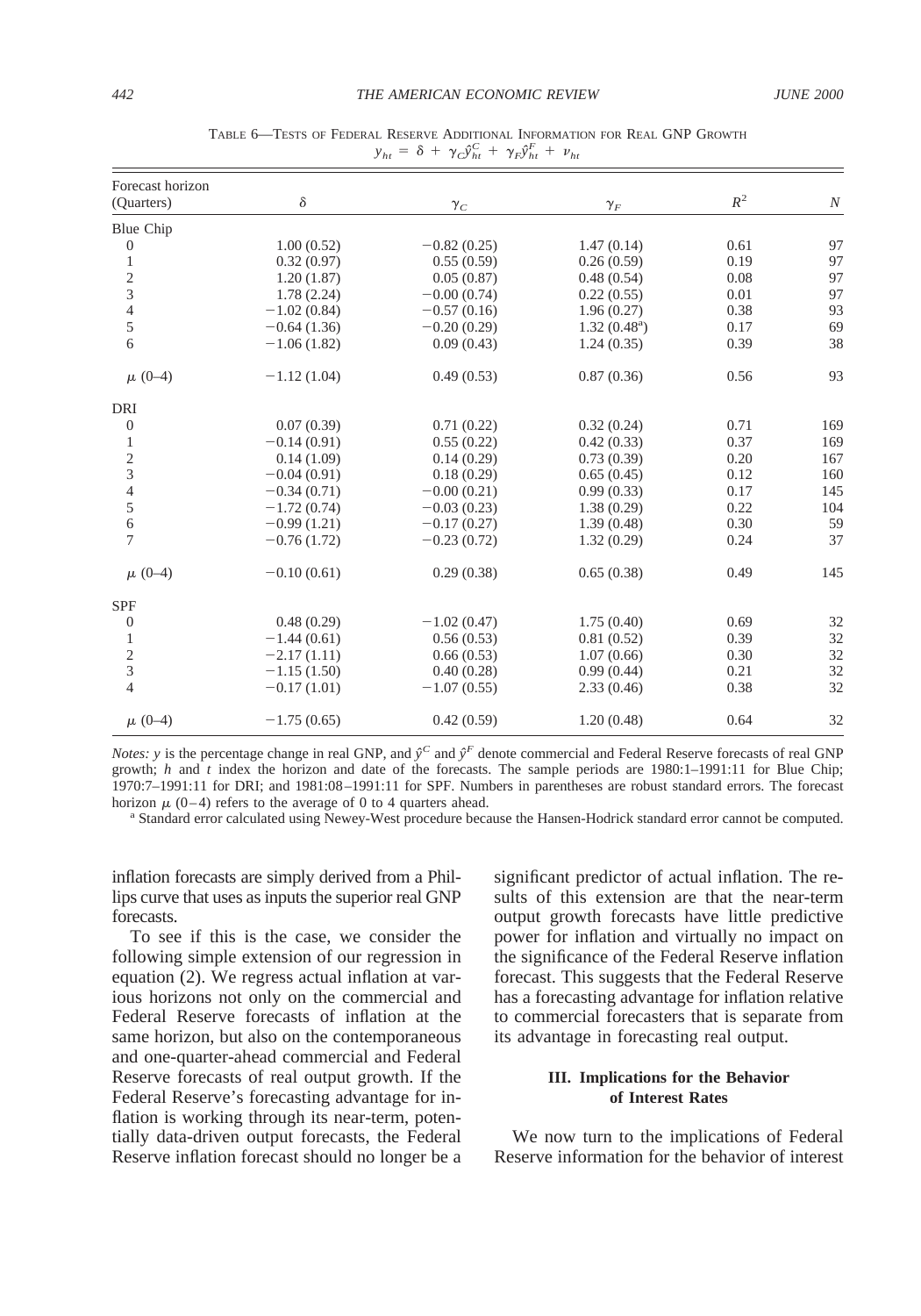| Forecast horizon        |               |               |                      |       |          |
|-------------------------|---------------|---------------|----------------------|-------|----------|
| (Quarters)              | $\delta$      | $\gamma_C$    | $\gamma_F$           | $R^2$ | $\cal N$ |
| Blue Chip               |               |               |                      |       |          |
| $\mathbf{0}$            | 1.00(0.52)    | $-0.82(0.25)$ | 1.47(0.14)           | 0.61  | 97       |
| 1                       | 0.32(0.97)    | 0.55(0.59)    | 0.26(0.59)           | 0.19  | 97       |
| $\overline{c}$          | 1.20(1.87)    | 0.05(0.87)    | 0.48(0.54)           | 0.08  | 97       |
| 3                       | 1.78(2.24)    | $-0.00(0.74)$ | 0.22(0.55)           | 0.01  | 97       |
| $\overline{4}$          | $-1.02(0.84)$ | $-0.57(0.16)$ | 1.96(0.27)           | 0.38  | 93       |
| 5                       | $-0.64(1.36)$ | $-0.20(0.29)$ | $1.32(0.48^{\circ})$ | 0.17  | 69       |
| 6                       | $-1.06(1.82)$ | 0.09(0.43)    | 1.24(0.35)           | 0.39  | 38       |
| $\mu$ (0-4)             | $-1.12(1.04)$ | 0.49(0.53)    | 0.87(0.36)           | 0.56  | 93       |
| DRI                     |               |               |                      |       |          |
| $\mathbf{0}$            | 0.07(0.39)    | 0.71(0.22)    | 0.32(0.24)           | 0.71  | 169      |
| 1                       | $-0.14(0.91)$ | 0.55(0.22)    | 0.42(0.33)           | 0.37  | 169      |
| $\overline{\mathbf{c}}$ | 0.14(1.09)    | 0.14(0.29)    | 0.73(0.39)           | 0.20  | 167      |
| 3                       | $-0.04(0.91)$ | 0.18(0.29)    | 0.65(0.45)           | 0.12  | 160      |
| 4                       | $-0.34(0.71)$ | $-0.00(0.21)$ | 0.99(0.33)           | 0.17  | 145      |
| 5                       | $-1.72(0.74)$ | $-0.03(0.23)$ | 1.38(0.29)           | 0.22  | 104      |
| $\sqrt{6}$              | $-0.99(1.21)$ | $-0.17(0.27)$ | 1.39(0.48)           | 0.30  | 59       |
| $\overline{7}$          | $-0.76(1.72)$ | $-0.23(0.72)$ | 1.32(0.29)           | 0.24  | 37       |
| $\mu$ (0-4)             | $-0.10(0.61)$ | 0.29(0.38)    | 0.65(0.38)           | 0.49  | 145      |
| <b>SPF</b>              |               |               |                      |       |          |
| $\theta$                | 0.48(0.29)    | $-1.02(0.47)$ | 1.75(0.40)           | 0.69  | 32       |
| $\mathbf{1}$            | $-1.44(0.61)$ | 0.56(0.53)    | 0.81(0.52)           | 0.39  | 32       |
| $\overline{c}$          | $-2.17(1.11)$ | 0.66(0.53)    | 1.07(0.66)           | 0.30  | 32       |
| 3                       | $-1.15(1.50)$ | 0.40(0.28)    | 0.99(0.44)           | 0.21  | 32       |
| $\overline{4}$          | $-0.17(1.01)$ | $-1.07(0.55)$ | 2.33(0.46)           | 0.38  | 32       |
| $\mu$ (0-4)             | $-1.75(0.65)$ | 0.42(0.59)    | 1.20(0.48)           | 0.64  | 32       |

TABLE 6—TESTS OF FEDERAL RESERVE ADDITIONAL INFORMATION FOR REAL GNP GROWTH  $y_{ht} = \delta + \gamma_C \hat{y}_{ht}^C + \gamma_F \hat{y}_{ht}^F + \nu_{ht}$ 

*Notes: y* is the percentage change in real GNP, and  $\hat{v}^C$  and  $\hat{v}^F$  denote commercial and Federal Reserve forecasts of real GNP growth; *h* and *t* index the horizon and date of the forecasts. The sample periods are 1980:1–1991:11 for Blue Chip; 1970:7–1991:11 for DRI; and 1981:08–1991:11 for SPF. Numbers in parentheses are robust standard errors. The forecast horizon  $\mu$  (0–4) refers to the average of 0 to 4 quarters ahead.

<sup>a</sup> Standard error calculated using Newey-West procedure because the Hansen-Hodrick standard error cannot be computed.

inflation forecasts are simply derived from a Phillips curve that uses as inputs the superior real GNP forecasts.

To see if this is the case, we consider the following simple extension of our regression in equation (2). We regress actual inflation at various horizons not only on the commercial and Federal Reserve forecasts of inflation at the same horizon, but also on the contemporaneous and one-quarter-ahead commercial and Federal Reserve forecasts of real output growth. If the Federal Reserve's forecasting advantage for inflation is working through its near-term, potentially data-driven output forecasts, the Federal Reserve inflation forecast should no longer be a significant predictor of actual inflation. The results of this extension are that the near-term output growth forecasts have little predictive power for inflation and virtually no impact on the significance of the Federal Reserve inflation forecast. This suggests that the Federal Reserve has a forecasting advantage for inflation relative to commercial forecasters that is separate from its advantage in forecasting real output.

# **III. Implications for the Behavior of Interest Rates**

We now turn to the implications of Federal Reserve information for the behavior of interest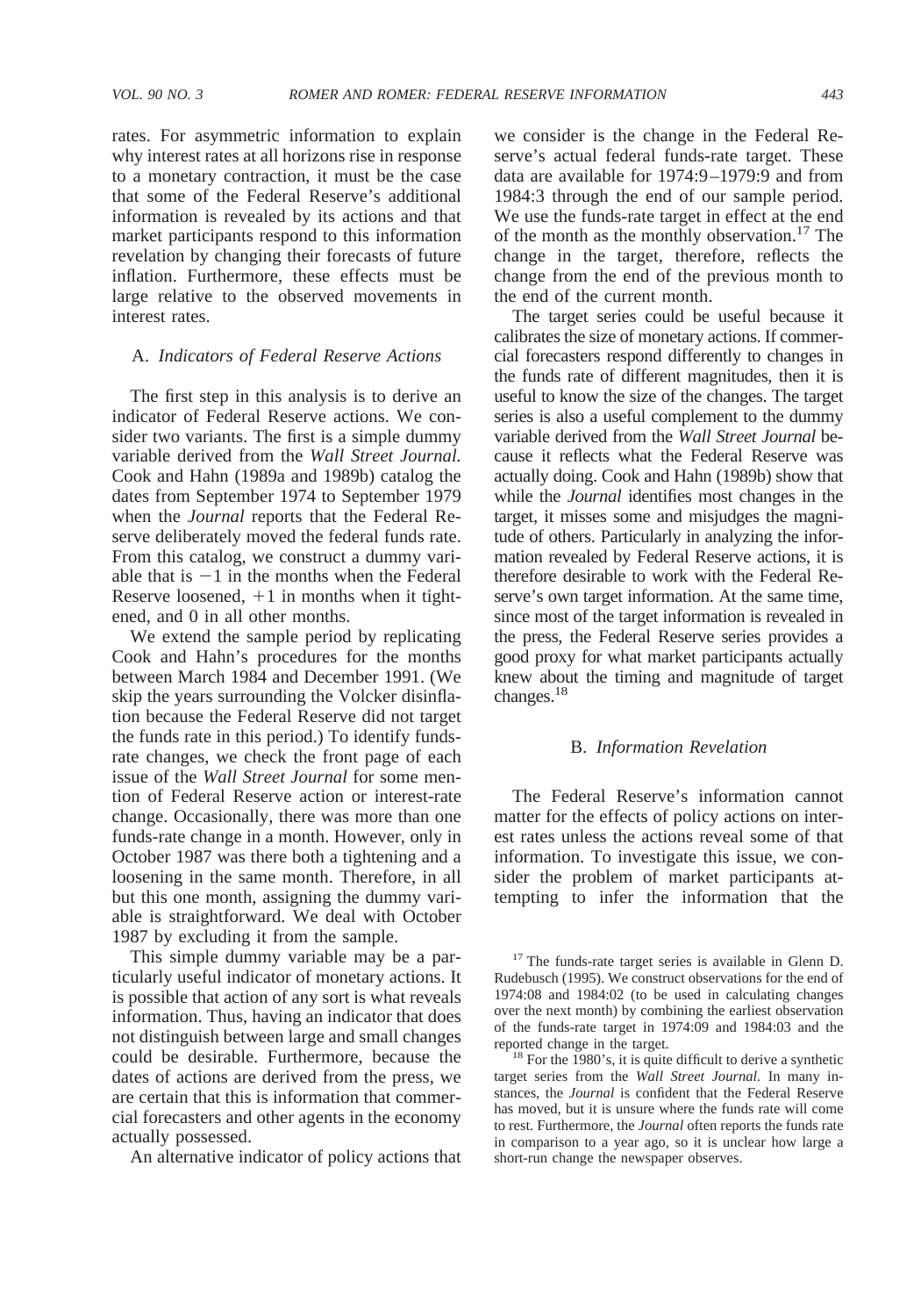rates. For asymmetric information to explain why interest rates at all horizons rise in response to a monetary contraction, it must be the case that some of the Federal Reserve's additional information is revealed by its actions and that market participants respond to this information revelation by changing their forecasts of future inflation. Furthermore, these effects must be large relative to the observed movements in interest rates.

#### A. *Indicators of Federal Reserve Actions*

The first step in this analysis is to derive an indicator of Federal Reserve actions. We consider two variants. The first is a simple dummy variable derived from the *Wall Street Journal.* Cook and Hahn (1989a and 1989b) catalog the dates from September 1974 to September 1979 when the *Journal* reports that the Federal Reserve deliberately moved the federal funds rate. From this catalog, we construct a dummy variable that is  $-1$  in the months when the Federal Reserve loosened,  $+1$  in months when it tightened, and 0 in all other months.

We extend the sample period by replicating Cook and Hahn's procedures for the months between March 1984 and December 1991. (We skip the years surrounding the Volcker disinflation because the Federal Reserve did not target the funds rate in this period.) To identify fundsrate changes, we check the front page of each issue of the *Wall Street Journal* for some mention of Federal Reserve action or interest-rate change. Occasionally, there was more than one funds-rate change in a month. However, only in October 1987 was there both a tightening and a loosening in the same month. Therefore, in all but this one month, assigning the dummy variable is straightforward. We deal with October 1987 by excluding it from the sample.

This simple dummy variable may be a particularly useful indicator of monetary actions. It is possible that action of any sort is what reveals information. Thus, having an indicator that does not distinguish between large and small changes could be desirable. Furthermore, because the dates of actions are derived from the press, we are certain that this is information that commercial forecasters and other agents in the economy actually possessed.

An alternative indicator of policy actions that

we consider is the change in the Federal Reserve's actual federal funds-rate target. These data are available for 1974:9–1979:9 and from 1984:3 through the end of our sample period. We use the funds-rate target in effect at the end of the month as the monthly observation.<sup>17</sup> The change in the target, therefore, reflects the change from the end of the previous month to the end of the current month.

The target series could be useful because it calibrates the size of monetary actions. If commercial forecasters respond differently to changes in the funds rate of different magnitudes, then it is useful to know the size of the changes. The target series is also a useful complement to the dummy variable derived from the *Wall Street Journal* because it reflects what the Federal Reserve was actually doing. Cook and Hahn (1989b) show that while the *Journal* identifies most changes in the target, it misses some and misjudges the magnitude of others. Particularly in analyzing the information revealed by Federal Reserve actions, it is therefore desirable to work with the Federal Reserve's own target information. At the same time, since most of the target information is revealed in the press, the Federal Reserve series provides a good proxy for what market participants actually knew about the timing and magnitude of target changes.18

#### B. *Information Revelation*

The Federal Reserve's information cannot matter for the effects of policy actions on interest rates unless the actions reveal some of that information. To investigate this issue, we consider the problem of market participants attempting to infer the information that the

<sup>&</sup>lt;sup>17</sup> The funds-rate target series is available in Glenn D. Rudebusch (1995). We construct observations for the end of 1974:08 and 1984:02 (to be used in calculating changes over the next month) by combining the earliest observation of the funds-rate target in 1974:09 and 1984:03 and the reported change in the target.<br><sup>18</sup> For the 1980's, it is quite difficult to derive a synthetic

target series from the *Wall Street Journal.* In many instances, the *Journal* is confident that the Federal Reserve has moved, but it is unsure where the funds rate will come to rest. Furthermore, the *Journal* often reports the funds rate in comparison to a year ago, so it is unclear how large a short-run change the newspaper observes.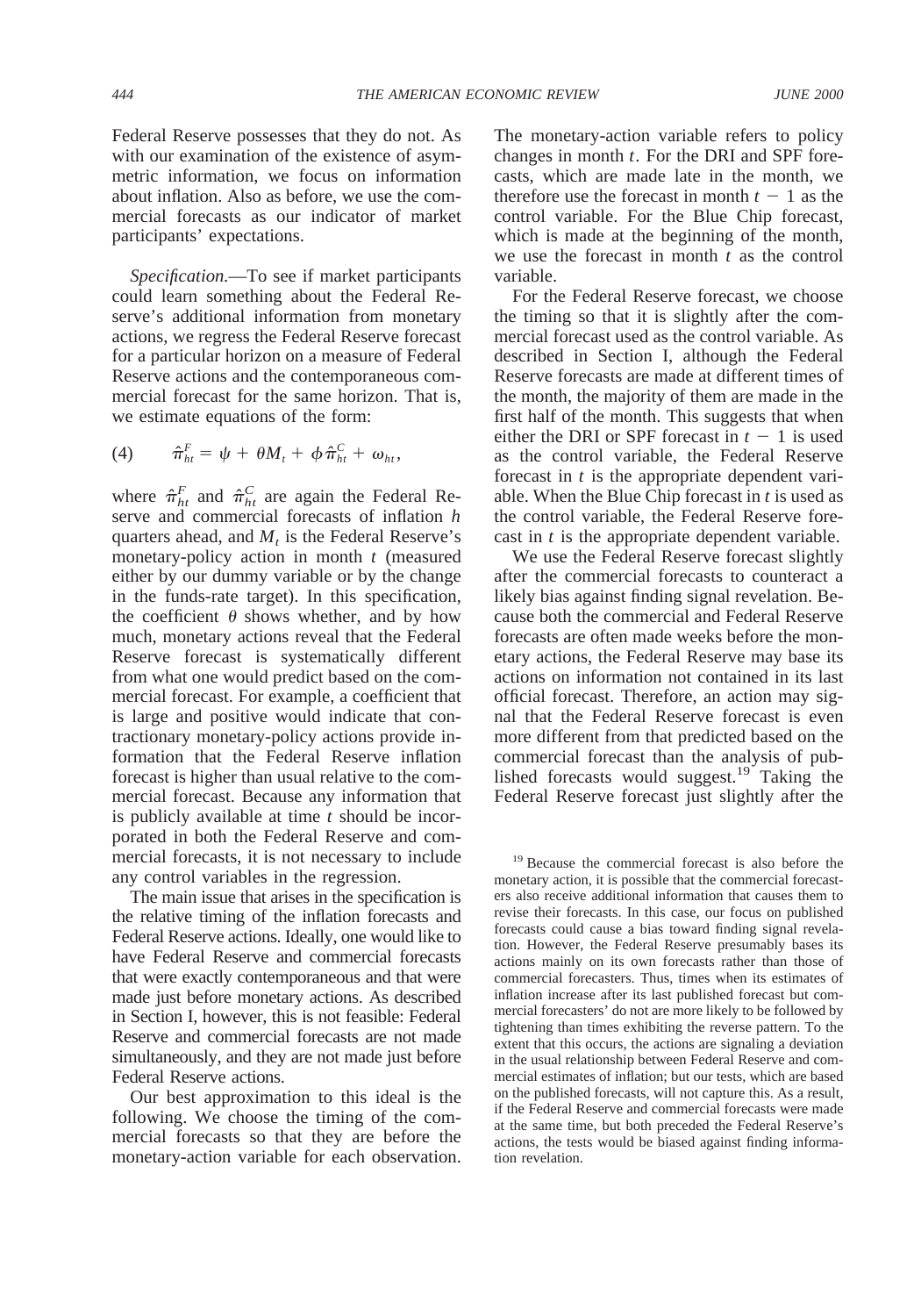Federal Reserve possesses that they do not. As with our examination of the existence of asymmetric information, we focus on information about inflation. Also as before, we use the commercial forecasts as our indicator of market participants' expectations.

*Specification.*—To see if market participants could learn something about the Federal Reserve's additional information from monetary actions, we regress the Federal Reserve forecast for a particular horizon on a measure of Federal Reserve actions and the contemporaneous commercial forecast for the same horizon. That is, we estimate equations of the form:

$$
(4) \qquad \hat{\pi}_{ht}^F = \psi + \theta M_t + \phi \hat{\pi}_{ht}^C + \omega_{ht},
$$

where  $\hat{\pi}_{ht}^F$  and  $\hat{\pi}_{ht}^C$  are again the Federal Reserve and commercial forecasts of inflation *h* quarters ahead, and  $M_t$  is the Federal Reserve's monetary-policy action in month *t* (measured either by our dummy variable or by the change in the funds-rate target). In this specification, the coefficient  $\theta$  shows whether, and by how much, monetary actions reveal that the Federal Reserve forecast is systematically different from what one would predict based on the commercial forecast. For example, a coefficient that is large and positive would indicate that contractionary monetary-policy actions provide information that the Federal Reserve inflation forecast is higher than usual relative to the commercial forecast. Because any information that is publicly available at time *t* should be incorporated in both the Federal Reserve and commercial forecasts, it is not necessary to include any control variables in the regression.

The main issue that arises in the specification is the relative timing of the inflation forecasts and Federal Reserve actions. Ideally, one would like to have Federal Reserve and commercial forecasts that were exactly contemporaneous and that were made just before monetary actions. As described in Section I, however, this is not feasible: Federal Reserve and commercial forecasts are not made simultaneously, and they are not made just before Federal Reserve actions.

Our best approximation to this ideal is the following. We choose the timing of the commercial forecasts so that they are before the monetary-action variable for each observation. The monetary-action variable refers to policy changes in month *t*. For the DRI and SPF forecasts, which are made late in the month, we therefore use the forecast in month  $t - 1$  as the control variable. For the Blue Chip forecast, which is made at the beginning of the month, we use the forecast in month *t* as the control variable.

For the Federal Reserve forecast, we choose the timing so that it is slightly after the commercial forecast used as the control variable. As described in Section I, although the Federal Reserve forecasts are made at different times of the month, the majority of them are made in the first half of the month. This suggests that when either the DRI or SPF forecast in  $t - 1$  is used as the control variable, the Federal Reserve forecast in *t* is the appropriate dependent variable. When the Blue Chip forecast in *t* is used as the control variable, the Federal Reserve forecast in *t* is the appropriate dependent variable.

We use the Federal Reserve forecast slightly after the commercial forecasts to counteract a likely bias against finding signal revelation. Because both the commercial and Federal Reserve forecasts are often made weeks before the monetary actions, the Federal Reserve may base its actions on information not contained in its last official forecast. Therefore, an action may signal that the Federal Reserve forecast is even more different from that predicted based on the commercial forecast than the analysis of published forecasts would suggest.<sup>19</sup> Taking the Federal Reserve forecast just slightly after the

<sup>19</sup> Because the commercial forecast is also before the monetary action, it is possible that the commercial forecasters also receive additional information that causes them to revise their forecasts. In this case, our focus on published forecasts could cause a bias toward finding signal revelation. However, the Federal Reserve presumably bases its actions mainly on its own forecasts rather than those of commercial forecasters. Thus, times when its estimates of inflation increase after its last published forecast but commercial forecasters' do not are more likely to be followed by tightening than times exhibiting the reverse pattern. To the extent that this occurs, the actions are signaling a deviation in the usual relationship between Federal Reserve and commercial estimates of inflation; but our tests, which are based on the published forecasts, will not capture this. As a result, if the Federal Reserve and commercial forecasts were made at the same time, but both preceded the Federal Reserve's actions, the tests would be biased against finding information revelation.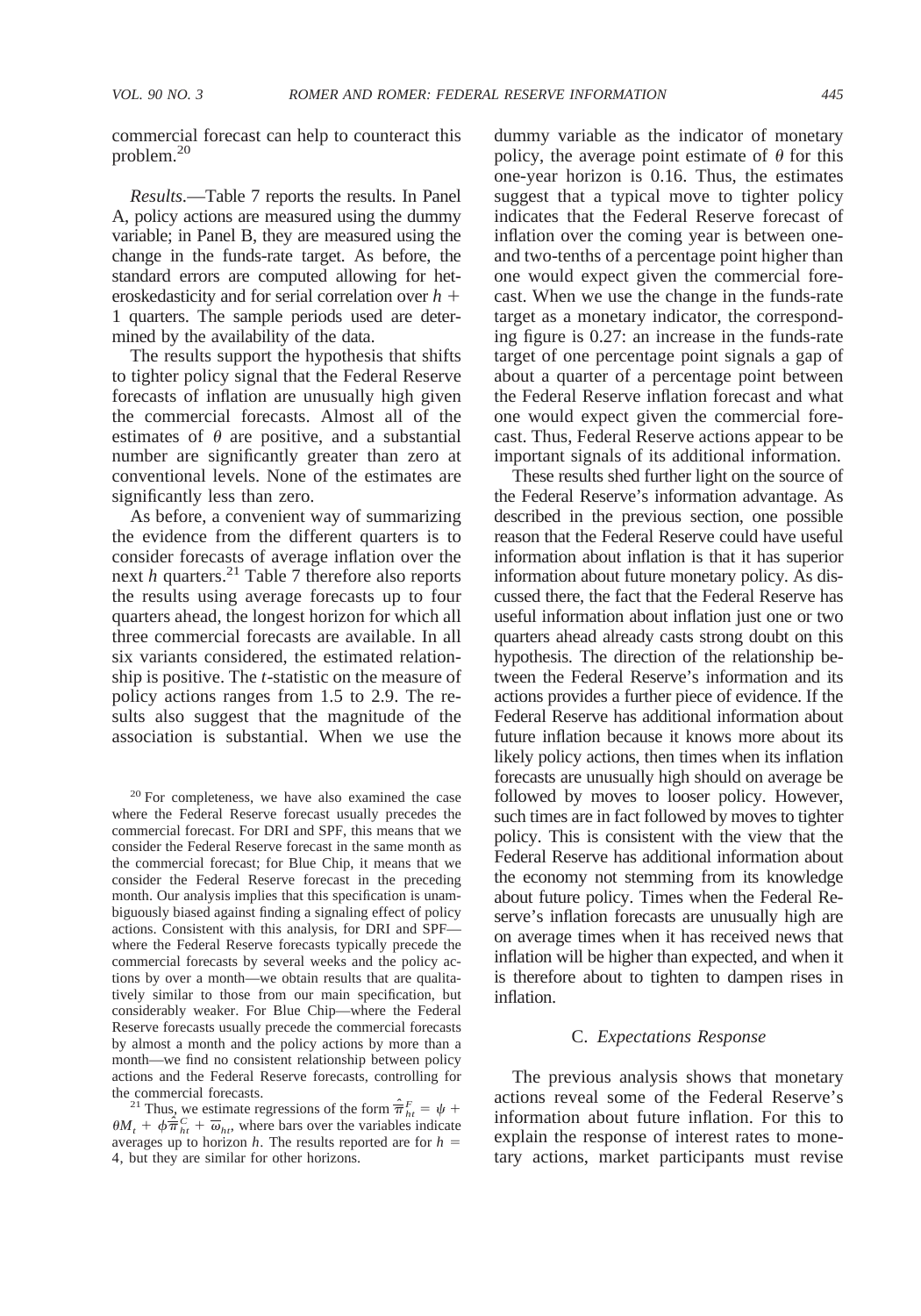commercial forecast can help to counteract this problem.20

*Results.*—Table 7 reports the results. In Panel A, policy actions are measured using the dummy variable; in Panel B, they are measured using the change in the funds-rate target. As before, the standard errors are computed allowing for heteroskedasticity and for serial correlation over  $h$  + 1 quarters. The sample periods used are determined by the availability of the data.

The results support the hypothesis that shifts to tighter policy signal that the Federal Reserve forecasts of inflation are unusually high given the commercial forecasts. Almost all of the estimates of  $\theta$  are positive, and a substantial number are significantly greater than zero at conventional levels. None of the estimates are significantly less than zero.

As before, a convenient way of summarizing the evidence from the different quarters is to consider forecasts of average inflation over the next *h* quarters.<sup>21</sup> Table 7 therefore also reports the results using average forecasts up to four quarters ahead, the longest horizon for which all three commercial forecasts are available. In all six variants considered, the estimated relationship is positive. The *t*-statistic on the measure of policy actions ranges from 1.5 to 2.9. The results also suggest that the magnitude of the association is substantial. When we use the

<sup>20</sup> For completeness, we have also examined the case where the Federal Reserve forecast usually precedes the commercial forecast. For DRI and SPF, this means that we consider the Federal Reserve forecast in the same month as the commercial forecast; for Blue Chip, it means that we consider the Federal Reserve forecast in the preceding month. Our analysis implies that this specification is unambiguously biased against finding a signaling effect of policy actions. Consistent with this analysis, for DRI and SPF where the Federal Reserve forecasts typically precede the commercial forecasts by several weeks and the policy actions by over a month—we obtain results that are qualitatively similar to those from our main specification, but considerably weaker. For Blue Chip—where the Federal Reserve forecasts usually precede the commercial forecasts by almost a month and the policy actions by more than a month—we find no consistent relationship between policy actions and the Federal Reserve forecasts, controlling for

the commercial forecasts.<br><sup>21</sup> Thus, we estimate regressions of the form  $\hat{\overline{\pi}}_h^F = \psi +$  $\theta M_t + \phi \hat{\overline{\pi}}_{ht}^C + \overline{\omega}_{ht}$ , where bars over the variables indicate averages up to horizon *h*. The results reported are for  $h =$ 4, but they are similar for other horizons.

dummy variable as the indicator of monetary policy, the average point estimate of  $\theta$  for this one-year horizon is 0.16. Thus, the estimates suggest that a typical move to tighter policy indicates that the Federal Reserve forecast of inflation over the coming year is between oneand two-tenths of a percentage point higher than one would expect given the commercial forecast. When we use the change in the funds-rate target as a monetary indicator, the corresponding figure is 0.27: an increase in the funds-rate target of one percentage point signals a gap of about a quarter of a percentage point between the Federal Reserve inflation forecast and what one would expect given the commercial forecast. Thus, Federal Reserve actions appear to be important signals of its additional information.

These results shed further light on the source of the Federal Reserve's information advantage. As described in the previous section, one possible reason that the Federal Reserve could have useful information about inflation is that it has superior information about future monetary policy. As discussed there, the fact that the Federal Reserve has useful information about inflation just one or two quarters ahead already casts strong doubt on this hypothesis. The direction of the relationship between the Federal Reserve's information and its actions provides a further piece of evidence. If the Federal Reserve has additional information about future inflation because it knows more about its likely policy actions, then times when its inflation forecasts are unusually high should on average be followed by moves to looser policy. However, such times are in fact followed by moves to tighter policy. This is consistent with the view that the Federal Reserve has additional information about the economy not stemming from its knowledge about future policy. Times when the Federal Reserve's inflation forecasts are unusually high are on average times when it has received news that inflation will be higher than expected, and when it is therefore about to tighten to dampen rises in inflation.

#### C. *Expectations Response*

The previous analysis shows that monetary actions reveal some of the Federal Reserve's information about future inflation. For this to explain the response of interest rates to monetary actions, market participants must revise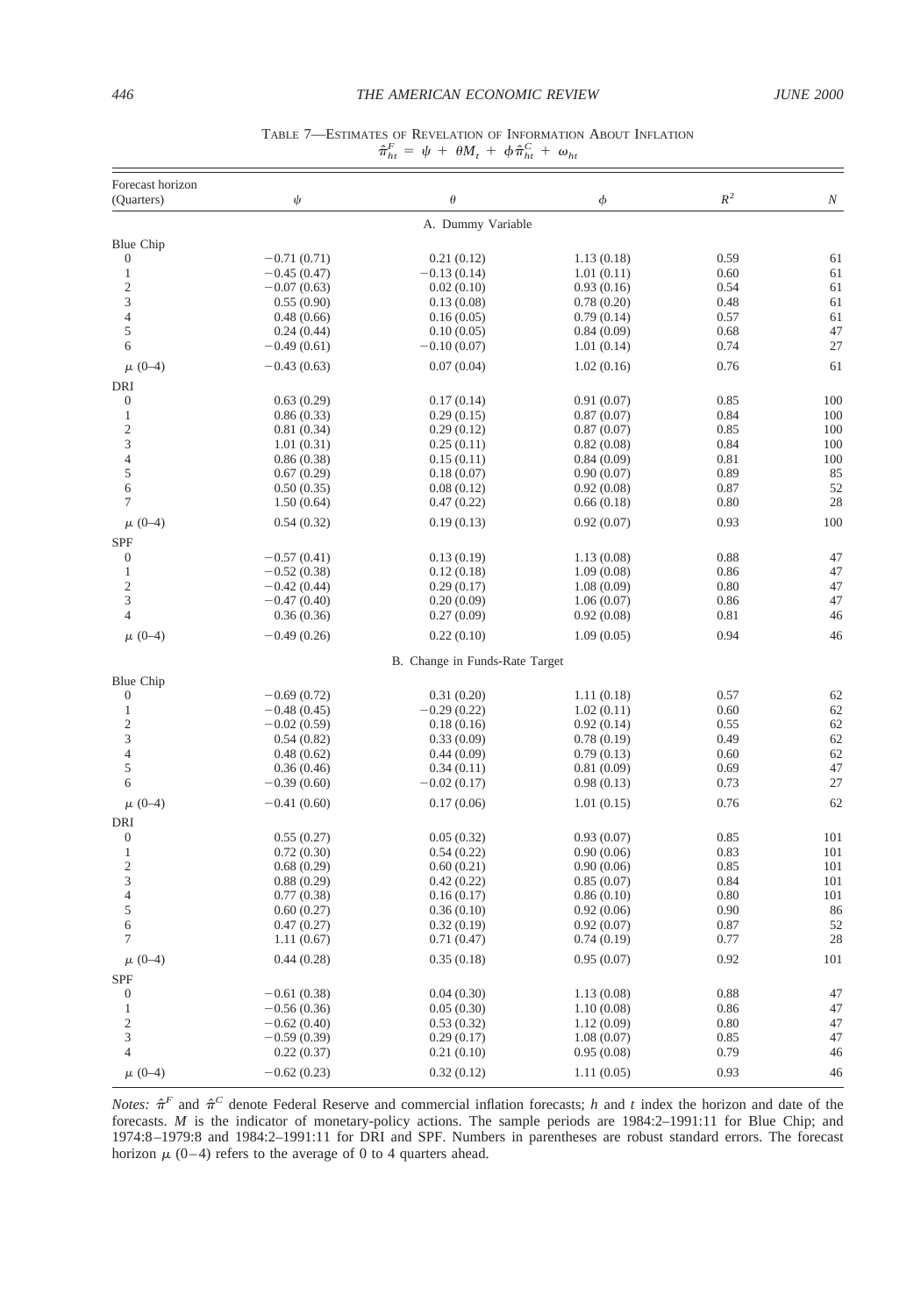#### *446 THE AMERICAN ECONOMIC REVIEW JUNE 2000*

| $\mathbb{R}^2$<br>$\theta$<br>ψ<br>φ<br>N<br>(Ouarters)<br>A. Dummy Variable<br>Blue Chip<br>0.59<br>$\mathbf{0}$<br>$-0.71(0.71)$<br>61<br>0.21(0.12)<br>1.13(0.18)<br>$\,1$<br>$-0.45(0.47)$<br>$-0.13(0.14)$<br>1.01(0.11)<br>0.60<br>61<br>$\overline{c}$<br>$-0.07(0.63)$<br>0.93(0.16)<br>0.54<br>61<br>0.02(0.10)<br>3<br>61<br>0.48<br>0.55(0.90)<br>0.13(0.08)<br>0.78(0.20)<br>$\overline{4}$<br>61<br>0.48(0.66)<br>0.16(0.05)<br>0.79(0.14)<br>0.57<br>5<br>47<br>0.24(0.44)<br>0.84(0.09)<br>0.68<br>0.10(0.05)<br>27<br>6<br>$-0.49(0.61)$<br>1.01(0.14)<br>0.74<br>$-0.10(0.07)$<br>0.76<br>61<br>$\mu$ (0-4)<br>$-0.43(0.63)$<br>0.07(0.04)<br>1.02(0.16)<br>DRI<br>100<br>0<br>0.63(0.29)<br>0.17(0.14)<br>0.91(0.07)<br>0.85<br>1<br>100<br>0.86(0.33)<br>0.29(0.15)<br>0.87(0.07)<br>0.84<br>$\overline{\mathbf{c}}$<br>100<br>0.81(0.34)<br>0.29(0.12)<br>0.87(0.07)<br>0.85<br>3<br>100<br>1.01(0.31)<br>0.25(0.11)<br>0.82(0.08)<br>0.84<br>$\overline{4}$<br>100<br>0.86(0.38)<br>0.15(0.11)<br>0.84(0.09)<br>0.81<br>5<br>85<br>0.67(0.29)<br>0.18(0.07)<br>0.90(0.07)<br>0.89<br>52<br>6<br>0.87<br>0.50(0.35)<br>0.08(0.12)<br>0.92(0.08)<br>28<br>7<br>0.80<br>1.50(0.64)<br>0.47(0.22)<br>0.66(0.18)<br>100<br>0.93<br>$\mu$ (0-4)<br>0.54(0.32)<br>0.19(0.13)<br>0.92(0.07)<br>$\boldsymbol{0}$<br>0.88<br>47<br>$-0.57(0.41)$<br>0.13(0.19)<br>1.13(0.08)<br>47<br>1<br>$-0.52(0.38)$<br>0.12(0.18)<br>1.09(0.08)<br>0.86<br>$\overline{c}$<br>47<br>$-0.42(0.44)$<br>0.80<br>0.29(0.17)<br>1.08(0.09)<br>3<br>47<br>$-0.47(0.40)$<br>0.20(0.09)<br>0.86<br>1.06(0.07)<br>$\overline{4}$<br>0.36(0.36)<br>0.27(0.09)<br>0.92(0.08)<br>0.81<br>0.22(0.10)<br>0.94<br>46<br>$\mu$ (0-4)<br>$-0.49(0.26)$<br>1.09(0.05)<br>B. Change in Funds-Rate Target<br>Blue Chip<br>$-0.69(0.72)$<br>0.57<br>62<br>$\mathbf{0}$<br>0.31(0.20)<br>1.11(0.18)<br>$\mathbf{1}$<br>62<br>$-0.48(0.45)$<br>$-0.29(0.22)$<br>1.02(0.11)<br>0.60<br>$\mathfrak{2}$<br>62<br>$-0.02(0.59)$<br>0.18(0.16)<br>0.92(0.14)<br>0.55<br>3<br>62<br>0.54(0.82)<br>0.33(0.09)<br>0.78(0.19)<br>0.49<br>$\overline{4}$<br>62<br>0.48(0.62)<br>0.44(0.09)<br>0.79(0.13)<br>0.60<br>5<br>47<br>0.36(0.46)<br>0.34(0.11)<br>0.81(0.09)<br>0.69<br>27<br>6<br>$-0.39(0.60)$<br>$-0.02(0.17)$<br>0.98(0.13)<br>0.73<br>62<br>$\mu$ (0-4)<br>0.76<br>$-0.41(0.60)$<br>0.17(0.06)<br>1.01(0.15)<br><b>DRI</b><br>$\boldsymbol{0}$<br>0.85<br>101<br>0.55(0.27)<br>0.05(0.32)<br>0.93(0.07)<br>$\mathbf{1}$<br>0.83<br>101<br>0.72(0.30)<br>0.54(0.22)<br>0.90(0.06)<br>$\overline{\mathbf{c}}$<br>0.85<br>101<br>0.68(0.29)<br>0.60(0.21)<br>0.90(0.06)<br>3<br>0.88(0.29)<br>0.42(0.22)<br>0.85(0.07)<br>0.84<br>101<br>$\overline{4}$<br>101<br>0.77(0.38)<br>0.16(0.17)<br>0.86(0.10)<br>0.80<br>5<br>86<br>0.60(0.27)<br>0.36(0.10)<br>0.90<br>0.92(0.06)<br>52<br>6<br>0.47(0.27)<br>0.32(0.19)<br>0.92(0.07)<br>0.87<br>28<br>7<br>1.11(0.67)<br>0.71(0.47)<br>0.74(0.19)<br>0.77<br>0.92<br>101<br>$\mu$ (0-4)<br>0.44(0.28)<br>0.35(0.18)<br>0.95(0.07)<br><b>SPF</b><br>$\boldsymbol{0}$<br>0.04(0.30)<br>0.88<br>47<br>$-0.61(0.38)$<br>1.13(0.08)<br>47<br>1<br>$-0.56(0.36)$<br>0.05(0.30)<br>1.10(0.08)<br>0.86<br>$\overline{c}$<br>47<br>$-0.62(0.40)$<br>0.53(0.32)<br>0.80<br>1.12(0.09)<br>3<br>47<br>$-0.59(0.39)$<br>0.29(0.17)<br>1.08(0.07)<br>0.85<br>$\overline{4}$<br>0.22(0.37)<br>0.95(0.08)<br>0.79<br>46<br>0.21(0.10)<br>$-0.62(0.23)$<br>0.93<br>46<br>$\mu$ (0-4)<br>0.32(0.12)<br>1.11(0.05) | Forecast horizon |  |  |  |
|------------------------------------------------------------------------------------------------------------------------------------------------------------------------------------------------------------------------------------------------------------------------------------------------------------------------------------------------------------------------------------------------------------------------------------------------------------------------------------------------------------------------------------------------------------------------------------------------------------------------------------------------------------------------------------------------------------------------------------------------------------------------------------------------------------------------------------------------------------------------------------------------------------------------------------------------------------------------------------------------------------------------------------------------------------------------------------------------------------------------------------------------------------------------------------------------------------------------------------------------------------------------------------------------------------------------------------------------------------------------------------------------------------------------------------------------------------------------------------------------------------------------------------------------------------------------------------------------------------------------------------------------------------------------------------------------------------------------------------------------------------------------------------------------------------------------------------------------------------------------------------------------------------------------------------------------------------------------------------------------------------------------------------------------------------------------------------------------------------------------------------------------------------------------------------------------------------------------------------------------------------------------------------------------------------------------------------------------------------------------------------------------------------------------------------------------------------------------------------------------------------------------------------------------------------------------------------------------------------------------------------------------------------------------------------------------------------------------------------------------------------------------------------------------------------------------------------------------------------------------------------------------------------------------------------------------------------------------------------------------------------------------------------------------------------------------------------------------------------------------------------------------------------------------------------------------------------------------------------------------------------------------------------------------------------------------------------------------------------------------------------------------------------------------------------------------------------------------------------------------------------------------|------------------|--|--|--|
| 46                                                                                                                                                                                                                                                                                                                                                                                                                                                                                                                                                                                                                                                                                                                                                                                                                                                                                                                                                                                                                                                                                                                                                                                                                                                                                                                                                                                                                                                                                                                                                                                                                                                                                                                                                                                                                                                                                                                                                                                                                                                                                                                                                                                                                                                                                                                                                                                                                                                                                                                                                                                                                                                                                                                                                                                                                                                                                                                                                                                                                                                                                                                                                                                                                                                                                                                                                                                                                                                                                                                     |                  |  |  |  |
|                                                                                                                                                                                                                                                                                                                                                                                                                                                                                                                                                                                                                                                                                                                                                                                                                                                                                                                                                                                                                                                                                                                                                                                                                                                                                                                                                                                                                                                                                                                                                                                                                                                                                                                                                                                                                                                                                                                                                                                                                                                                                                                                                                                                                                                                                                                                                                                                                                                                                                                                                                                                                                                                                                                                                                                                                                                                                                                                                                                                                                                                                                                                                                                                                                                                                                                                                                                                                                                                                                                        |                  |  |  |  |
|                                                                                                                                                                                                                                                                                                                                                                                                                                                                                                                                                                                                                                                                                                                                                                                                                                                                                                                                                                                                                                                                                                                                                                                                                                                                                                                                                                                                                                                                                                                                                                                                                                                                                                                                                                                                                                                                                                                                                                                                                                                                                                                                                                                                                                                                                                                                                                                                                                                                                                                                                                                                                                                                                                                                                                                                                                                                                                                                                                                                                                                                                                                                                                                                                                                                                                                                                                                                                                                                                                                        |                  |  |  |  |
|                                                                                                                                                                                                                                                                                                                                                                                                                                                                                                                                                                                                                                                                                                                                                                                                                                                                                                                                                                                                                                                                                                                                                                                                                                                                                                                                                                                                                                                                                                                                                                                                                                                                                                                                                                                                                                                                                                                                                                                                                                                                                                                                                                                                                                                                                                                                                                                                                                                                                                                                                                                                                                                                                                                                                                                                                                                                                                                                                                                                                                                                                                                                                                                                                                                                                                                                                                                                                                                                                                                        |                  |  |  |  |
|                                                                                                                                                                                                                                                                                                                                                                                                                                                                                                                                                                                                                                                                                                                                                                                                                                                                                                                                                                                                                                                                                                                                                                                                                                                                                                                                                                                                                                                                                                                                                                                                                                                                                                                                                                                                                                                                                                                                                                                                                                                                                                                                                                                                                                                                                                                                                                                                                                                                                                                                                                                                                                                                                                                                                                                                                                                                                                                                                                                                                                                                                                                                                                                                                                                                                                                                                                                                                                                                                                                        |                  |  |  |  |
|                                                                                                                                                                                                                                                                                                                                                                                                                                                                                                                                                                                                                                                                                                                                                                                                                                                                                                                                                                                                                                                                                                                                                                                                                                                                                                                                                                                                                                                                                                                                                                                                                                                                                                                                                                                                                                                                                                                                                                                                                                                                                                                                                                                                                                                                                                                                                                                                                                                                                                                                                                                                                                                                                                                                                                                                                                                                                                                                                                                                                                                                                                                                                                                                                                                                                                                                                                                                                                                                                                                        |                  |  |  |  |
|                                                                                                                                                                                                                                                                                                                                                                                                                                                                                                                                                                                                                                                                                                                                                                                                                                                                                                                                                                                                                                                                                                                                                                                                                                                                                                                                                                                                                                                                                                                                                                                                                                                                                                                                                                                                                                                                                                                                                                                                                                                                                                                                                                                                                                                                                                                                                                                                                                                                                                                                                                                                                                                                                                                                                                                                                                                                                                                                                                                                                                                                                                                                                                                                                                                                                                                                                                                                                                                                                                                        |                  |  |  |  |
|                                                                                                                                                                                                                                                                                                                                                                                                                                                                                                                                                                                                                                                                                                                                                                                                                                                                                                                                                                                                                                                                                                                                                                                                                                                                                                                                                                                                                                                                                                                                                                                                                                                                                                                                                                                                                                                                                                                                                                                                                                                                                                                                                                                                                                                                                                                                                                                                                                                                                                                                                                                                                                                                                                                                                                                                                                                                                                                                                                                                                                                                                                                                                                                                                                                                                                                                                                                                                                                                                                                        |                  |  |  |  |
|                                                                                                                                                                                                                                                                                                                                                                                                                                                                                                                                                                                                                                                                                                                                                                                                                                                                                                                                                                                                                                                                                                                                                                                                                                                                                                                                                                                                                                                                                                                                                                                                                                                                                                                                                                                                                                                                                                                                                                                                                                                                                                                                                                                                                                                                                                                                                                                                                                                                                                                                                                                                                                                                                                                                                                                                                                                                                                                                                                                                                                                                                                                                                                                                                                                                                                                                                                                                                                                                                                                        |                  |  |  |  |
|                                                                                                                                                                                                                                                                                                                                                                                                                                                                                                                                                                                                                                                                                                                                                                                                                                                                                                                                                                                                                                                                                                                                                                                                                                                                                                                                                                                                                                                                                                                                                                                                                                                                                                                                                                                                                                                                                                                                                                                                                                                                                                                                                                                                                                                                                                                                                                                                                                                                                                                                                                                                                                                                                                                                                                                                                                                                                                                                                                                                                                                                                                                                                                                                                                                                                                                                                                                                                                                                                                                        |                  |  |  |  |
|                                                                                                                                                                                                                                                                                                                                                                                                                                                                                                                                                                                                                                                                                                                                                                                                                                                                                                                                                                                                                                                                                                                                                                                                                                                                                                                                                                                                                                                                                                                                                                                                                                                                                                                                                                                                                                                                                                                                                                                                                                                                                                                                                                                                                                                                                                                                                                                                                                                                                                                                                                                                                                                                                                                                                                                                                                                                                                                                                                                                                                                                                                                                                                                                                                                                                                                                                                                                                                                                                                                        |                  |  |  |  |
|                                                                                                                                                                                                                                                                                                                                                                                                                                                                                                                                                                                                                                                                                                                                                                                                                                                                                                                                                                                                                                                                                                                                                                                                                                                                                                                                                                                                                                                                                                                                                                                                                                                                                                                                                                                                                                                                                                                                                                                                                                                                                                                                                                                                                                                                                                                                                                                                                                                                                                                                                                                                                                                                                                                                                                                                                                                                                                                                                                                                                                                                                                                                                                                                                                                                                                                                                                                                                                                                                                                        |                  |  |  |  |
|                                                                                                                                                                                                                                                                                                                                                                                                                                                                                                                                                                                                                                                                                                                                                                                                                                                                                                                                                                                                                                                                                                                                                                                                                                                                                                                                                                                                                                                                                                                                                                                                                                                                                                                                                                                                                                                                                                                                                                                                                                                                                                                                                                                                                                                                                                                                                                                                                                                                                                                                                                                                                                                                                                                                                                                                                                                                                                                                                                                                                                                                                                                                                                                                                                                                                                                                                                                                                                                                                                                        |                  |  |  |  |
|                                                                                                                                                                                                                                                                                                                                                                                                                                                                                                                                                                                                                                                                                                                                                                                                                                                                                                                                                                                                                                                                                                                                                                                                                                                                                                                                                                                                                                                                                                                                                                                                                                                                                                                                                                                                                                                                                                                                                                                                                                                                                                                                                                                                                                                                                                                                                                                                                                                                                                                                                                                                                                                                                                                                                                                                                                                                                                                                                                                                                                                                                                                                                                                                                                                                                                                                                                                                                                                                                                                        |                  |  |  |  |
|                                                                                                                                                                                                                                                                                                                                                                                                                                                                                                                                                                                                                                                                                                                                                                                                                                                                                                                                                                                                                                                                                                                                                                                                                                                                                                                                                                                                                                                                                                                                                                                                                                                                                                                                                                                                                                                                                                                                                                                                                                                                                                                                                                                                                                                                                                                                                                                                                                                                                                                                                                                                                                                                                                                                                                                                                                                                                                                                                                                                                                                                                                                                                                                                                                                                                                                                                                                                                                                                                                                        |                  |  |  |  |
|                                                                                                                                                                                                                                                                                                                                                                                                                                                                                                                                                                                                                                                                                                                                                                                                                                                                                                                                                                                                                                                                                                                                                                                                                                                                                                                                                                                                                                                                                                                                                                                                                                                                                                                                                                                                                                                                                                                                                                                                                                                                                                                                                                                                                                                                                                                                                                                                                                                                                                                                                                                                                                                                                                                                                                                                                                                                                                                                                                                                                                                                                                                                                                                                                                                                                                                                                                                                                                                                                                                        |                  |  |  |  |
|                                                                                                                                                                                                                                                                                                                                                                                                                                                                                                                                                                                                                                                                                                                                                                                                                                                                                                                                                                                                                                                                                                                                                                                                                                                                                                                                                                                                                                                                                                                                                                                                                                                                                                                                                                                                                                                                                                                                                                                                                                                                                                                                                                                                                                                                                                                                                                                                                                                                                                                                                                                                                                                                                                                                                                                                                                                                                                                                                                                                                                                                                                                                                                                                                                                                                                                                                                                                                                                                                                                        |                  |  |  |  |
|                                                                                                                                                                                                                                                                                                                                                                                                                                                                                                                                                                                                                                                                                                                                                                                                                                                                                                                                                                                                                                                                                                                                                                                                                                                                                                                                                                                                                                                                                                                                                                                                                                                                                                                                                                                                                                                                                                                                                                                                                                                                                                                                                                                                                                                                                                                                                                                                                                                                                                                                                                                                                                                                                                                                                                                                                                                                                                                                                                                                                                                                                                                                                                                                                                                                                                                                                                                                                                                                                                                        |                  |  |  |  |
|                                                                                                                                                                                                                                                                                                                                                                                                                                                                                                                                                                                                                                                                                                                                                                                                                                                                                                                                                                                                                                                                                                                                                                                                                                                                                                                                                                                                                                                                                                                                                                                                                                                                                                                                                                                                                                                                                                                                                                                                                                                                                                                                                                                                                                                                                                                                                                                                                                                                                                                                                                                                                                                                                                                                                                                                                                                                                                                                                                                                                                                                                                                                                                                                                                                                                                                                                                                                                                                                                                                        |                  |  |  |  |
|                                                                                                                                                                                                                                                                                                                                                                                                                                                                                                                                                                                                                                                                                                                                                                                                                                                                                                                                                                                                                                                                                                                                                                                                                                                                                                                                                                                                                                                                                                                                                                                                                                                                                                                                                                                                                                                                                                                                                                                                                                                                                                                                                                                                                                                                                                                                                                                                                                                                                                                                                                                                                                                                                                                                                                                                                                                                                                                                                                                                                                                                                                                                                                                                                                                                                                                                                                                                                                                                                                                        |                  |  |  |  |
|                                                                                                                                                                                                                                                                                                                                                                                                                                                                                                                                                                                                                                                                                                                                                                                                                                                                                                                                                                                                                                                                                                                                                                                                                                                                                                                                                                                                                                                                                                                                                                                                                                                                                                                                                                                                                                                                                                                                                                                                                                                                                                                                                                                                                                                                                                                                                                                                                                                                                                                                                                                                                                                                                                                                                                                                                                                                                                                                                                                                                                                                                                                                                                                                                                                                                                                                                                                                                                                                                                                        | <b>SPF</b>       |  |  |  |
|                                                                                                                                                                                                                                                                                                                                                                                                                                                                                                                                                                                                                                                                                                                                                                                                                                                                                                                                                                                                                                                                                                                                                                                                                                                                                                                                                                                                                                                                                                                                                                                                                                                                                                                                                                                                                                                                                                                                                                                                                                                                                                                                                                                                                                                                                                                                                                                                                                                                                                                                                                                                                                                                                                                                                                                                                                                                                                                                                                                                                                                                                                                                                                                                                                                                                                                                                                                                                                                                                                                        |                  |  |  |  |
|                                                                                                                                                                                                                                                                                                                                                                                                                                                                                                                                                                                                                                                                                                                                                                                                                                                                                                                                                                                                                                                                                                                                                                                                                                                                                                                                                                                                                                                                                                                                                                                                                                                                                                                                                                                                                                                                                                                                                                                                                                                                                                                                                                                                                                                                                                                                                                                                                                                                                                                                                                                                                                                                                                                                                                                                                                                                                                                                                                                                                                                                                                                                                                                                                                                                                                                                                                                                                                                                                                                        |                  |  |  |  |
|                                                                                                                                                                                                                                                                                                                                                                                                                                                                                                                                                                                                                                                                                                                                                                                                                                                                                                                                                                                                                                                                                                                                                                                                                                                                                                                                                                                                                                                                                                                                                                                                                                                                                                                                                                                                                                                                                                                                                                                                                                                                                                                                                                                                                                                                                                                                                                                                                                                                                                                                                                                                                                                                                                                                                                                                                                                                                                                                                                                                                                                                                                                                                                                                                                                                                                                                                                                                                                                                                                                        |                  |  |  |  |
|                                                                                                                                                                                                                                                                                                                                                                                                                                                                                                                                                                                                                                                                                                                                                                                                                                                                                                                                                                                                                                                                                                                                                                                                                                                                                                                                                                                                                                                                                                                                                                                                                                                                                                                                                                                                                                                                                                                                                                                                                                                                                                                                                                                                                                                                                                                                                                                                                                                                                                                                                                                                                                                                                                                                                                                                                                                                                                                                                                                                                                                                                                                                                                                                                                                                                                                                                                                                                                                                                                                        |                  |  |  |  |
|                                                                                                                                                                                                                                                                                                                                                                                                                                                                                                                                                                                                                                                                                                                                                                                                                                                                                                                                                                                                                                                                                                                                                                                                                                                                                                                                                                                                                                                                                                                                                                                                                                                                                                                                                                                                                                                                                                                                                                                                                                                                                                                                                                                                                                                                                                                                                                                                                                                                                                                                                                                                                                                                                                                                                                                                                                                                                                                                                                                                                                                                                                                                                                                                                                                                                                                                                                                                                                                                                                                        |                  |  |  |  |
|                                                                                                                                                                                                                                                                                                                                                                                                                                                                                                                                                                                                                                                                                                                                                                                                                                                                                                                                                                                                                                                                                                                                                                                                                                                                                                                                                                                                                                                                                                                                                                                                                                                                                                                                                                                                                                                                                                                                                                                                                                                                                                                                                                                                                                                                                                                                                                                                                                                                                                                                                                                                                                                                                                                                                                                                                                                                                                                                                                                                                                                                                                                                                                                                                                                                                                                                                                                                                                                                                                                        |                  |  |  |  |
|                                                                                                                                                                                                                                                                                                                                                                                                                                                                                                                                                                                                                                                                                                                                                                                                                                                                                                                                                                                                                                                                                                                                                                                                                                                                                                                                                                                                                                                                                                                                                                                                                                                                                                                                                                                                                                                                                                                                                                                                                                                                                                                                                                                                                                                                                                                                                                                                                                                                                                                                                                                                                                                                                                                                                                                                                                                                                                                                                                                                                                                                                                                                                                                                                                                                                                                                                                                                                                                                                                                        |                  |  |  |  |
|                                                                                                                                                                                                                                                                                                                                                                                                                                                                                                                                                                                                                                                                                                                                                                                                                                                                                                                                                                                                                                                                                                                                                                                                                                                                                                                                                                                                                                                                                                                                                                                                                                                                                                                                                                                                                                                                                                                                                                                                                                                                                                                                                                                                                                                                                                                                                                                                                                                                                                                                                                                                                                                                                                                                                                                                                                                                                                                                                                                                                                                                                                                                                                                                                                                                                                                                                                                                                                                                                                                        |                  |  |  |  |
|                                                                                                                                                                                                                                                                                                                                                                                                                                                                                                                                                                                                                                                                                                                                                                                                                                                                                                                                                                                                                                                                                                                                                                                                                                                                                                                                                                                                                                                                                                                                                                                                                                                                                                                                                                                                                                                                                                                                                                                                                                                                                                                                                                                                                                                                                                                                                                                                                                                                                                                                                                                                                                                                                                                                                                                                                                                                                                                                                                                                                                                                                                                                                                                                                                                                                                                                                                                                                                                                                                                        |                  |  |  |  |
|                                                                                                                                                                                                                                                                                                                                                                                                                                                                                                                                                                                                                                                                                                                                                                                                                                                                                                                                                                                                                                                                                                                                                                                                                                                                                                                                                                                                                                                                                                                                                                                                                                                                                                                                                                                                                                                                                                                                                                                                                                                                                                                                                                                                                                                                                                                                                                                                                                                                                                                                                                                                                                                                                                                                                                                                                                                                                                                                                                                                                                                                                                                                                                                                                                                                                                                                                                                                                                                                                                                        |                  |  |  |  |
|                                                                                                                                                                                                                                                                                                                                                                                                                                                                                                                                                                                                                                                                                                                                                                                                                                                                                                                                                                                                                                                                                                                                                                                                                                                                                                                                                                                                                                                                                                                                                                                                                                                                                                                                                                                                                                                                                                                                                                                                                                                                                                                                                                                                                                                                                                                                                                                                                                                                                                                                                                                                                                                                                                                                                                                                                                                                                                                                                                                                                                                                                                                                                                                                                                                                                                                                                                                                                                                                                                                        |                  |  |  |  |
|                                                                                                                                                                                                                                                                                                                                                                                                                                                                                                                                                                                                                                                                                                                                                                                                                                                                                                                                                                                                                                                                                                                                                                                                                                                                                                                                                                                                                                                                                                                                                                                                                                                                                                                                                                                                                                                                                                                                                                                                                                                                                                                                                                                                                                                                                                                                                                                                                                                                                                                                                                                                                                                                                                                                                                                                                                                                                                                                                                                                                                                                                                                                                                                                                                                                                                                                                                                                                                                                                                                        |                  |  |  |  |
|                                                                                                                                                                                                                                                                                                                                                                                                                                                                                                                                                                                                                                                                                                                                                                                                                                                                                                                                                                                                                                                                                                                                                                                                                                                                                                                                                                                                                                                                                                                                                                                                                                                                                                                                                                                                                                                                                                                                                                                                                                                                                                                                                                                                                                                                                                                                                                                                                                                                                                                                                                                                                                                                                                                                                                                                                                                                                                                                                                                                                                                                                                                                                                                                                                                                                                                                                                                                                                                                                                                        |                  |  |  |  |
|                                                                                                                                                                                                                                                                                                                                                                                                                                                                                                                                                                                                                                                                                                                                                                                                                                                                                                                                                                                                                                                                                                                                                                                                                                                                                                                                                                                                                                                                                                                                                                                                                                                                                                                                                                                                                                                                                                                                                                                                                                                                                                                                                                                                                                                                                                                                                                                                                                                                                                                                                                                                                                                                                                                                                                                                                                                                                                                                                                                                                                                                                                                                                                                                                                                                                                                                                                                                                                                                                                                        |                  |  |  |  |
|                                                                                                                                                                                                                                                                                                                                                                                                                                                                                                                                                                                                                                                                                                                                                                                                                                                                                                                                                                                                                                                                                                                                                                                                                                                                                                                                                                                                                                                                                                                                                                                                                                                                                                                                                                                                                                                                                                                                                                                                                                                                                                                                                                                                                                                                                                                                                                                                                                                                                                                                                                                                                                                                                                                                                                                                                                                                                                                                                                                                                                                                                                                                                                                                                                                                                                                                                                                                                                                                                                                        |                  |  |  |  |
|                                                                                                                                                                                                                                                                                                                                                                                                                                                                                                                                                                                                                                                                                                                                                                                                                                                                                                                                                                                                                                                                                                                                                                                                                                                                                                                                                                                                                                                                                                                                                                                                                                                                                                                                                                                                                                                                                                                                                                                                                                                                                                                                                                                                                                                                                                                                                                                                                                                                                                                                                                                                                                                                                                                                                                                                                                                                                                                                                                                                                                                                                                                                                                                                                                                                                                                                                                                                                                                                                                                        |                  |  |  |  |
|                                                                                                                                                                                                                                                                                                                                                                                                                                                                                                                                                                                                                                                                                                                                                                                                                                                                                                                                                                                                                                                                                                                                                                                                                                                                                                                                                                                                                                                                                                                                                                                                                                                                                                                                                                                                                                                                                                                                                                                                                                                                                                                                                                                                                                                                                                                                                                                                                                                                                                                                                                                                                                                                                                                                                                                                                                                                                                                                                                                                                                                                                                                                                                                                                                                                                                                                                                                                                                                                                                                        |                  |  |  |  |
|                                                                                                                                                                                                                                                                                                                                                                                                                                                                                                                                                                                                                                                                                                                                                                                                                                                                                                                                                                                                                                                                                                                                                                                                                                                                                                                                                                                                                                                                                                                                                                                                                                                                                                                                                                                                                                                                                                                                                                                                                                                                                                                                                                                                                                                                                                                                                                                                                                                                                                                                                                                                                                                                                                                                                                                                                                                                                                                                                                                                                                                                                                                                                                                                                                                                                                                                                                                                                                                                                                                        |                  |  |  |  |
|                                                                                                                                                                                                                                                                                                                                                                                                                                                                                                                                                                                                                                                                                                                                                                                                                                                                                                                                                                                                                                                                                                                                                                                                                                                                                                                                                                                                                                                                                                                                                                                                                                                                                                                                                                                                                                                                                                                                                                                                                                                                                                                                                                                                                                                                                                                                                                                                                                                                                                                                                                                                                                                                                                                                                                                                                                                                                                                                                                                                                                                                                                                                                                                                                                                                                                                                                                                                                                                                                                                        |                  |  |  |  |
|                                                                                                                                                                                                                                                                                                                                                                                                                                                                                                                                                                                                                                                                                                                                                                                                                                                                                                                                                                                                                                                                                                                                                                                                                                                                                                                                                                                                                                                                                                                                                                                                                                                                                                                                                                                                                                                                                                                                                                                                                                                                                                                                                                                                                                                                                                                                                                                                                                                                                                                                                                                                                                                                                                                                                                                                                                                                                                                                                                                                                                                                                                                                                                                                                                                                                                                                                                                                                                                                                                                        |                  |  |  |  |
|                                                                                                                                                                                                                                                                                                                                                                                                                                                                                                                                                                                                                                                                                                                                                                                                                                                                                                                                                                                                                                                                                                                                                                                                                                                                                                                                                                                                                                                                                                                                                                                                                                                                                                                                                                                                                                                                                                                                                                                                                                                                                                                                                                                                                                                                                                                                                                                                                                                                                                                                                                                                                                                                                                                                                                                                                                                                                                                                                                                                                                                                                                                                                                                                                                                                                                                                                                                                                                                                                                                        |                  |  |  |  |
|                                                                                                                                                                                                                                                                                                                                                                                                                                                                                                                                                                                                                                                                                                                                                                                                                                                                                                                                                                                                                                                                                                                                                                                                                                                                                                                                                                                                                                                                                                                                                                                                                                                                                                                                                                                                                                                                                                                                                                                                                                                                                                                                                                                                                                                                                                                                                                                                                                                                                                                                                                                                                                                                                                                                                                                                                                                                                                                                                                                                                                                                                                                                                                                                                                                                                                                                                                                                                                                                                                                        |                  |  |  |  |
|                                                                                                                                                                                                                                                                                                                                                                                                                                                                                                                                                                                                                                                                                                                                                                                                                                                                                                                                                                                                                                                                                                                                                                                                                                                                                                                                                                                                                                                                                                                                                                                                                                                                                                                                                                                                                                                                                                                                                                                                                                                                                                                                                                                                                                                                                                                                                                                                                                                                                                                                                                                                                                                                                                                                                                                                                                                                                                                                                                                                                                                                                                                                                                                                                                                                                                                                                                                                                                                                                                                        |                  |  |  |  |
|                                                                                                                                                                                                                                                                                                                                                                                                                                                                                                                                                                                                                                                                                                                                                                                                                                                                                                                                                                                                                                                                                                                                                                                                                                                                                                                                                                                                                                                                                                                                                                                                                                                                                                                                                                                                                                                                                                                                                                                                                                                                                                                                                                                                                                                                                                                                                                                                                                                                                                                                                                                                                                                                                                                                                                                                                                                                                                                                                                                                                                                                                                                                                                                                                                                                                                                                                                                                                                                                                                                        |                  |  |  |  |
|                                                                                                                                                                                                                                                                                                                                                                                                                                                                                                                                                                                                                                                                                                                                                                                                                                                                                                                                                                                                                                                                                                                                                                                                                                                                                                                                                                                                                                                                                                                                                                                                                                                                                                                                                                                                                                                                                                                                                                                                                                                                                                                                                                                                                                                                                                                                                                                                                                                                                                                                                                                                                                                                                                                                                                                                                                                                                                                                                                                                                                                                                                                                                                                                                                                                                                                                                                                                                                                                                                                        |                  |  |  |  |
|                                                                                                                                                                                                                                                                                                                                                                                                                                                                                                                                                                                                                                                                                                                                                                                                                                                                                                                                                                                                                                                                                                                                                                                                                                                                                                                                                                                                                                                                                                                                                                                                                                                                                                                                                                                                                                                                                                                                                                                                                                                                                                                                                                                                                                                                                                                                                                                                                                                                                                                                                                                                                                                                                                                                                                                                                                                                                                                                                                                                                                                                                                                                                                                                                                                                                                                                                                                                                                                                                                                        |                  |  |  |  |
|                                                                                                                                                                                                                                                                                                                                                                                                                                                                                                                                                                                                                                                                                                                                                                                                                                                                                                                                                                                                                                                                                                                                                                                                                                                                                                                                                                                                                                                                                                                                                                                                                                                                                                                                                                                                                                                                                                                                                                                                                                                                                                                                                                                                                                                                                                                                                                                                                                                                                                                                                                                                                                                                                                                                                                                                                                                                                                                                                                                                                                                                                                                                                                                                                                                                                                                                                                                                                                                                                                                        |                  |  |  |  |
|                                                                                                                                                                                                                                                                                                                                                                                                                                                                                                                                                                                                                                                                                                                                                                                                                                                                                                                                                                                                                                                                                                                                                                                                                                                                                                                                                                                                                                                                                                                                                                                                                                                                                                                                                                                                                                                                                                                                                                                                                                                                                                                                                                                                                                                                                                                                                                                                                                                                                                                                                                                                                                                                                                                                                                                                                                                                                                                                                                                                                                                                                                                                                                                                                                                                                                                                                                                                                                                                                                                        |                  |  |  |  |
|                                                                                                                                                                                                                                                                                                                                                                                                                                                                                                                                                                                                                                                                                                                                                                                                                                                                                                                                                                                                                                                                                                                                                                                                                                                                                                                                                                                                                                                                                                                                                                                                                                                                                                                                                                                                                                                                                                                                                                                                                                                                                                                                                                                                                                                                                                                                                                                                                                                                                                                                                                                                                                                                                                                                                                                                                                                                                                                                                                                                                                                                                                                                                                                                                                                                                                                                                                                                                                                                                                                        |                  |  |  |  |
|                                                                                                                                                                                                                                                                                                                                                                                                                                                                                                                                                                                                                                                                                                                                                                                                                                                                                                                                                                                                                                                                                                                                                                                                                                                                                                                                                                                                                                                                                                                                                                                                                                                                                                                                                                                                                                                                                                                                                                                                                                                                                                                                                                                                                                                                                                                                                                                                                                                                                                                                                                                                                                                                                                                                                                                                                                                                                                                                                                                                                                                                                                                                                                                                                                                                                                                                                                                                                                                                                                                        |                  |  |  |  |
|                                                                                                                                                                                                                                                                                                                                                                                                                                                                                                                                                                                                                                                                                                                                                                                                                                                                                                                                                                                                                                                                                                                                                                                                                                                                                                                                                                                                                                                                                                                                                                                                                                                                                                                                                                                                                                                                                                                                                                                                                                                                                                                                                                                                                                                                                                                                                                                                                                                                                                                                                                                                                                                                                                                                                                                                                                                                                                                                                                                                                                                                                                                                                                                                                                                                                                                                                                                                                                                                                                                        |                  |  |  |  |
|                                                                                                                                                                                                                                                                                                                                                                                                                                                                                                                                                                                                                                                                                                                                                                                                                                                                                                                                                                                                                                                                                                                                                                                                                                                                                                                                                                                                                                                                                                                                                                                                                                                                                                                                                                                                                                                                                                                                                                                                                                                                                                                                                                                                                                                                                                                                                                                                                                                                                                                                                                                                                                                                                                                                                                                                                                                                                                                                                                                                                                                                                                                                                                                                                                                                                                                                                                                                                                                                                                                        |                  |  |  |  |

## TABLE 7—ESTIMATES OF REVELATION OF INFORMATION ABOUT INFLATION  $\hat{\pi}_{ht}^F = \psi + \theta M_t + \phi \hat{\pi}_{ht}^C + \omega_{ht}$

*Notes:*  $\hat{\pi}^F$  and  $\hat{\pi}^C$  denote Federal Reserve and commercial inflation forecasts; *h* and *t* index the horizon and date of the forecasts. *M* is the indicator of monetary-policy actions. The sample periods are 1984:2–1991:11 for Blue Chip; and 1974:8–1979:8 and 1984:2–1991:11 for DRI and SPF. Numbers in parentheses are robust standard errors. The forecast horizon  $\mu$  (0–4) refers to the average of 0 to 4 quarters ahead.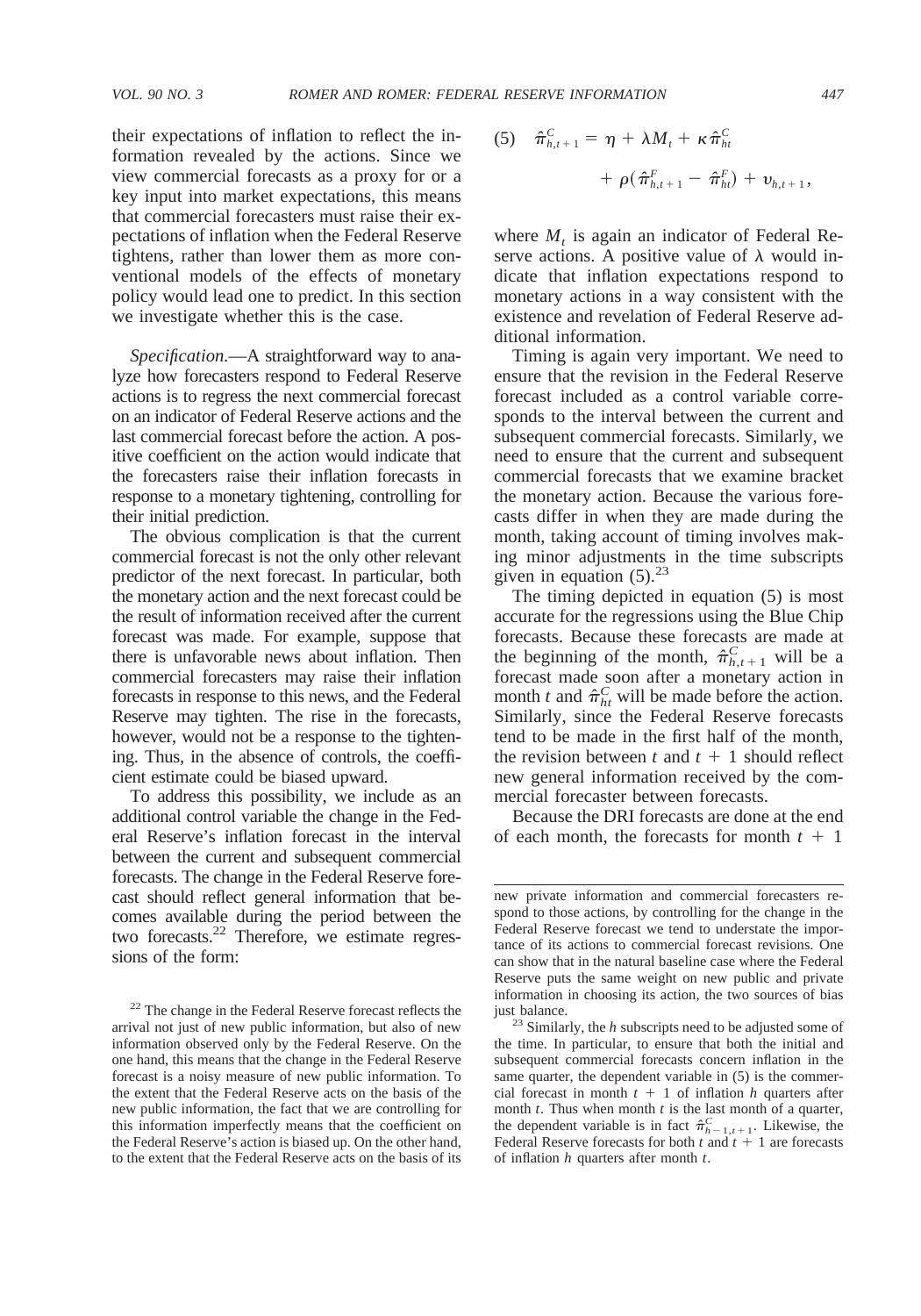their expectations of inflation to reflect the information revealed by the actions. Since we view commercial forecasts as a proxy for or a key input into market expectations, this means that commercial forecasters must raise their expectations of inflation when the Federal Reserve tightens, rather than lower them as more conventional models of the effects of monetary policy would lead one to predict. In this section we investigate whether this is the case.

*Specification.*—A straightforward way to analyze how forecasters respond to Federal Reserve actions is to regress the next commercial forecast on an indicator of Federal Reserve actions and the last commercial forecast before the action. A positive coefficient on the action would indicate that the forecasters raise their inflation forecasts in response to a monetary tightening, controlling for their initial prediction.

The obvious complication is that the current commercial forecast is not the only other relevant predictor of the next forecast. In particular, both the monetary action and the next forecast could be the result of information received after the current forecast was made. For example, suppose that there is unfavorable news about inflation. Then commercial forecasters may raise their inflation forecasts in response to this news, and the Federal Reserve may tighten. The rise in the forecasts, however, would not be a response to the tightening. Thus, in the absence of controls, the coefficient estimate could be biased upward.

To address this possibility, we include as an additional control variable the change in the Federal Reserve's inflation forecast in the interval between the current and subsequent commercial forecasts. The change in the Federal Reserve forecast should reflect general information that becomes available during the period between the two forecasts.<sup>22</sup> Therefore, we estimate regressions of the form:

(5) 
$$
\hat{\pi}_{h,t+1}^{C} = \eta + \lambda M_{t} + \kappa \hat{\pi}_{ht}^{C} + \rho (\hat{\pi}_{h,t+1}^{F} - \hat{\pi}_{ht}^{F}) + \nu_{h,t+1},
$$

where  $M_t$  is again an indicator of Federal Reserve actions. A positive value of  $\lambda$  would indicate that inflation expectations respond to monetary actions in a way consistent with the existence and revelation of Federal Reserve additional information.

Timing is again very important. We need to ensure that the revision in the Federal Reserve forecast included as a control variable corresponds to the interval between the current and subsequent commercial forecasts. Similarly, we need to ensure that the current and subsequent commercial forecasts that we examine bracket the monetary action. Because the various forecasts differ in when they are made during the month, taking account of timing involves making minor adjustments in the time subscripts given in equation  $(5).^{23}$ 

The timing depicted in equation (5) is most accurate for the regressions using the Blue Chip forecasts. Because these forecasts are made at the beginning of the month,  $\hat{\pi}_{h,t+1}^C$  will be a forecast made soon after a monetary action in month *t* and  $\hat{\pi}_{ht}^C$  will be made before the action. Similarly, since the Federal Reserve forecasts tend to be made in the first half of the month, the revision between  $t$  and  $t + 1$  should reflect new general information received by the commercial forecaster between forecasts.

Because the DRI forecasts are done at the end of each month, the forecasts for month  $t + 1$ 

<sup>&</sup>lt;sup>22</sup> The change in the Federal Reserve forecast reflects the arrival not just of new public information, but also of new information observed only by the Federal Reserve. On the one hand, this means that the change in the Federal Reserve forecast is a noisy measure of new public information. To the extent that the Federal Reserve acts on the basis of the new public information, the fact that we are controlling for this information imperfectly means that the coefficient on the Federal Reserve's action is biased up. On the other hand, to the extent that the Federal Reserve acts on the basis of its

new private information and commercial forecasters respond to those actions, by controlling for the change in the Federal Reserve forecast we tend to understate the importance of its actions to commercial forecast revisions. One can show that in the natural baseline case where the Federal Reserve puts the same weight on new public and private information in choosing its action, the two sources of bias

just balance. <sup>23</sup> Similarly, the *<sup>h</sup>* subscripts need to be adjusted some of the time. In particular, to ensure that both the initial and subsequent commercial forecasts concern inflation in the same quarter, the dependent variable in (5) is the commercial forecast in month  $t + 1$  of inflation *h* quarters after month *t*. Thus when month *t* is the last month of a quarter, the dependent variable is in fact  $\hat{\pi}_{h-1,t+1}^C$ . Likewise, the Federal Reserve forecasts for both  $t$  and  $t + 1$  are forecasts of inflation *h* quarters after month *t*.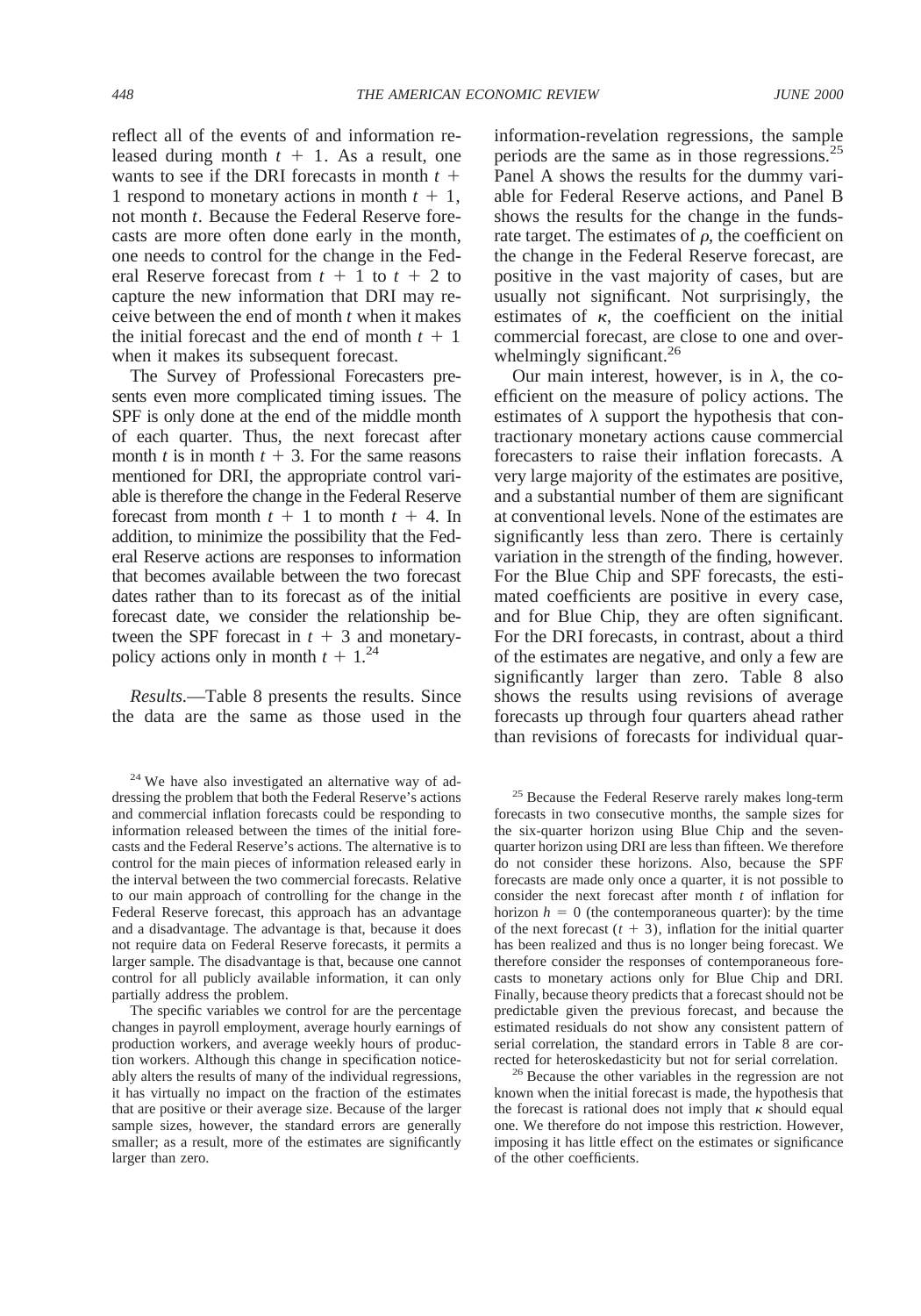reflect all of the events of and information released during month  $t + 1$ . As a result, one wants to see if the DRI forecasts in month  $t +$ 1 respond to monetary actions in month  $t + 1$ , not month *t*. Because the Federal Reserve forecasts are more often done early in the month, one needs to control for the change in the Federal Reserve forecast from  $t + 1$  to  $t + 2$  to capture the new information that DRI may receive between the end of month *t* when it makes the initial forecast and the end of month  $t + 1$ when it makes its subsequent forecast.

The Survey of Professional Forecasters presents even more complicated timing issues. The SPF is only done at the end of the middle month of each quarter. Thus, the next forecast after month *t* is in month  $t + 3$ . For the same reasons mentioned for DRI, the appropriate control variable is therefore the change in the Federal Reserve forecast from month  $t + 1$  to month  $t + 4$ . In addition, to minimize the possibility that the Federal Reserve actions are responses to information that becomes available between the two forecast dates rather than to its forecast as of the initial forecast date, we consider the relationship between the SPF forecast in  $t + 3$  and monetarypolicy actions only in month  $t + 1$ <sup>24</sup>

*Results.*—Table 8 presents the results. Since the data are the same as those used in the

information-revelation regressions, the sample periods are the same as in those regressions.25 Panel A shows the results for the dummy variable for Federal Reserve actions, and Panel B shows the results for the change in the fundsrate target. The estimates of  $\rho$ , the coefficient on the change in the Federal Reserve forecast, are positive in the vast majority of cases, but are usually not significant. Not surprisingly, the estimates of  $\kappa$ , the coefficient on the initial commercial forecast, are close to one and overwhelmingly significant.<sup>26</sup>

Our main interest, however, is in  $\lambda$ , the coefficient on the measure of policy actions. The estimates of  $\lambda$  support the hypothesis that contractionary monetary actions cause commercial forecasters to raise their inflation forecasts. A very large majority of the estimates are positive, and a substantial number of them are significant at conventional levels. None of the estimates are significantly less than zero. There is certainly variation in the strength of the finding, however. For the Blue Chip and SPF forecasts, the estimated coefficients are positive in every case, and for Blue Chip, they are often significant. For the DRI forecasts, in contrast, about a third of the estimates are negative, and only a few are significantly larger than zero. Table 8 also shows the results using revisions of average forecasts up through four quarters ahead rather than revisions of forecasts for individual quar-

<sup>25</sup> Because the Federal Reserve rarely makes long-term forecasts in two consecutive months, the sample sizes for the six-quarter horizon using Blue Chip and the sevenquarter horizon using DRI are less than fifteen. We therefore do not consider these horizons. Also, because the SPF forecasts are made only once a quarter, it is not possible to consider the next forecast after month *t* of inflation for horizon  $h = 0$  (the contemporaneous quarter): by the time of the next forecast  $(t + 3)$ , inflation for the initial quarter has been realized and thus is no longer being forecast. We therefore consider the responses of contemporaneous forecasts to monetary actions only for Blue Chip and DRI. Finally, because theory predicts that a forecast should not be predictable given the previous forecast, and because the estimated residuals do not show any consistent pattern of serial correlation, the standard errors in Table 8 are cor-

rected for heteroskedasticity but not for serial correlation.<br><sup>26</sup> Because the other variables in the regression are not known when the initial forecast is made, the hypothesis that the forecast is rational does not imply that  $\kappa$  should equal one. We therefore do not impose this restriction. However, imposing it has little effect on the estimates or significance of the other coefficients.

 $24$  We have also investigated an alternative way of addressing the problem that both the Federal Reserve's actions and commercial inflation forecasts could be responding to information released between the times of the initial forecasts and the Federal Reserve's actions. The alternative is to control for the main pieces of information released early in the interval between the two commercial forecasts. Relative to our main approach of controlling for the change in the Federal Reserve forecast, this approach has an advantage and a disadvantage. The advantage is that, because it does not require data on Federal Reserve forecasts, it permits a larger sample. The disadvantage is that, because one cannot control for all publicly available information, it can only partially address the problem.

The specific variables we control for are the percentage changes in payroll employment, average hourly earnings of production workers, and average weekly hours of production workers. Although this change in specification noticeably alters the results of many of the individual regressions, it has virtually no impact on the fraction of the estimates that are positive or their average size. Because of the larger sample sizes, however, the standard errors are generally smaller; as a result, more of the estimates are significantly larger than zero.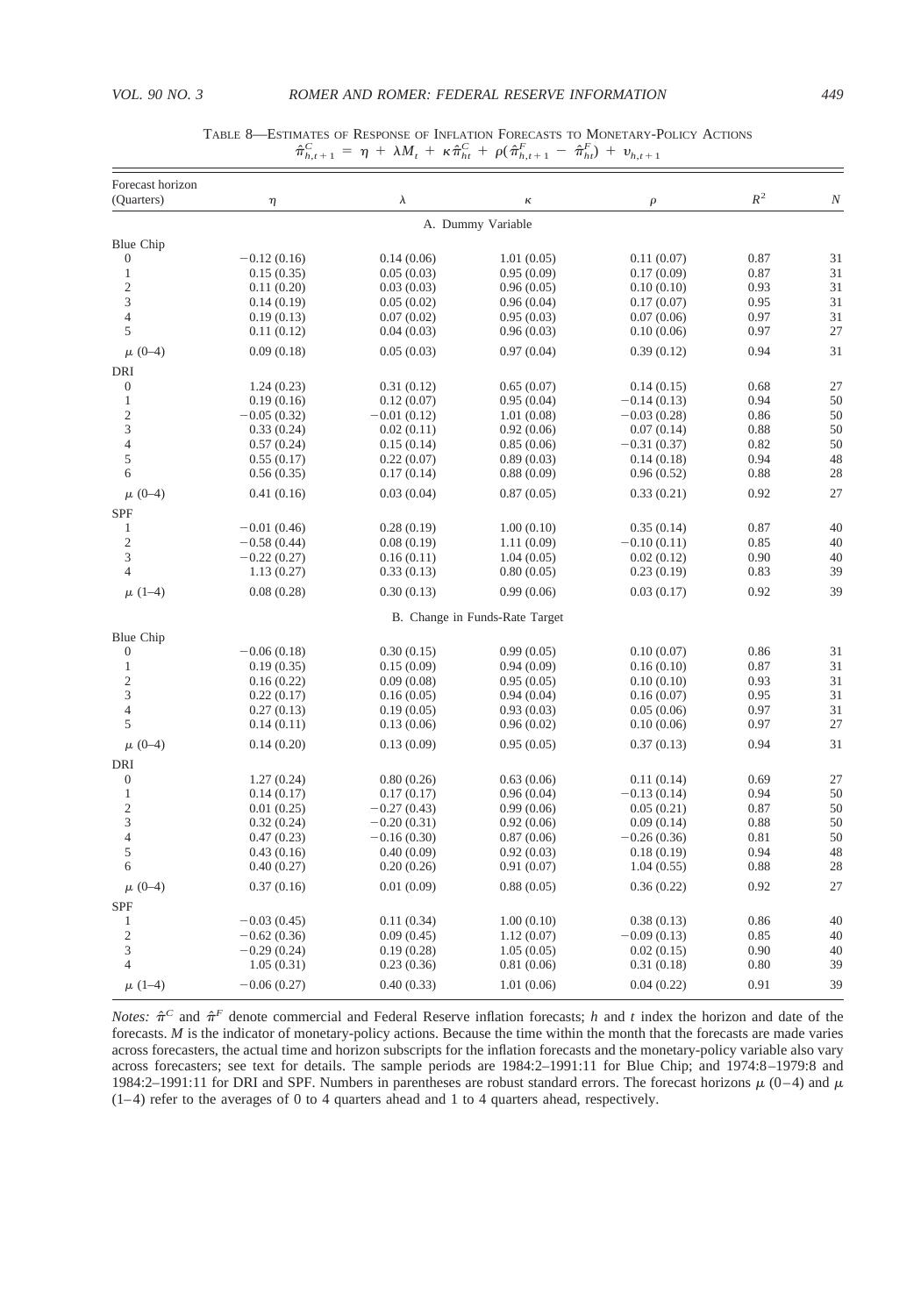| Forecast horizon        |               |               |                                |               | $R^2$ |                  |
|-------------------------|---------------|---------------|--------------------------------|---------------|-------|------------------|
| (Quarters)              | η             | $\lambda$     | к                              | $\rho$        |       | $\boldsymbol{N}$ |
|                         |               |               | A. Dummy Variable              |               |       |                  |
| Blue Chip               |               |               |                                |               |       |                  |
| $\boldsymbol{0}$        | $-0.12(0.16)$ | 0.14(0.06)    | 1.01(0.05)                     | 0.11(0.07)    | 0.87  | 31               |
| $\mathbf{1}$            | 0.15(0.35)    | 0.05(0.03)    | 0.95(0.09)                     | 0.17(0.09)    | 0.87  | 31               |
| $\sqrt{2}$              | 0.11(0.20)    | 0.03(0.03)    | 0.96(0.05)                     | 0.10(0.10)    | 0.93  | 31               |
| 3                       | 0.14(0.19)    | 0.05(0.02)    | 0.96(0.04)                     | 0.17(0.07)    | 0.95  | 31               |
| $\overline{4}$          | 0.19(0.13)    | 0.07(0.02)    | 0.95(0.03)                     | 0.07(0.06)    | 0.97  | 31               |
| 5                       | 0.11(0.12)    | 0.04(0.03)    | 0.96(0.03)                     | 0.10(0.06)    | 0.97  | 27               |
| $\mu$ (0-4)             | 0.09(0.18)    | 0.05(0.03)    | 0.97(0.04)                     | 0.39(0.12)    | 0.94  | 31               |
| <b>DRI</b>              |               |               |                                |               |       |                  |
| $\boldsymbol{0}$        | 1.24(0.23)    | 0.31(0.12)    | 0.65(0.07)                     | 0.14(0.15)    | 0.68  | 27               |
| $\,1$                   | 0.19(0.16)    | 0.12(0.07)    | 0.95(0.04)                     | $-0.14(0.13)$ | 0.94  | 50               |
| $\overline{\mathbf{c}}$ | $-0.05(0.32)$ | $-0.01(0.12)$ | 1.01(0.08)                     | $-0.03(0.28)$ | 0.86  | 50               |
| 3                       | 0.33(0.24)    | 0.02(0.11)    | 0.92(0.06)                     | 0.07(0.14)    | 0.88  | 50               |
| $\overline{4}$          | 0.57(0.24)    | 0.15(0.14)    | 0.85(0.06)                     | $-0.31(0.37)$ | 0.82  | 50               |
| 5                       | 0.55(0.17)    | 0.22(0.07)    | 0.89(0.03)                     | 0.14(0.18)    | 0.94  | 48               |
| 6                       | 0.56(0.35)    | 0.17(0.14)    | 0.88(0.09)                     | 0.96(0.52)    | 0.88  | 28               |
| $\mu$ (0-4)             | 0.41(0.16)    | 0.03(0.04)    | 0.87(0.05)                     | 0.33(0.21)    | 0.92  | 27               |
| SPF                     |               |               |                                |               |       |                  |
| 1                       | $-0.01(0.46)$ | 0.28(0.19)    | 1.00(0.10)                     | 0.35(0.14)    | 0.87  | 40               |
| $\sqrt{2}$              | $-0.58(0.44)$ | 0.08(0.19)    | 1.11(0.09)                     | $-0.10(0.11)$ | 0.85  | 40               |
| 3                       | $-0.22(0.27)$ | 0.16(0.11)    | 1.04(0.05)                     | 0.02(0.12)    | 0.90  | 40               |
| $\overline{4}$          | 1.13(0.27)    | 0.33(0.13)    | 0.80(0.05)                     | 0.23(0.19)    | 0.83  | 39               |
| $\mu$ (1–4)             | 0.08(0.28)    | 0.30(0.13)    | 0.99(0.06)                     | 0.03(0.17)    | 0.92  | 39               |
|                         |               |               | B. Change in Funds-Rate Target |               |       |                  |
| Blue Chip               |               |               |                                |               |       |                  |
| $\mathbf{0}$            | $-0.06(0.18)$ | 0.30(0.15)    | 0.99(0.05)                     | 0.10(0.07)    | 0.86  | 31               |
| $\mathbf{1}$            | 0.19(0.35)    | 0.15(0.09)    | 0.94(0.09)                     | 0.16(0.10)    | 0.87  | 31               |
| $\overline{\mathbf{c}}$ | 0.16(0.22)    | 0.09(0.08)    | 0.95(0.05)                     | 0.10(0.10)    | 0.93  | 31               |
| 3                       | 0.22(0.17)    | 0.16(0.05)    | 0.94(0.04)                     | 0.16(0.07)    | 0.95  | 31               |
| $\overline{4}$          | 0.27(0.13)    | 0.19(0.05)    | 0.93(0.03)                     | 0.05(0.06)    | 0.97  | 31               |
| 5                       | 0.14(0.11)    | 0.13(0.06)    | 0.96(0.02)                     | 0.10(0.06)    | 0.97  | 27               |
| $\mu$ (0-4)             | 0.14(0.20)    | 0.13(0.09)    | 0.95(0.05)                     | 0.37(0.13)    | 0.94  | 31               |
| <b>DRI</b>              |               |               |                                |               |       |                  |
| $\boldsymbol{0}$        | 1.27(0.24)    | 0.80(0.26)    | 0.63(0.06)                     | 0.11(0.14)    | 0.69  | 27               |
| $\mathbf{1}$            | 0.14(0.17)    | 0.17(0.17)    | 0.96(0.04)                     | $-0.13(0.14)$ | 0.94  | 50               |
| $\overline{c}$          | 0.01(0.25)    | $-0.27(0.43)$ | 0.99(0.06)                     | 0.05(0.21)    | 0.87  | 50               |
| 3                       | 0.32(0.24)    | $-0.20(0.31)$ | 0.92(0.06)                     | 0.09(0.14)    | 0.88  | 50               |
| $\overline{4}$          | 0.47(0.23)    | $-0.16(0.30)$ | 0.87(0.06)                     | $-0.26(0.36)$ | 0.81  | 50               |
| 5                       | 0.43(0.16)    | 0.40(0.09)    | 0.92(0.03)                     | 0.18(0.19)    | 0.94  | 48               |
| 6                       | 0.40(0.27)    | 0.20(0.26)    | 0.91(0.07)                     | 1.04(0.55)    | 0.88  | 28               |
| $\mu$ (0-4)             | 0.37(0.16)    | 0.01(0.09)    | 0.88(0.05)                     | 0.36(0.22)    | 0.92  | 27               |
| SPF                     |               |               |                                |               |       |                  |
| $\mathbf{1}$            | $-0.03(0.45)$ | 0.11(0.34)    | 1.00(0.10)                     | 0.38(0.13)    | 0.86  | 40               |
| $\overline{c}$          | $-0.62(0.36)$ | 0.09(0.45)    | 1.12(0.07)                     | $-0.09(0.13)$ | 0.85  | 40               |
| 3                       | $-0.29(0.24)$ | 0.19(0.28)    | 1.05(0.05)                     | 0.02(0.15)    | 0.90  | 40               |
| $\overline{4}$          | 1.05(0.31)    | 0.23(0.36)    | 0.81(0.06)                     | 0.31(0.18)    | 0.80  | 39               |
| $\mu$ (1-4)             | $-0.06(0.27)$ | 0.40(0.33)    | 1.01(0.06)                     | 0.04(0.22)    | 0.91  | 39               |

## TABLE 8—ESTIMATES OF RESPONSE OF INFLATION FORECASTS TO MONETARY-POLICY ACTIONS  $\hat{\pi}_{h,t+1}^C = \eta + \lambda M_t + \kappa \hat{\pi}_{ht}^C + \rho (\hat{\pi}_{h,t+1}^F - \hat{\pi}_{ht}^F) + v_{h,t+1}$

*Notes:*  $\hat{\pi}^C$  and  $\hat{\pi}^F$  denote commercial and Federal Reserve inflation forecasts; *h* and *t* index the horizon and date of the forecasts. *M* is the indicator of monetary-policy actions. Because the time within the month that the forecasts are made varies across forecasters, the actual time and horizon subscripts for the inflation forecasts and the monetary-policy variable also vary across forecasters; see text for details. The sample periods are 1984:2–1991:11 for Blue Chip; and 1974:8–1979:8 and 1984:2–1991:11 for DRI and SPF. Numbers in parentheses are robust standard errors. The forecast horizons  $\mu$  (0–4) and  $\mu$ (1–4) refer to the averages of 0 to 4 quarters ahead and 1 to 4 quarters ahead, respectively.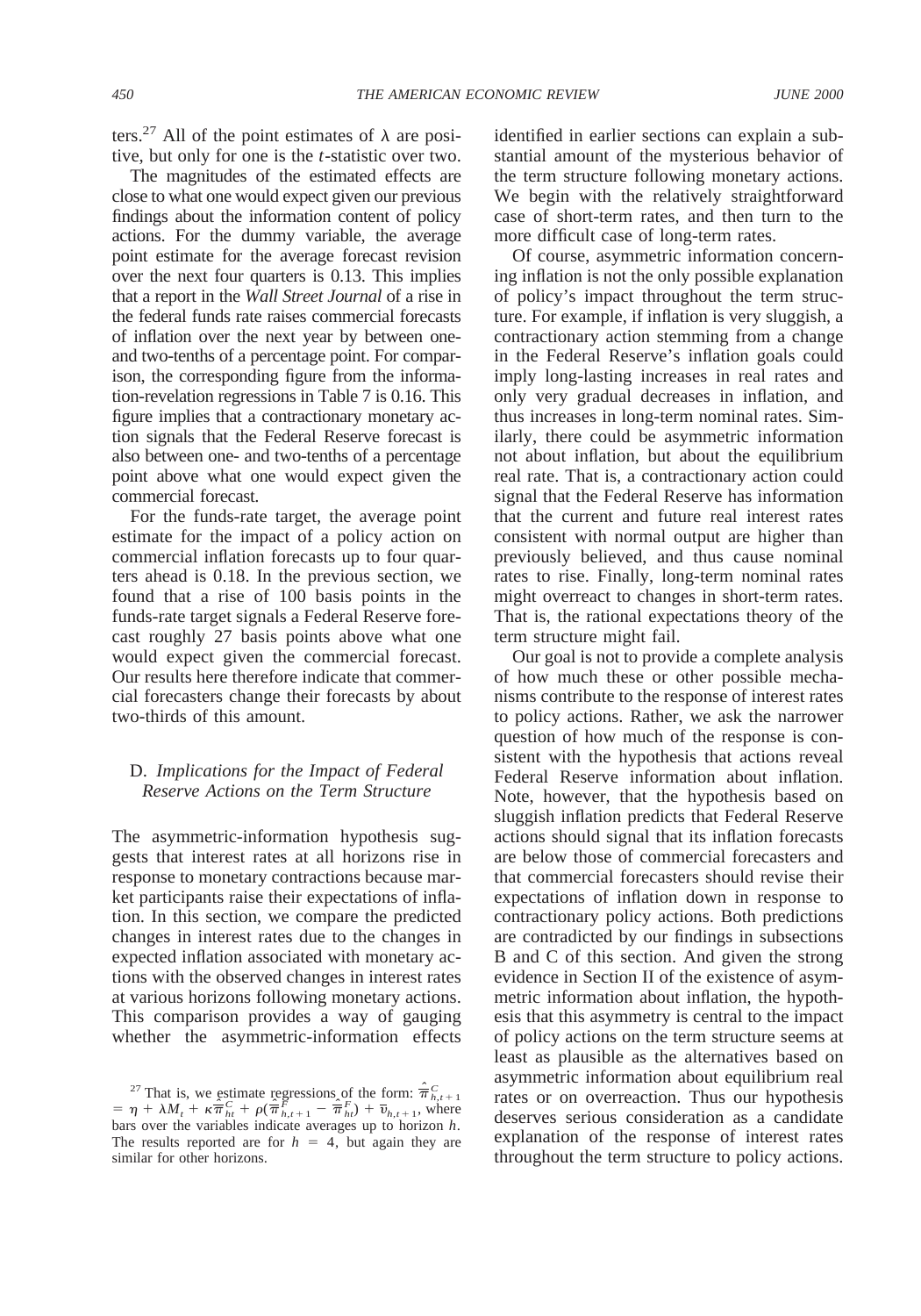ters.<sup>27</sup> All of the point estimates of  $\lambda$  are positive, but only for one is the *t*-statistic over two.

The magnitudes of the estimated effects are close to what one would expect given our previous findings about the information content of policy actions. For the dummy variable, the average point estimate for the average forecast revision over the next four quarters is 0.13. This implies that a report in the *Wall Street Journal* of a rise in the federal funds rate raises commercial forecasts of inflation over the next year by between oneand two-tenths of a percentage point. For comparison, the corresponding figure from the information-revelation regressions in Table 7 is 0.16. This figure implies that a contractionary monetary action signals that the Federal Reserve forecast is also between one- and two-tenths of a percentage point above what one would expect given the commercial forecast.

For the funds-rate target, the average point estimate for the impact of a policy action on commercial inflation forecasts up to four quarters ahead is 0.18. In the previous section, we found that a rise of 100 basis points in the funds-rate target signals a Federal Reserve forecast roughly 27 basis points above what one would expect given the commercial forecast. Our results here therefore indicate that commercial forecasters change their forecasts by about two-thirds of this amount.

# D. *Implications for the Impact of Federal Reserve Actions on the Term Structure*

The asymmetric-information hypothesis suggests that interest rates at all horizons rise in response to monetary contractions because market participants raise their expectations of inflation. In this section, we compare the predicted changes in interest rates due to the changes in expected inflation associated with monetary actions with the observed changes in interest rates at various horizons following monetary actions. This comparison provides a way of gauging whether the asymmetric-information effects

identified in earlier sections can explain a substantial amount of the mysterious behavior of the term structure following monetary actions. We begin with the relatively straightforward case of short-term rates, and then turn to the more difficult case of long-term rates.

Of course, asymmetric information concerning inflation is not the only possible explanation of policy's impact throughout the term structure. For example, if inflation is very sluggish, a contractionary action stemming from a change in the Federal Reserve's inflation goals could imply long-lasting increases in real rates and only very gradual decreases in inflation, and thus increases in long-term nominal rates. Similarly, there could be asymmetric information not about inflation, but about the equilibrium real rate. That is, a contractionary action could signal that the Federal Reserve has information that the current and future real interest rates consistent with normal output are higher than previously believed, and thus cause nominal rates to rise. Finally, long-term nominal rates might overreact to changes in short-term rates. That is, the rational expectations theory of the term structure might fail.

Our goal is not to provide a complete analysis of how much these or other possible mechanisms contribute to the response of interest rates to policy actions. Rather, we ask the narrower question of how much of the response is consistent with the hypothesis that actions reveal Federal Reserve information about inflation. Note, however, that the hypothesis based on sluggish inflation predicts that Federal Reserve actions should signal that its inflation forecasts are below those of commercial forecasters and that commercial forecasters should revise their expectations of inflation down in response to contractionary policy actions. Both predictions are contradicted by our findings in subsections B and C of this section. And given the strong evidence in Section II of the existence of asymmetric information about inflation, the hypothesis that this asymmetry is central to the impact of policy actions on the term structure seems at least as plausible as the alternatives based on asymmetric information about equilibrium real rates or on overreaction. Thus our hypothesis deserves serious consideration as a candidate explanation of the response of interest rates throughout the term structure to policy actions.

<sup>&</sup>lt;sup>27</sup> That is, we estimate regressions of the form:  $\hat{\overline{\pi}}_{h,t+1}^C$  $= \eta + \lambda M_t + \kappa \hat{\overline{\pi}}_{ht}^C + \rho (\hat{\overline{\pi}}_{h,t+1}^F - \hat{\overline{\pi}}_{ht}^F) + \overline{v}_{h,t+1}$ , where bars over the variables indicate averages up to horizon *h*. The results reported are for  $h = 4$ , but again they are similar for other horizons.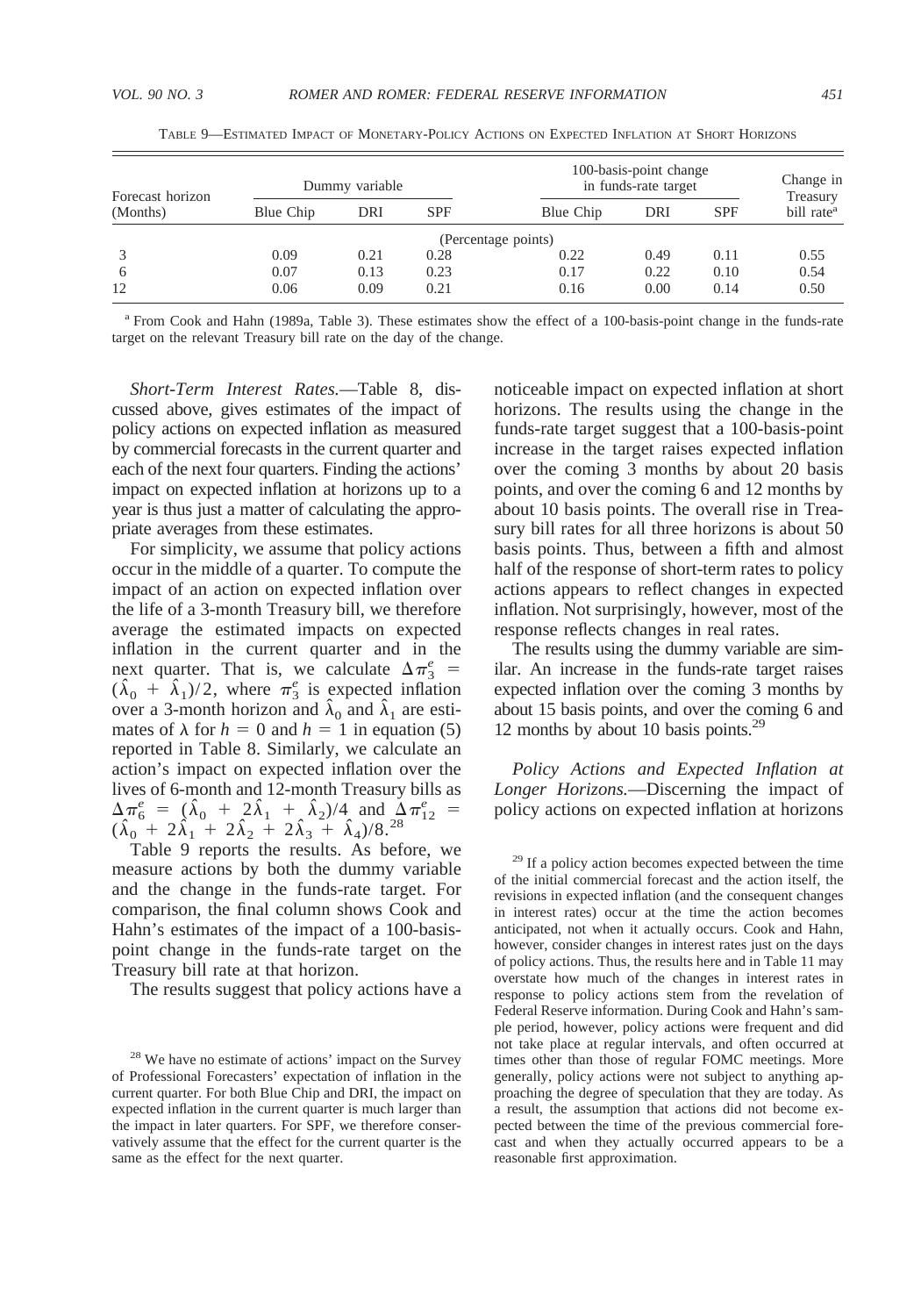| Forecast horizon |           | Dummy variable |            |                     | 100-basis-point change<br>in funds-rate target |            | Change in<br>Treasury  |
|------------------|-----------|----------------|------------|---------------------|------------------------------------------------|------------|------------------------|
| (Months)         | Blue Chip | DRI            | <b>SPF</b> | Blue Chip           | DRI                                            | <b>SPF</b> | bill rate <sup>a</sup> |
|                  |           |                |            | (Percentage points) |                                                |            |                        |
|                  | 0.09      | 0.21           | 0.28       | 0.22                | 0.49                                           | 0.11       | 0.55                   |
| 6                | 0.07      | 0.13           | 0.23       | 0.17                | 0.22                                           | 0.10       | 0.54                   |
| 12               | 0.06      | 0.09           | 0.21       | 0.16                | 0.00                                           | 0.14       | 0.50                   |

TABLE 9—ESTIMATED IMPACT OF MONETARY-POLICY ACTIONS ON EXPECTED INFLATION AT SHORT HORIZONS

<sup>a</sup> From Cook and Hahn (1989a, Table 3). These estimates show the effect of a 100-basis-point change in the funds-rate target on the relevant Treasury bill rate on the day of the change.

*Short-Term Interest Rates.*—Table 8, discussed above, gives estimates of the impact of policy actions on expected inflation as measured by commercial forecasts in the current quarter and each of the next four quarters. Finding the actions' impact on expected inflation at horizons up to a year is thus just a matter of calculating the appropriate averages from these estimates.

For simplicity, we assume that policy actions occur in the middle of a quarter. To compute the impact of an action on expected inflation over the life of a 3-month Treasury bill, we therefore average the estimated impacts on expected inflation in the current quarter and in the next quarter. That is, we calculate  $\Delta \pi_3^e$  =  $(\hat{\lambda}_0 + \hat{\lambda}_1)/2$ , where  $\pi_3^e$  is expected inflation over a 3-month horizon and  $\hat{\lambda}_0$  and  $\hat{\lambda}_1$  are estimates of  $\lambda$  for  $h = 0$  and  $h = 1$  in equation (5) reported in Table 8. Similarly, we calculate an action's impact on expected inflation over the lives of 6-month and 12-month Treasury bills as  $\Delta \pi_6^e = (\hat{\lambda}_0 + 2\hat{\lambda}_1 + \hat{\lambda}_2)/4$  and  $\Delta \pi_{12}^e =$  $(\hat{\lambda}_0 + 2\hat{\lambda}_1 + 2\hat{\lambda}_2 + 2\hat{\lambda}_3 + \hat{\lambda}_4)/8^{28}$ 

Table 9 reports the results. As before, we measure actions by both the dummy variable and the change in the funds-rate target. For comparison, the final column shows Cook and Hahn's estimates of the impact of a 100-basispoint change in the funds-rate target on the Treasury bill rate at that horizon.

The results suggest that policy actions have a

noticeable impact on expected inflation at short horizons. The results using the change in the funds-rate target suggest that a 100-basis-point increase in the target raises expected inflation over the coming 3 months by about 20 basis points, and over the coming 6 and 12 months by about 10 basis points. The overall rise in Treasury bill rates for all three horizons is about 50 basis points. Thus, between a fifth and almost half of the response of short-term rates to policy actions appears to reflect changes in expected inflation. Not surprisingly, however, most of the response reflects changes in real rates.

The results using the dummy variable are similar. An increase in the funds-rate target raises expected inflation over the coming 3 months by about 15 basis points, and over the coming 6 and 12 months by about 10 basis points.29

*Policy Actions and Expected Inflation at Longer Horizons.*—Discerning the impact of policy actions on expected inflation at horizons

<sup>29</sup> If a policy action becomes expected between the time of the initial commercial forecast and the action itself, the revisions in expected inflation (and the consequent changes in interest rates) occur at the time the action becomes anticipated, not when it actually occurs. Cook and Hahn, however, consider changes in interest rates just on the days of policy actions. Thus, the results here and in Table 11 may overstate how much of the changes in interest rates in response to policy actions stem from the revelation of Federal Reserve information. During Cook and Hahn's sample period, however, policy actions were frequent and did not take place at regular intervals, and often occurred at times other than those of regular FOMC meetings. More generally, policy actions were not subject to anything approaching the degree of speculation that they are today. As a result, the assumption that actions did not become expected between the time of the previous commercial forecast and when they actually occurred appears to be a reasonable first approximation.

<sup>&</sup>lt;sup>28</sup> We have no estimate of actions' impact on the Survey of Professional Forecasters' expectation of inflation in the current quarter. For both Blue Chip and DRI, the impact on expected inflation in the current quarter is much larger than the impact in later quarters. For SPF, we therefore conservatively assume that the effect for the current quarter is the same as the effect for the next quarter.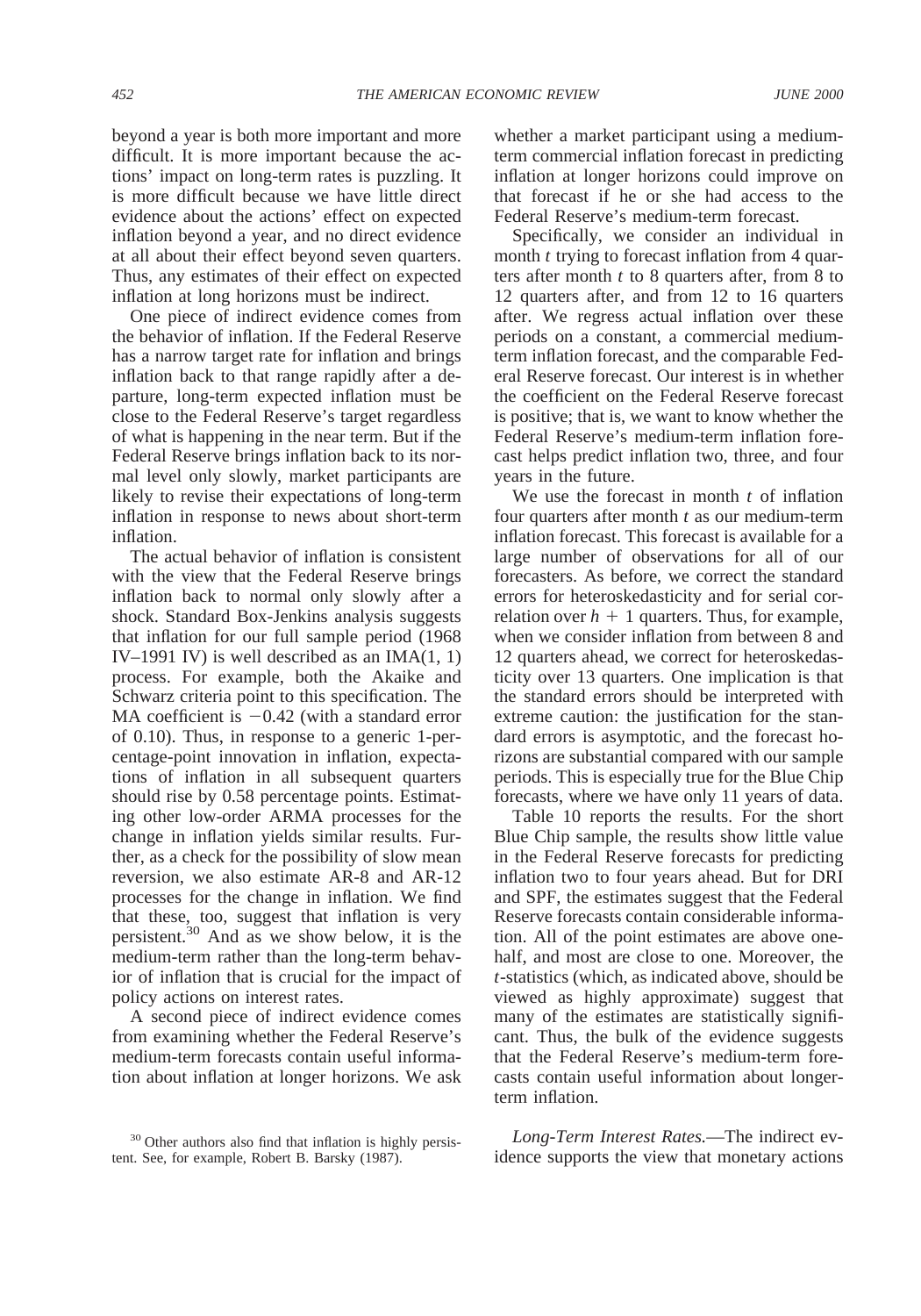beyond a year is both more important and more difficult. It is more important because the actions' impact on long-term rates is puzzling. It is more difficult because we have little direct evidence about the actions' effect on expected inflation beyond a year, and no direct evidence at all about their effect beyond seven quarters. Thus, any estimates of their effect on expected inflation at long horizons must be indirect.

One piece of indirect evidence comes from the behavior of inflation. If the Federal Reserve has a narrow target rate for inflation and brings inflation back to that range rapidly after a departure, long-term expected inflation must be close to the Federal Reserve's target regardless of what is happening in the near term. But if the Federal Reserve brings inflation back to its normal level only slowly, market participants are likely to revise their expectations of long-term inflation in response to news about short-term inflation.

The actual behavior of inflation is consistent with the view that the Federal Reserve brings inflation back to normal only slowly after a shock. Standard Box-Jenkins analysis suggests that inflation for our full sample period (1968 IV–1991 IV) is well described as an IMA $(1, 1)$ process. For example, both the Akaike and Schwarz criteria point to this specification. The MA coefficient is  $-0.42$  (with a standard error of 0.10). Thus, in response to a generic 1-percentage-point innovation in inflation, expectations of inflation in all subsequent quarters should rise by 0.58 percentage points. Estimating other low-order ARMA processes for the change in inflation yields similar results. Further, as a check for the possibility of slow mean reversion, we also estimate AR-8 and AR-12 processes for the change in inflation. We find that these, too, suggest that inflation is very persistent.30 And as we show below, it is the medium-term rather than the long-term behavior of inflation that is crucial for the impact of policy actions on interest rates.

A second piece of indirect evidence comes from examining whether the Federal Reserve's medium-term forecasts contain useful information about inflation at longer horizons. We ask whether a market participant using a mediumterm commercial inflation forecast in predicting inflation at longer horizons could improve on that forecast if he or she had access to the Federal Reserve's medium-term forecast.

Specifically, we consider an individual in month *t* trying to forecast inflation from 4 quarters after month *t* to 8 quarters after, from 8 to 12 quarters after, and from 12 to 16 quarters after. We regress actual inflation over these periods on a constant, a commercial mediumterm inflation forecast, and the comparable Federal Reserve forecast. Our interest is in whether the coefficient on the Federal Reserve forecast is positive; that is, we want to know whether the Federal Reserve's medium-term inflation forecast helps predict inflation two, three, and four years in the future.

We use the forecast in month *t* of inflation four quarters after month *t* as our medium-term inflation forecast. This forecast is available for a large number of observations for all of our forecasters. As before, we correct the standard errors for heteroskedasticity and for serial correlation over  $h + 1$  quarters. Thus, for example, when we consider inflation from between 8 and 12 quarters ahead, we correct for heteroskedasticity over 13 quarters. One implication is that the standard errors should be interpreted with extreme caution: the justification for the standard errors is asymptotic, and the forecast horizons are substantial compared with our sample periods. This is especially true for the Blue Chip forecasts, where we have only 11 years of data.

Table 10 reports the results. For the short Blue Chip sample, the results show little value in the Federal Reserve forecasts for predicting inflation two to four years ahead. But for DRI and SPF, the estimates suggest that the Federal Reserve forecasts contain considerable information. All of the point estimates are above onehalf, and most are close to one. Moreover, the *t*-statistics (which, as indicated above, should be viewed as highly approximate) suggest that many of the estimates are statistically significant. Thus, the bulk of the evidence suggests that the Federal Reserve's medium-term forecasts contain useful information about longerterm inflation.

*Long-Term Interest Rates.*—The indirect evidence supports the view that monetary actions

<sup>&</sup>lt;sup>30</sup> Other authors also find that inflation is highly persistent. See, for example, Robert B. Barsky (1987).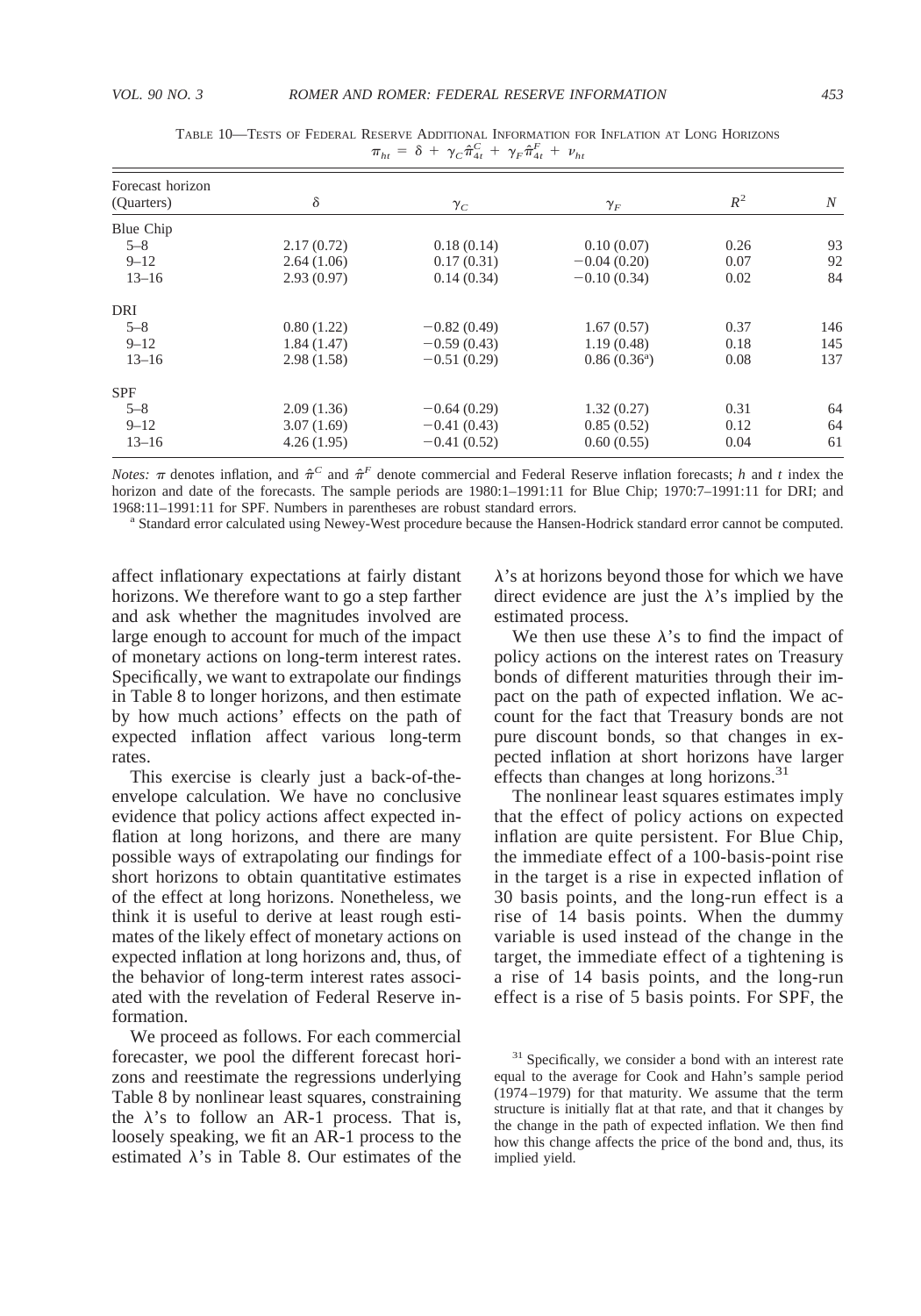| Forecast horizon |            |               |                      |       |     |
|------------------|------------|---------------|----------------------|-------|-----|
| (Quarters)       | δ          | $\gamma_C$    | $\gamma_F^{}$        | $R^2$ | N   |
| Blue Chip        |            |               |                      |       |     |
| $5 - 8$          | 2.17(0.72) | 0.18(0.14)    | 0.10(0.07)           | 0.26  | 93  |
| $9 - 12$         | 2.64(1.06) | 0.17(0.31)    | $-0.04(0.20)$        | 0.07  | 92  |
| $13 - 16$        | 2.93(0.97) | 0.14(0.34)    | $-0.10(0.34)$        | 0.02  | 84  |
| DRI              |            |               |                      |       |     |
| $5 - 8$          | 0.80(1.22) | $-0.82(0.49)$ | 1.67(0.57)           | 0.37  | 146 |
| $9 - 12$         | 1.84(1.47) | $-0.59(0.43)$ | 1.19(0.48)           | 0.18  | 145 |
| $13 - 16$        | 2.98(1.58) | $-0.51(0.29)$ | $0.86(0.36^{\circ})$ | 0.08  | 137 |
| <b>SPF</b>       |            |               |                      |       |     |
| $5 - 8$          | 2.09(1.36) | $-0.64(0.29)$ | 1.32(0.27)           | 0.31  | 64  |
| $9 - 12$         | 3.07(1.69) | $-0.41(0.43)$ | 0.85(0.52)           | 0.12  | 64  |
| $13 - 16$        | 4.26(1.95) | $-0.41(0.52)$ | 0.60(0.55)           | 0.04  | 61  |

TABLE 10—TESTS OF FEDERAL RESERVE ADDITIONAL INFORMATION FOR INFLATION AT LONG HORIZONS  $\pi_{ht} = \delta + \gamma_C \hat{\pi}_{4t}^C + \gamma_F \hat{\pi}_{4t}^F + \nu_{ht}$ 

*Notes:*  $\pi$  denotes inflation, and  $\hat{\pi}^C$  and  $\hat{\pi}^F$  denote commercial and Federal Reserve inflation forecasts; *h* and *t* index the horizon and date of the forecasts. The sample periods are 1980:1–1991:11 for Blue Chip; 1970:7–1991:11 for DRI; and 1968:11–1991:11 for SPF. Numbers in parentheses are robust standard errors.<br><sup>a</sup> Standard error calculated using Newey-West procedure because the Hansen-Hodrick standard error cannot be computed.

affect inflationary expectations at fairly distant horizons. We therefore want to go a step farther and ask whether the magnitudes involved are large enough to account for much of the impact of monetary actions on long-term interest rates. Specifically, we want to extrapolate our findings in Table 8 to longer horizons, and then estimate by how much actions' effects on the path of expected inflation affect various long-term rates.

This exercise is clearly just a back-of-theenvelope calculation. We have no conclusive evidence that policy actions affect expected inflation at long horizons, and there are many possible ways of extrapolating our findings for short horizons to obtain quantitative estimates of the effect at long horizons. Nonetheless, we think it is useful to derive at least rough estimates of the likely effect of monetary actions on expected inflation at long horizons and, thus, of the behavior of long-term interest rates associated with the revelation of Federal Reserve information.

We proceed as follows. For each commercial forecaster, we pool the different forecast horizons and reestimate the regressions underlying Table 8 by nonlinear least squares, constraining the  $\lambda$ 's to follow an AR-1 process. That is, loosely speaking, we fit an AR-1 process to the estimated  $\lambda$ 's in Table 8. Our estimates of the

 $\lambda$ 's at horizons beyond those for which we have direct evidence are just the  $\lambda$ 's implied by the estimated process.

We then use these  $\lambda$ 's to find the impact of policy actions on the interest rates on Treasury bonds of different maturities through their impact on the path of expected inflation. We account for the fact that Treasury bonds are not pure discount bonds, so that changes in expected inflation at short horizons have larger effects than changes at long horizons. $31$ 

The nonlinear least squares estimates imply that the effect of policy actions on expected inflation are quite persistent. For Blue Chip, the immediate effect of a 100-basis-point rise in the target is a rise in expected inflation of 30 basis points, and the long-run effect is a rise of 14 basis points. When the dummy variable is used instead of the change in the target, the immediate effect of a tightening is a rise of 14 basis points, and the long-run effect is a rise of 5 basis points. For SPF, the

<sup>&</sup>lt;sup>31</sup> Specifically, we consider a bond with an interest rate equal to the average for Cook and Hahn's sample period (1974–1979) for that maturity. We assume that the term structure is initially flat at that rate, and that it changes by the change in the path of expected inflation. We then find how this change affects the price of the bond and, thus, its implied yield.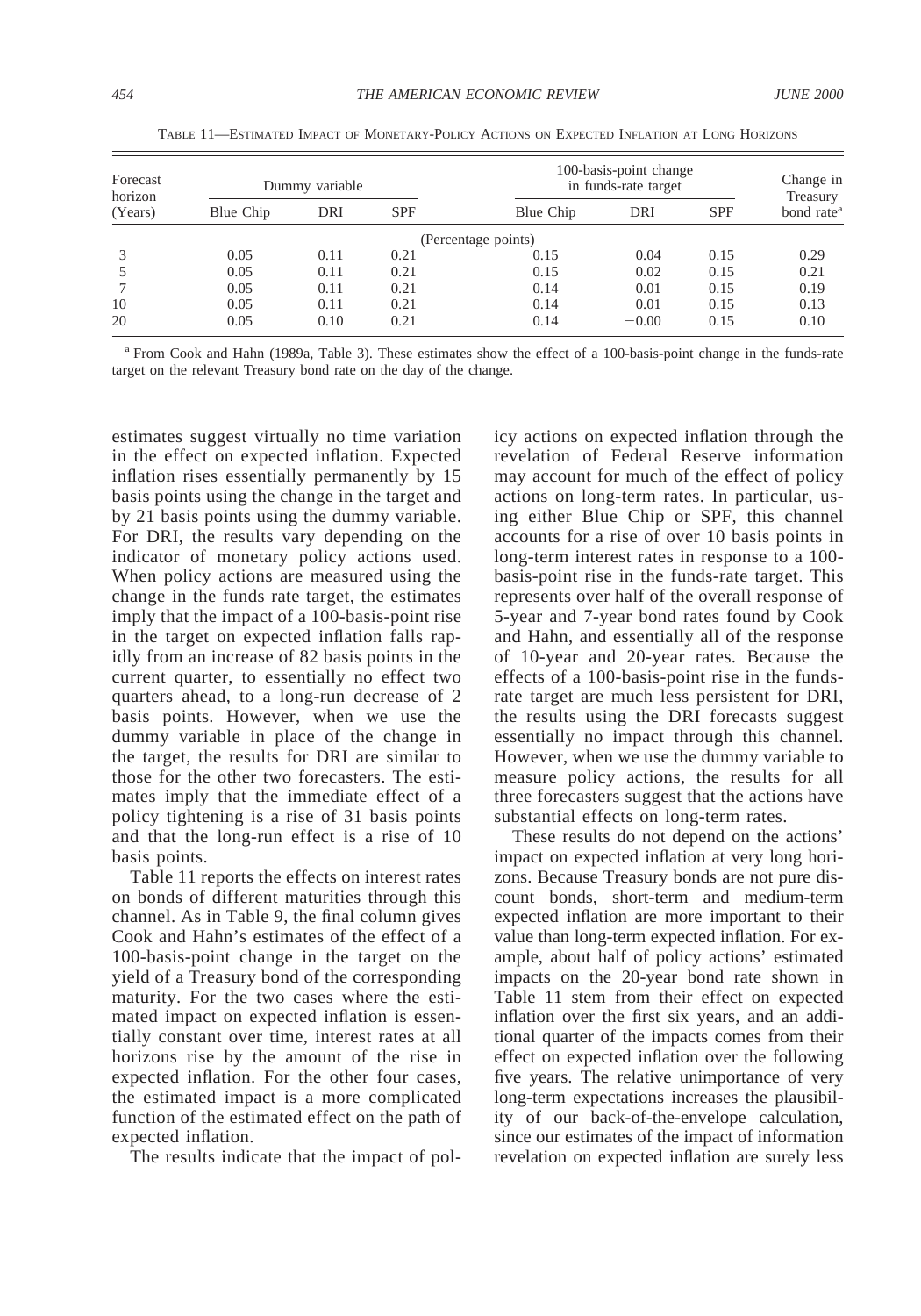| Forecast<br>horizon |           | Dummy variable |            |                     | 100-basis-point change<br>in funds-rate target |            | Change in<br>Treasury  |
|---------------------|-----------|----------------|------------|---------------------|------------------------------------------------|------------|------------------------|
| (Years)             | Blue Chip | DRI            | <b>SPF</b> | Blue Chip           | DRI                                            | <b>SPF</b> | bond rate <sup>a</sup> |
|                     |           |                |            | (Percentage points) |                                                |            |                        |
|                     | 0.05      | 0.11           | 0.21       | 0.15                | 0.04                                           | 0.15       | 0.29                   |
|                     | 0.05      | 0.11           | 0.21       | 0.15                | 0.02                                           | 0.15       | 0.21                   |
|                     | 0.05      | 0.11           | 0.21       | 0.14                | 0.01                                           | 0.15       | 0.19                   |
| 10                  | 0.05      | 0.11           | 0.21       | 0.14                | 0.01                                           | 0.15       | 0.13                   |
| 20                  | 0.05      | 0.10           | 0.21       | 0.14                | $-0.00$                                        | 0.15       | 0.10                   |

TABLE 11—ESTIMATED IMPACT OF MONETARY-POLICY ACTIONS ON EXPECTED INFLATION AT LONG HORIZONS

<sup>a</sup> From Cook and Hahn (1989a, Table 3). These estimates show the effect of a 100-basis-point change in the funds-rate target on the relevant Treasury bond rate on the day of the change.

estimates suggest virtually no time variation in the effect on expected inflation. Expected inflation rises essentially permanently by 15 basis points using the change in the target and by 21 basis points using the dummy variable. For DRI, the results vary depending on the indicator of monetary policy actions used. When policy actions are measured using the change in the funds rate target, the estimates imply that the impact of a 100-basis-point rise in the target on expected inflation falls rapidly from an increase of 82 basis points in the current quarter, to essentially no effect two quarters ahead, to a long-run decrease of 2 basis points. However, when we use the dummy variable in place of the change in the target, the results for DRI are similar to those for the other two forecasters. The estimates imply that the immediate effect of a policy tightening is a rise of 31 basis points and that the long-run effect is a rise of 10 basis points.

Table 11 reports the effects on interest rates on bonds of different maturities through this channel. As in Table 9, the final column gives Cook and Hahn's estimates of the effect of a 100-basis-point change in the target on the yield of a Treasury bond of the corresponding maturity. For the two cases where the estimated impact on expected inflation is essentially constant over time, interest rates at all horizons rise by the amount of the rise in expected inflation. For the other four cases, the estimated impact is a more complicated function of the estimated effect on the path of expected inflation.

The results indicate that the impact of pol-

icy actions on expected inflation through the revelation of Federal Reserve information may account for much of the effect of policy actions on long-term rates. In particular, using either Blue Chip or SPF, this channel accounts for a rise of over 10 basis points in long-term interest rates in response to a 100 basis-point rise in the funds-rate target. This represents over half of the overall response of 5-year and 7-year bond rates found by Cook and Hahn, and essentially all of the response of 10-year and 20-year rates. Because the effects of a 100-basis-point rise in the fundsrate target are much less persistent for DRI, the results using the DRI forecasts suggest essentially no impact through this channel. However, when we use the dummy variable to measure policy actions, the results for all three forecasters suggest that the actions have substantial effects on long-term rates.

These results do not depend on the actions' impact on expected inflation at very long horizons. Because Treasury bonds are not pure discount bonds, short-term and medium-term expected inflation are more important to their value than long-term expected inflation. For example, about half of policy actions' estimated impacts on the 20-year bond rate shown in Table 11 stem from their effect on expected inflation over the first six years, and an additional quarter of the impacts comes from their effect on expected inflation over the following five years. The relative unimportance of very long-term expectations increases the plausibility of our back-of-the-envelope calculation, since our estimates of the impact of information revelation on expected inflation are surely less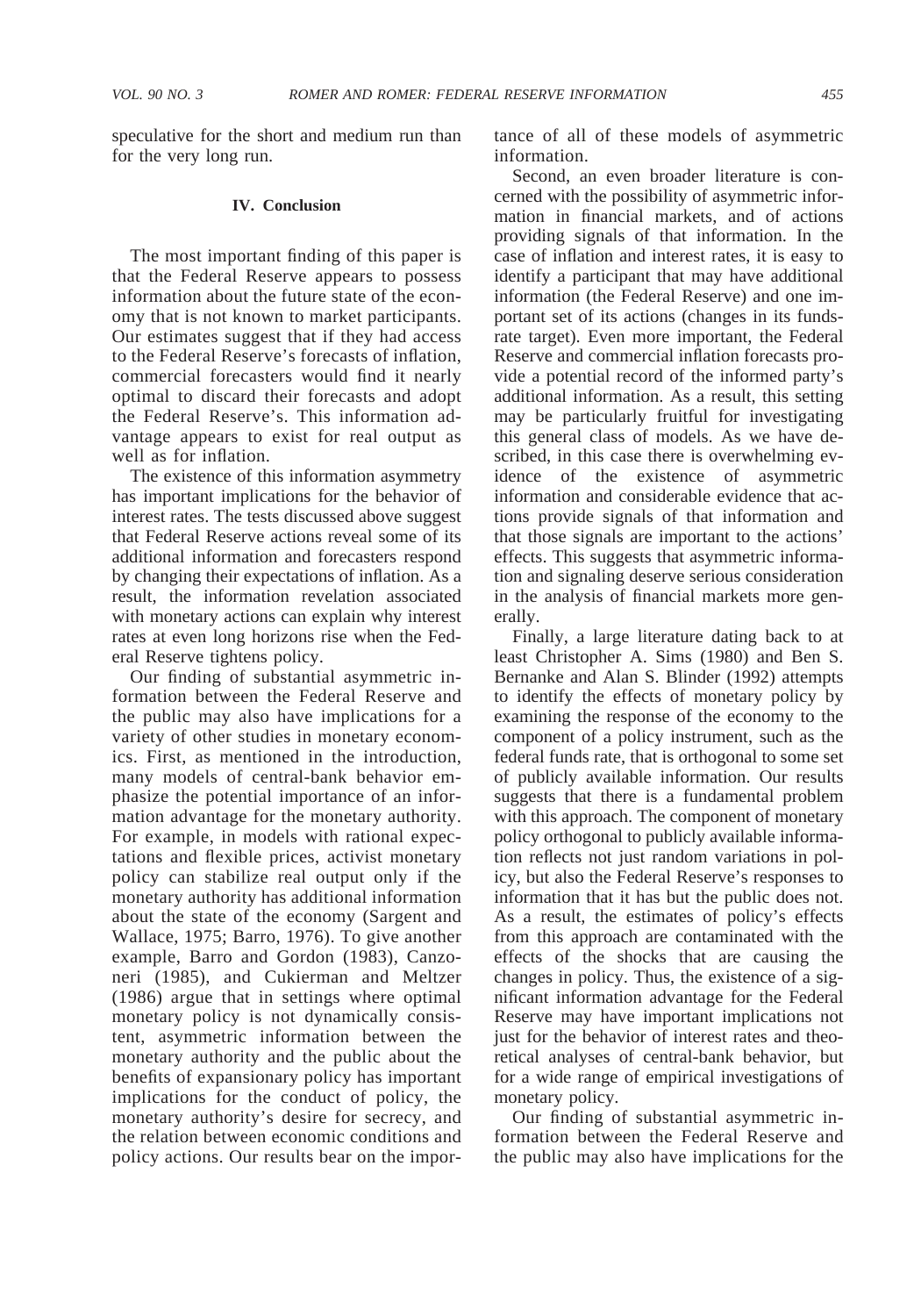speculative for the short and medium run than for the very long run.

#### **IV. Conclusion**

The most important finding of this paper is that the Federal Reserve appears to possess information about the future state of the economy that is not known to market participants. Our estimates suggest that if they had access to the Federal Reserve's forecasts of inflation, commercial forecasters would find it nearly optimal to discard their forecasts and adopt the Federal Reserve's. This information advantage appears to exist for real output as well as for inflation.

The existence of this information asymmetry has important implications for the behavior of interest rates. The tests discussed above suggest that Federal Reserve actions reveal some of its additional information and forecasters respond by changing their expectations of inflation. As a result, the information revelation associated with monetary actions can explain why interest rates at even long horizons rise when the Federal Reserve tightens policy.

Our finding of substantial asymmetric information between the Federal Reserve and the public may also have implications for a variety of other studies in monetary economics. First, as mentioned in the introduction, many models of central-bank behavior emphasize the potential importance of an information advantage for the monetary authority. For example, in models with rational expectations and flexible prices, activist monetary policy can stabilize real output only if the monetary authority has additional information about the state of the economy (Sargent and Wallace, 1975; Barro, 1976). To give another example, Barro and Gordon (1983), Canzoneri (1985), and Cukierman and Meltzer (1986) argue that in settings where optimal monetary policy is not dynamically consistent, asymmetric information between the monetary authority and the public about the benefits of expansionary policy has important implications for the conduct of policy, the monetary authority's desire for secrecy, and the relation between economic conditions and policy actions. Our results bear on the importance of all of these models of asymmetric information.

Second, an even broader literature is concerned with the possibility of asymmetric information in financial markets, and of actions providing signals of that information. In the case of inflation and interest rates, it is easy to identify a participant that may have additional information (the Federal Reserve) and one important set of its actions (changes in its fundsrate target). Even more important, the Federal Reserve and commercial inflation forecasts provide a potential record of the informed party's additional information. As a result, this setting may be particularly fruitful for investigating this general class of models. As we have described, in this case there is overwhelming evidence of the existence of asymmetric information and considerable evidence that actions provide signals of that information and that those signals are important to the actions' effects. This suggests that asymmetric information and signaling deserve serious consideration in the analysis of financial markets more generally.

Finally, a large literature dating back to at least Christopher A. Sims (1980) and Ben S. Bernanke and Alan S. Blinder (1992) attempts to identify the effects of monetary policy by examining the response of the economy to the component of a policy instrument, such as the federal funds rate, that is orthogonal to some set of publicly available information. Our results suggests that there is a fundamental problem with this approach. The component of monetary policy orthogonal to publicly available information reflects not just random variations in policy, but also the Federal Reserve's responses to information that it has but the public does not. As a result, the estimates of policy's effects from this approach are contaminated with the effects of the shocks that are causing the changes in policy. Thus, the existence of a significant information advantage for the Federal Reserve may have important implications not just for the behavior of interest rates and theoretical analyses of central-bank behavior, but for a wide range of empirical investigations of monetary policy.

Our finding of substantial asymmetric information between the Federal Reserve and the public may also have implications for the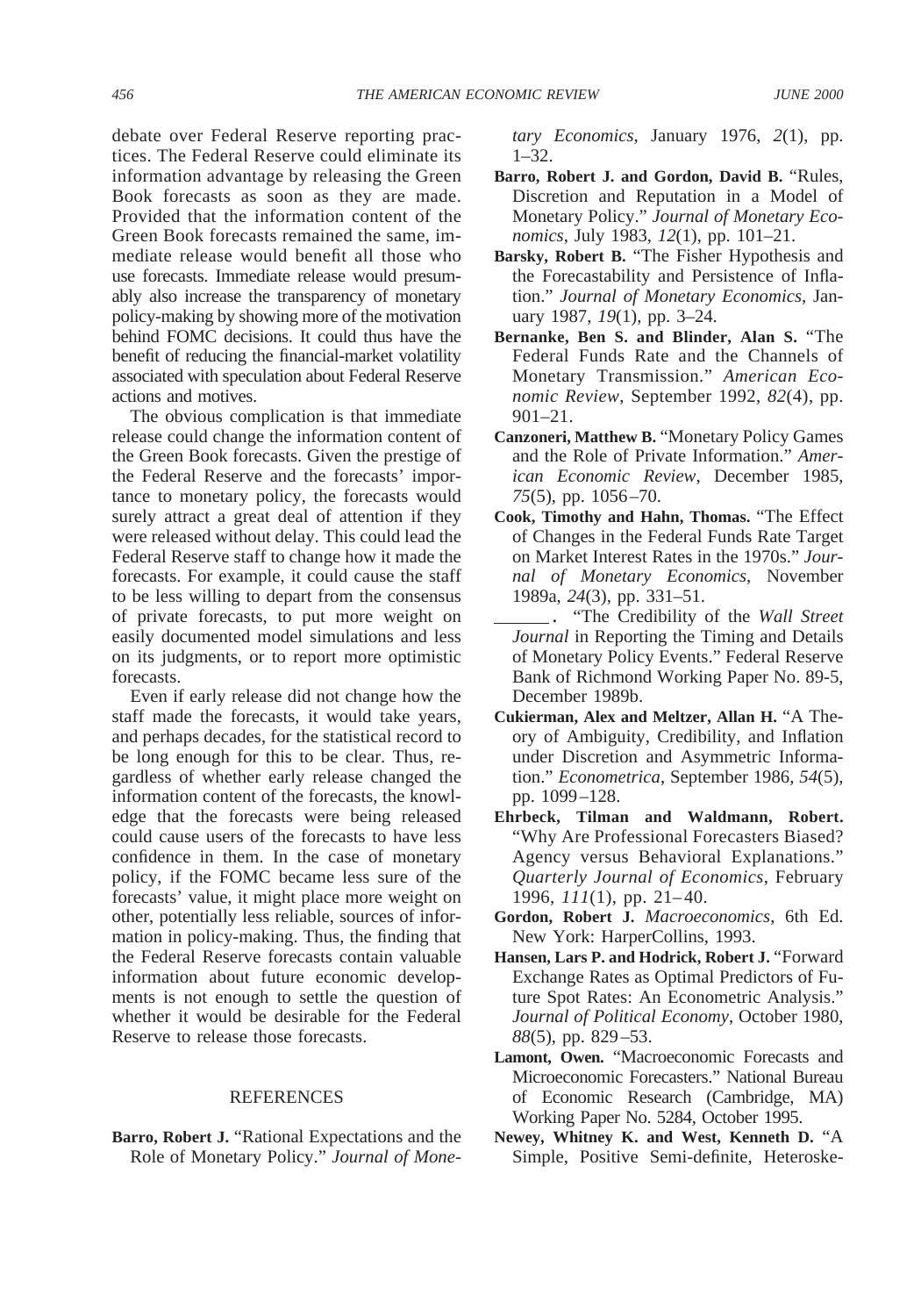debate over Federal Reserve reporting practices. The Federal Reserve could eliminate its information advantage by releasing the Green Book forecasts as soon as they are made. Provided that the information content of the Green Book forecasts remained the same, immediate release would benefit all those who use forecasts. Immediate release would presumably also increase the transparency of monetary policy-making by showing more of the motivation behind FOMC decisions. It could thus have the benefit of reducing the financial-market volatility associated with speculation about Federal Reserve actions and motives.

The obvious complication is that immediate release could change the information content of the Green Book forecasts. Given the prestige of the Federal Reserve and the forecasts' importance to monetary policy, the forecasts would surely attract a great deal of attention if they were released without delay. This could lead the Federal Reserve staff to change how it made the forecasts. For example, it could cause the staff to be less willing to depart from the consensus of private forecasts, to put more weight on easily documented model simulations and less on its judgments, or to report more optimistic forecasts.

Even if early release did not change how the staff made the forecasts, it would take years, and perhaps decades, for the statistical record to be long enough for this to be clear. Thus, regardless of whether early release changed the information content of the forecasts, the knowledge that the forecasts were being released could cause users of the forecasts to have less confidence in them. In the case of monetary policy, if the FOMC became less sure of the forecasts' value, it might place more weight on other, potentially less reliable, sources of information in policy-making. Thus, the finding that the Federal Reserve forecasts contain valuable information about future economic developments is not enough to settle the question of whether it would be desirable for the Federal Reserve to release those forecasts.

#### REFERENCES

**Barro, Robert J.** "Rational Expectations and the Role of Monetary Policy." *Journal of Mone-* *tary Economics*, January 1976, *2*(1), pp. 1–32.

- **Barro, Robert J. and Gordon, David B.** "Rules, Discretion and Reputation in a Model of Monetary Policy." *Journal of Monetary Economics*, July 1983, *12*(1), pp. 101–21.
- **Barsky, Robert B.** "The Fisher Hypothesis and the Forecastability and Persistence of Inflation." *Journal of Monetary Economics*, January 1987, *19*(1), pp. 3–24.
- **Bernanke, Ben S. and Blinder, Alan S.** "The Federal Funds Rate and the Channels of Monetary Transmission." *American Economic Review*, September 1992, *82*(4), pp. 901–21.
- **Canzoneri, Matthew B.** "Monetary Policy Games and the Role of Private Information." *American Economic Review*, December 1985, *75*(5), pp. 1056–70.
- **Cook, Timothy and Hahn, Thomas.** "The Effect of Changes in the Federal Funds Rate Target on Market Interest Rates in the 1970s." *Journal of Monetary Economics*, November 1989a, *24*(3), pp. 331–51.
- **.** "The Credibility of the *Wall Street Journal* in Reporting the Timing and Details of Monetary Policy Events." Federal Reserve Bank of Richmond Working Paper No. 89-5, December 1989b.
- **Cukierman, Alex and Meltzer, Allan H.** "A Theory of Ambiguity, Credibility, and Inflation under Discretion and Asymmetric Information." *Econometrica*, September 1986, *54*(5), pp. 1099–128.
- **Ehrbeck, Tilman and Waldmann, Robert.** "Why Are Professional Forecasters Biased? Agency versus Behavioral Explanations." *Quarterly Journal of Economics*, February 1996, *111*(1), pp. 21–40.
- **Gordon, Robert J.** *Macroeconomics*, 6th Ed. New York: HarperCollins, 1993.
- **Hansen, Lars P. and Hodrick, Robert J.** "Forward Exchange Rates as Optimal Predictors of Future Spot Rates: An Econometric Analysis." *Journal of Political Economy*, October 1980, *88*(5), pp. 829–53.
- **Lamont, Owen.** "Macroeconomic Forecasts and Microeconomic Forecasters." National Bureau of Economic Research (Cambridge, MA) Working Paper No. 5284, October 1995.
- **Newey, Whitney K. and West, Kenneth D.** "A Simple, Positive Semi-definite, Heteroske-